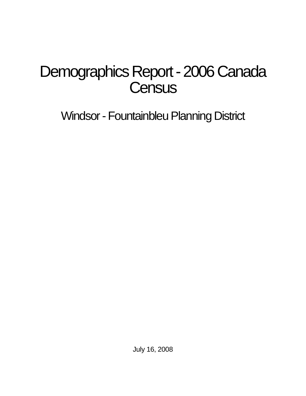# Demographics Report - 2006 Canada **Census**

Windsor - Fountainbleu Planning District

July 16, 2008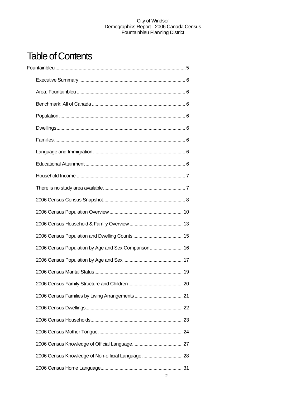# Table of Contents

| 2006 Census Population by Age and Sex Comparison 16 |  |
|-----------------------------------------------------|--|
|                                                     |  |
|                                                     |  |
|                                                     |  |
|                                                     |  |
|                                                     |  |
|                                                     |  |
|                                                     |  |
|                                                     |  |
| 2006 Census Knowledge of Non-official Language  28  |  |
|                                                     |  |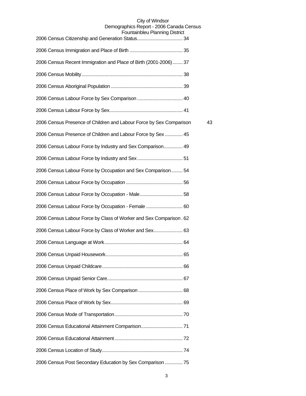| T UUTILAILIDIGU F IAHIHIY DISUIGU                                   |    |
|---------------------------------------------------------------------|----|
|                                                                     |    |
| 2006 Census Recent Immigration and Place of Birth (2001-2006) 37    |    |
|                                                                     |    |
|                                                                     |    |
|                                                                     |    |
|                                                                     |    |
| 2006 Census Presence of Children and Labour Force by Sex Comparison | 43 |
| 2006 Census Presence of Children and Labour Force by Sex  45        |    |
| 2006 Census Labour Force by Industry and Sex Comparison 49          |    |
|                                                                     |    |
| 2006 Census Labour Force by Occupation and Sex Comparison 54        |    |
|                                                                     |    |
|                                                                     |    |
| 2006 Census Labour Force by Occupation - Female  60                 |    |
| 2006 Census Labour Force by Class of Worker and Sex Comparison. 62  |    |
| 2006 Census Labour Force by Class of Worker and Sex 63              |    |
|                                                                     |    |
|                                                                     |    |
|                                                                     |    |
|                                                                     |    |
|                                                                     |    |
|                                                                     |    |
|                                                                     |    |
|                                                                     |    |
|                                                                     |    |
|                                                                     |    |
| 2006 Census Post Secondary Education by Sex Comparison  75          |    |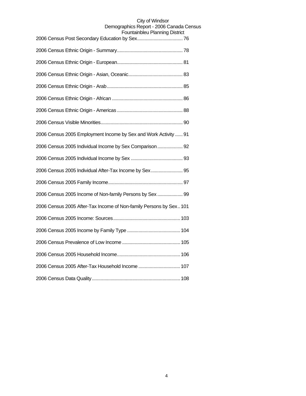| 2006 Census 2005 Employment Income by Sex and Work Activity  91    |
|--------------------------------------------------------------------|
| 2006 Census 2005 Individual Income by Sex Comparison 92            |
|                                                                    |
| 2006 Census 2005 Individual After-Tax Income by Sex 95             |
|                                                                    |
| 2006 Census 2005 Income of Non-family Persons by Sex  99           |
| 2006 Census 2005 After-Tax Income of Non-family Persons by Sex 101 |
|                                                                    |
|                                                                    |
|                                                                    |
|                                                                    |
| 2006 Census 2005 After-Tax Household Income  107                   |
|                                                                    |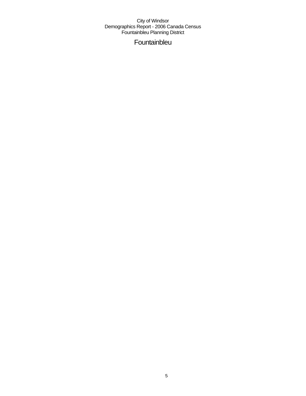Fountainbleu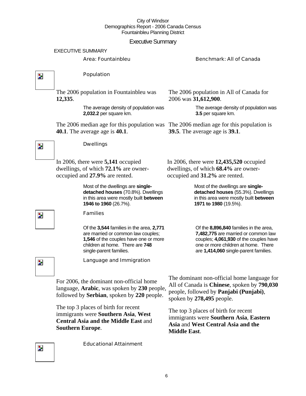### Executive Summary

#### EXECUTIVE SUMMARY

#### Area: Fountainbleu Benchmark: All of Canada

 $\overline{\mathbf{z}}$ 

 $\overline{\phantom{a}}$ 

#### Population

The 2006 population in Fountainbleu was **12,335**.

> The average density of population was **2,032.2** per square km.

The 2006 median age for this population was The 2006 median age for this population is **40.1**. The average age is **40.1**.

The 2006 population in All of Canada for 2006 was **31,612,900**.

> The average density of population was **3.5** per square km.

**39.5**. The average age is **39.1**.

In 2006, there were **5,141** occupied dwellings, of which **72.1%** are owneroccupied and **27.9%** are rented.

> Most of the dwellings are **singledetached houses** (70.8%). Dwellings in this area were mostly built **between 1946 to 1960** (26.7%).

#### Families

Dwellings

Of the **3,544** families in the area, **2,771**  are married or common law couples; **1,546** of the couples have one or more children at home. There are **748**  single-parent families.

In 2006, there were **12,435,520** occupied dwellings, of which **68.4%** are owneroccupied and **31.2%** are rented.

> Most of the dwellings are **singledetached houses** (55.3%). Dwellings in this area were mostly built **between 1971 to 1980** (19.5%).

Of the **8,896,840** families in the area, **7,482,775** are married or common law couples; **4,061,930** of the couples have one or more children at home. There are **1,414,060** single-parent families.

Z.

Language and Immigration

For 2006, the dominant non-official home language, **Arabic**, was spoken by **230** people, followed by **Serbian**, spoken by **220** people.

Educational Attainment

The top 3 places of birth for recent immigrants were **Southern Asia**, **West Central Asia and the Middle East** and **Southern Europe**.

The dominant non-official home language for All of Canada is **Chinese**, spoken by **790,030** people, followed by **Panjabi (Punjabi)**, spoken by **278,495** people.

The top 3 places of birth for recent immigrants were **Southern Asia**, **Eastern Asia** and **West Central Asia and the Middle East**.

 $\overline{\phantom{a}}$ 

Z.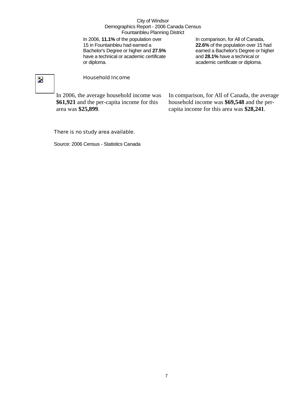In 2006, **11.1%** of the population over 15 in Fountainbleu had earned a Bachelor's Degree or higher and **27.5%** have a technical or academic certificate or diploma.

In comparison, for All of Canada, **22.6%** of the population over 15 had earned a Bachelor's Degree or higher and **28.1%** have a technical or academic certificate or diploma.

# $\overline{\mathbf{z}}$

#### Household Income

In 2006, the average household income was **\$61,921** and the per-capita income for this area was **\$25,899**.

In comparison, for All of Canada, the average household income was **\$69,548** and the percapita income for this area was **\$28,241**.

#### There is no study area available.

Source: 2006 Census - Statistics Canada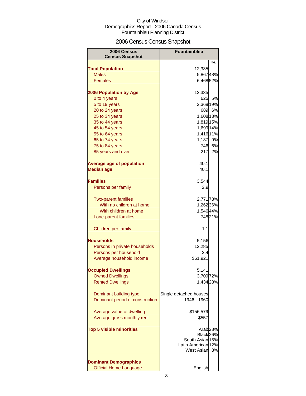# 2006 Census Census Snapshot

| 2006 Census<br><b>Census Snapshot</b> | <b>Fountainbleu</b>              |
|---------------------------------------|----------------------------------|
|                                       | %                                |
| <b>Total Population</b>               | 12,335                           |
| <b>Males</b>                          | 5,86748%                         |
| <b>Females</b>                        | 6,468 52%                        |
| <b>2006 Population by Age</b>         | 12,335                           |
| 0 to 4 years                          | 5%<br>625                        |
| 5 to 19 years                         | 2,368 19%                        |
| 20 to 24 years                        | 689 6%                           |
| 25 to 34 years                        | 1,608 13%                        |
| 35 to 44 years                        | 1,819 15%                        |
| 45 to 54 years                        | 1,699 14%                        |
| 55 to 64 years                        | 1,416 11%                        |
| 65 to 74 years                        | 1,137 9%                         |
| 75 to 84 years                        | 746 6%                           |
| 85 years and over                     | 217<br>2%                        |
| <b>Average age of population</b>      | 40.1                             |
| <b>Median age</b>                     | 40.1                             |
|                                       |                                  |
| <b>Families</b>                       | 3,544                            |
| Persons per family                    | 2.9                              |
|                                       |                                  |
| <b>Two-parent families</b>            | 2,771 78%                        |
| With no children at home              | 1,262 36%                        |
| With children at home                 | 1,546 44%                        |
| Lone-parent families                  | 74821%                           |
|                                       |                                  |
| Children per family                   | 1.1                              |
| Households                            | 5,156                            |
| Persons in private households         | 12,285                           |
| Persons per household                 | 2.4                              |
| Average household income              | \$61,921                         |
|                                       |                                  |
| <b>Occupied Dwellings</b>             | 5,141                            |
| <b>Owned Dwellings</b>                | 3,709 72%                        |
| <b>Rented Dwellings</b>               | 1,434 28%                        |
| Dominant building type                | Single detached houses           |
| Dominant period of construction       | 1946 - 1960                      |
|                                       |                                  |
| Average value of dwelling             | \$156,579                        |
| Average gross monthly rent            | \$557                            |
| <b>Top 5 visible minorities</b>       |                                  |
|                                       | Arab <sub>28%</sub><br>Black 26% |
|                                       | South Asian 15%                  |
|                                       | Latin American 12%               |
|                                       | West Asian<br>8%                 |
|                                       |                                  |
| <b>Dominant Demographics</b>          |                                  |
| <b>Official Home Language</b>         | English                          |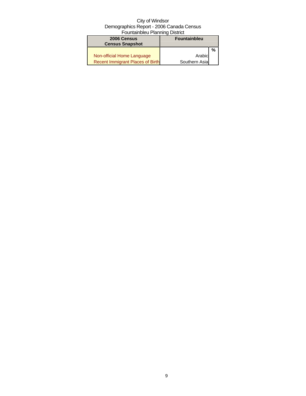| 2006 Census                      | <b>Fountainbleu</b> |   |
|----------------------------------|---------------------|---|
| <b>Census Snapshot</b>           |                     |   |
|                                  |                     | % |
| Non-official Home Language       | Arabic              |   |
| Recent Immigrant Places of Birth | Southern Asia       |   |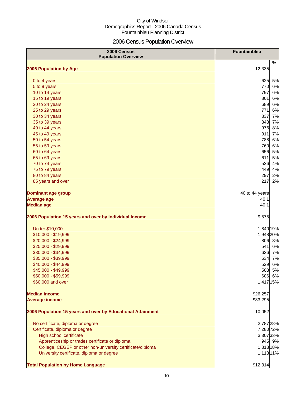# 2006 Census Population Overview

| 2006 Census<br><b>Population Overview</b>                   | <b>Fountainbleu</b> |
|-------------------------------------------------------------|---------------------|
| 2006 Population by Age                                      | %<br>12,335         |
|                                                             |                     |
| 0 to 4 years                                                | 5%<br>625           |
| 5 to 9 years                                                | 770<br>6%           |
| 10 to 14 years                                              | 797<br>6%           |
| 15 to 19 years                                              | 6%<br>801           |
| 20 to 24 years                                              | 689<br>6%           |
| 25 to 29 years                                              | 771<br>6%           |
| 30 to 34 years                                              | 837<br>7%           |
| 35 to 39 years                                              | 843<br>7%           |
| 40 to 44 years                                              | 976<br>8%           |
| 45 to 49 years                                              | 911<br>7%           |
| 50 to 54 years                                              | 788<br>6%           |
| 55 to 59 years                                              | 760<br>6%           |
| 60 to 64 years                                              | 656<br>5%           |
| 65 to 69 years                                              | 611<br>5%           |
| 70 to 74 years                                              | 526<br>4%           |
| 75 to 79 years                                              | 449<br>4%           |
| 80 to 84 years                                              | 297<br>2%           |
| 85 years and over                                           | 217<br>2%           |
| <b>Dominant age group</b>                                   | 40 to 44 years      |
| <b>Average age</b>                                          | 40.1                |
| <b>Median age</b>                                           | 40.1                |
| 2006 Population 15 years and over by Individual Income      | 9,575               |
| <b>Under \$10,000</b>                                       | 1,840 19%           |
| \$10,000 - \$19,999                                         | 1,948 20%           |
| \$20,000 - \$24,999                                         | 806 8%              |
| \$25,000 - \$29,999                                         | 541<br>6%           |
| \$30,000 - \$34,999                                         | 636<br>7%           |
| \$35,000 - \$39,999                                         | 634<br>7%           |
| \$40,000 - \$44,999                                         | 529<br>6%           |
| \$45,000 - \$49,999                                         | 5%<br>503           |
| \$50,000 - \$59,999                                         | 606 6%              |
| \$60,000 and over                                           | 1,417 15%           |
| <b>Median income</b>                                        | \$26,257            |
| <b>Average income</b>                                       | \$33,295            |
| 2006 Population 15 years and over by Educational Attainment | 10,052              |
| No certificate, diploma or degree                           | 2,787 28%           |
| Certificate, diploma or degree                              | 7,280 72%           |
| <b>High school certificate</b>                              | 3,307 33%           |
| Apprenticeship or trades certificate or diploma             | 945 9%              |
| College, CEGEP or other non-university certificate/diploma  | 1,818 18%           |
| University certificate, diploma or degree                   | 1,113 11%           |
| <b>Total Population by Home Language</b>                    | \$12,314            |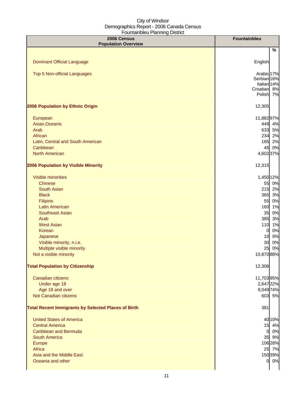| 2006 Census<br><b>Population Overview</b>                  | <b>Fountainbleu</b>    |    |
|------------------------------------------------------------|------------------------|----|
|                                                            |                        | %  |
|                                                            |                        |    |
| <b>Dominant Official Language</b>                          | English                |    |
|                                                            | Arabic <sub>17%</sub>  |    |
| Top 5 Non-official Languages                               | Serbian 16%            |    |
|                                                            | Italian <sub>14%</sub> |    |
|                                                            | Croatian 8%            |    |
|                                                            | Polish 7%              |    |
| 2006 Population by Ethnic Origin                           | 12,305                 |    |
| European                                                   | 11,88297%              |    |
| Asian, Oceanic                                             | 449 4%                 |    |
| Arab                                                       | 633 5%                 |    |
| African                                                    | 234 2%                 |    |
| Latin, Central and South American                          | 185 2%                 |    |
| Caribbean                                                  | 45 0%                  |    |
| <b>North American</b>                                      | 4,602 37%              |    |
|                                                            |                        |    |
| 2006 Population by Visible Minority                        | 12,315                 |    |
| <b>Visible minorities</b>                                  | 1,450 12%              |    |
| <b>Chinese</b>                                             | 55 0%                  |    |
| <b>South Asian</b>                                         | 215 2%                 |    |
| <b>Black</b>                                               | 365 3%                 |    |
| Filipino                                                   | 55 0%                  |    |
| <b>Latin American</b>                                      | 160 1%                 |    |
| <b>Southeast Asian</b>                                     | 35                     | 0% |
| Arab                                                       | 385 3%                 |    |
| <b>West Asian</b>                                          | 110                    | 1% |
| Korean                                                     | 0                      | 0% |
| Japanese                                                   | 10                     | 0% |
| Visible minority, n.i.e.                                   | 30                     | 0% |
| Multiple visible minority                                  | 25                     | 0% |
| Not a visible minority                                     | 10,870 88%             |    |
| <b>Total Population by Citizenship</b>                     | 12,306                 |    |
| Canadian citizens                                          | 11,70395%              |    |
| Under age 18                                               | 2,647 22%              |    |
| Age 18 and over                                            | 9,049 74%              |    |
| Not Canadian citizens                                      | 603 5%                 |    |
| <b>Total Recent Immigrants by Selected Places of Birth</b> | 381                    |    |
|                                                            |                        |    |
| <b>United States of America</b>                            | 40 10%                 |    |
| <b>Central America</b>                                     | 15 4%                  |    |
| <b>Caribbean and Bermuda</b>                               | 0 0%                   |    |
| <b>South America</b>                                       | 35 9%                  |    |
| Europe                                                     | 106 28%                |    |
| Africa                                                     | 25 7%                  |    |
| Asia and the Middle East                                   | 150 39%                |    |
| Oceania and other                                          | 0 0%                   |    |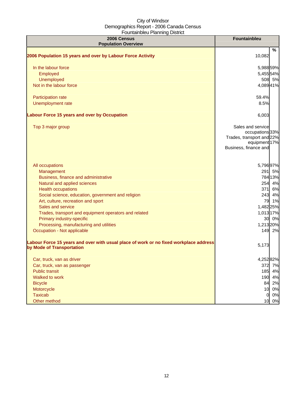| 2006 Census<br><b>Population Overview</b>                                                                          | <b>Fountainbleu</b>                                                                                         |
|--------------------------------------------------------------------------------------------------------------------|-------------------------------------------------------------------------------------------------------------|
|                                                                                                                    | %                                                                                                           |
| 2006 Population 15 years and over by Labour Force Activity                                                         | 10,082                                                                                                      |
| In the labour force                                                                                                | 5,988 59%                                                                                                   |
| Employed                                                                                                           | 5,455 54%                                                                                                   |
| Unemployed                                                                                                         | 508 5%                                                                                                      |
| Not in the labour force                                                                                            | 4,08941%                                                                                                    |
| Participation rate                                                                                                 | 59.4%                                                                                                       |
| Unemployment rate                                                                                                  | 8.5%                                                                                                        |
| Labour Force 15 years and over by Occupation                                                                       | 6,003                                                                                                       |
| Top 3 major group                                                                                                  | Sales and service<br>occupations 33%<br>Trades, transport and 22%<br>equipment 17%<br>Business, finance and |
| All occupations                                                                                                    | 5,79697%                                                                                                    |
| Management                                                                                                         | 291 5%                                                                                                      |
| Business, finance and administrative                                                                               | 784 13%                                                                                                     |
| Natural and applied sciences                                                                                       | 254 4%                                                                                                      |
| <b>Health occupations</b>                                                                                          | 371 6%                                                                                                      |
| Social science, education, government and religion                                                                 | 243 4%                                                                                                      |
| Art, culture, recreation and sport                                                                                 | 79 1%                                                                                                       |
| Sales and service                                                                                                  | 1,482 25%                                                                                                   |
| Trades, transport and equipment operators and related                                                              | 1,013 17%                                                                                                   |
| Primary industry-specific                                                                                          | 30 0%                                                                                                       |
| Processing, manufacturing and utilities                                                                            | 1,213 20%                                                                                                   |
| Occupation - Not applicable                                                                                        | 149 2%                                                                                                      |
| Labour Force 15 years and over with usual place of work or no fixed workplace address<br>by Mode of Transportation | 5,173                                                                                                       |
| Car, truck, van as driver                                                                                          | 4,25282%                                                                                                    |
| Car, truck, van as passenger                                                                                       | 372 7%                                                                                                      |
| <b>Public transit</b>                                                                                              | 185 4%                                                                                                      |
| Walked to work                                                                                                     | 190 4%                                                                                                      |
| <b>Bicycle</b>                                                                                                     | 84 2%                                                                                                       |
| Motorcycle                                                                                                         | 10 0%                                                                                                       |
| <b>Taxicab</b>                                                                                                     | 0%<br>$\mathbf{0}$                                                                                          |
| Other method                                                                                                       | 10 0%                                                                                                       |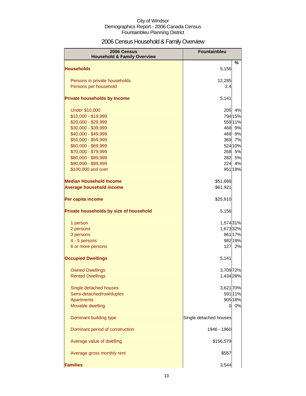# 2006 Census Household & Family Overview

| 2006 Census<br><b>Household &amp; Family Overview</b> | Fountainbleu           |         |
|-------------------------------------------------------|------------------------|---------|
|                                                       |                        | %       |
| <b>Households</b>                                     | 5,156                  |         |
| Persons in private households                         | 12,285                 |         |
| Persons per household                                 | 2.4                    |         |
| <b>Private households by Income</b>                   | 5,141                  |         |
| <b>Under \$10,000</b>                                 | 205                    | 4%      |
| \$10,000 - \$19,999                                   |                        | 794 15% |
| \$20,000 - \$29,999                                   |                        | 559 11% |
| \$30,000 - \$39,999                                   | 468                    | 9%      |
| \$40,000 - \$49,999                                   | 468                    | 9%      |
| \$50,000 - \$59,999                                   | 369                    | 7%      |
| \$60,000 - \$69,999                                   |                        | 524 10% |
| \$70,000 - \$79,999                                   | 268                    | 5%      |
| \$80,000 - \$89,999                                   | 282                    | 5%      |
| \$90,000 - \$99,999                                   | 224                    | 4%      |
| \$100,000 and over                                    |                        | 951 19% |
| <b>Median Household Income</b>                        | \$51,688               |         |
| <b>Average household income</b>                       | \$61,921               |         |
| Per capita income                                     | \$25,910               |         |
| Private households by size of household               | 5,156                  |         |
| 1 person                                              | 1,574 31%              |         |
| 2 persons                                             | 1,673 32%              |         |
| 3 persons                                             |                        | 861 17% |
| 4 - 5 persons                                         |                        | 982 19% |
| 6 or more persons                                     | 127                    | 2%      |
| <b>Occupied Dwellings</b>                             | 5,141                  |         |
| <b>Owned Dwellings</b>                                | 3,709 72%              |         |
| <b>Rented Dwellings</b>                               | 1,434 28%              |         |
| Single detached houses                                | 3,621 70%              |         |
| Semi-detached/row/duplex                              |                        | 591 11% |
| <b>Apartments</b>                                     |                        | 905 18% |
| Movable dwelling                                      | 0                      | 0%      |
| Dominant building type                                | Single detached houses |         |
| Dominant period of construction                       | 1946 - 1960            |         |
| Average value of dwelling                             | \$156,579              |         |
| Average gross monthly rent                            | \$557                  |         |
| <b>Families</b>                                       | 3,544                  |         |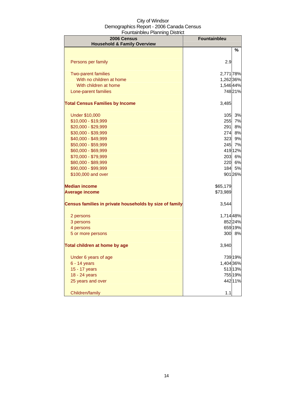| 2006 Census<br><b>Household &amp; Family Overview</b>   | <b>Fountainbleu</b> |         |
|---------------------------------------------------------|---------------------|---------|
|                                                         |                     | %       |
| Persons per family                                      | 2.9                 |         |
| <b>Two-parent families</b>                              | 2,771 78%           |         |
| With no children at home                                | 1,262 36%           |         |
| With children at home                                   | 1,546 44%           |         |
| Lone-parent families                                    |                     | 74821%  |
| <b>Total Census Families by Income</b>                  | 3,485               |         |
| <b>Under \$10,000</b>                                   | 105                 | 3%      |
| \$10,000 - \$19,999                                     | 255                 | 7%      |
| \$20,000 - \$29,999                                     | 291I                | 8%      |
| \$30,000 - \$39,999                                     | 274                 | 8%      |
| \$40,000 - \$49,999                                     | 323                 | 9%      |
| \$50,000 - \$59,999                                     | 245                 | 7%      |
| \$60,000 - \$69,999                                     |                     | 419 12% |
| \$70,000 - \$79,999                                     | 203                 | 6%      |
| \$80,000 - \$89,999                                     | 220                 | 6%      |
| \$90,000 - \$99,999                                     | 184                 | 5%      |
| \$100,000 and over                                      |                     | 901 26% |
| <b>Median income</b>                                    | \$65,179            |         |
| <b>Average income</b>                                   | \$73,989            |         |
| Census families in private households by size of family | 3,544               |         |
| 2 persons                                               | 1,714 48%           |         |
| 3 persons                                               |                     | 852 24% |
| 4 persons                                               |                     | 659 19% |
| 5 or more persons                                       |                     | 300 8%  |
| Total children at home by age                           | 3,940               |         |
| Under 6 years of age                                    |                     | 739 19% |
| 6 - 14 years                                            | 1,404 36%           |         |
| 15 - 17 years                                           |                     | 51313%  |
| 18 - 24 years                                           |                     | 755 19% |
| 25 years and over                                       |                     | 442 11% |
| Children/family                                         | 1.1                 |         |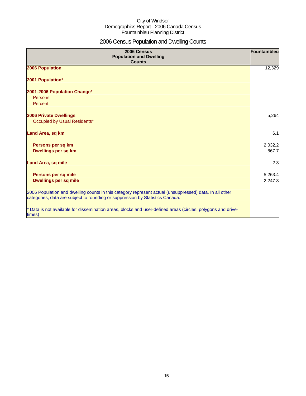# 2006 Census Population and Dwelling Counts

| 2006 Census<br><b>Population and Dwelling</b><br><b>Counts</b>                                                                                                                           | Fountainbleu |
|------------------------------------------------------------------------------------------------------------------------------------------------------------------------------------------|--------------|
| 2006 Population                                                                                                                                                                          | 12,329       |
| 2001 Population*                                                                                                                                                                         |              |
| 2001-2006 Population Change*                                                                                                                                                             |              |
| Persons                                                                                                                                                                                  |              |
| Percent                                                                                                                                                                                  |              |
| <b>2006 Private Dwellings</b>                                                                                                                                                            | 5,264        |
| Occupied by Usual Residents*                                                                                                                                                             |              |
| Land Area, sq km                                                                                                                                                                         | 6.1          |
| Persons per sq km                                                                                                                                                                        | 2,032.2      |
| Dwellings per sq km                                                                                                                                                                      | 867.7        |
| <b>Land Area, sq mile</b>                                                                                                                                                                | 2.3          |
|                                                                                                                                                                                          |              |
| Persons per sq mile                                                                                                                                                                      | 5,263.4      |
| <b>Dwellings per sq mile</b>                                                                                                                                                             | 2,247.3      |
| 2006 Population and dwelling counts in this category represent actual (unsuppressed) data. In all other<br>categories, data are subject to rounding or suppression by Statistics Canada. |              |
| * Data is not available for dissemination areas, blocks and user-defined areas (circles, polygons and drive-<br>times)                                                                   |              |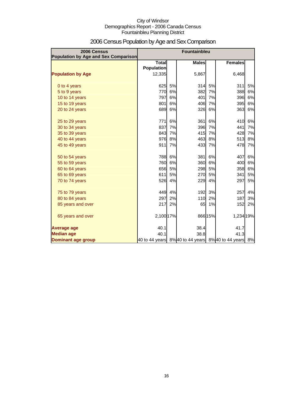| 2006 Census<br>Population by Age and Sex Comparison | Fountainbleu                      |    |              |         |                                                  |    |
|-----------------------------------------------------|-----------------------------------|----|--------------|---------|--------------------------------------------------|----|
|                                                     | <b>Total</b><br><b>Population</b> |    | <b>Males</b> |         | <b>Females</b>                                   |    |
| <b>Population by Age</b>                            | 12,335                            |    | 5,867        |         | 6,468                                            |    |
| 0 to 4 years                                        | 625                               | 5% | 314          | 5%      | 311                                              | 5% |
| 5 to 9 years                                        | 770                               | 6% | 382          | 7%      | 388                                              | 6% |
| 10 to 14 years                                      | 797                               | 6% | 401          | 7%      | 396                                              | 6% |
| 15 to 19 years                                      | 801                               | 6% | 406          | 7%      | 395                                              | 6% |
| 20 to 24 years                                      | 689                               | 6% | 326          | 6%      | 363                                              | 6% |
| 25 to 29 years                                      | 771                               | 6% | 361          | 6%      | 410                                              | 6% |
| 30 to 34 years                                      | 837                               | 7% | 396          | 7%      | 441                                              | 7% |
| 35 to 39 years                                      | 843                               | 7% | 415          | 7%      | 428                                              | 7% |
| 40 to 44 years                                      | 976                               | 8% | 463          | 8%      | 513                                              | 8% |
| 45 to 49 years                                      | 911                               | 7% | 433          | 7%      | 478                                              | 7% |
| 50 to 54 years                                      | 788                               | 6% | 381          | 6%      | 407                                              | 6% |
| 55 to 59 years                                      | 760                               | 6% | 360          | 6%      | 400                                              | 6% |
| 60 to 64 years                                      | 656                               | 5% | 298          | 5%      | 358                                              | 6% |
| 65 to 69 years                                      | 611                               | 5% | 270          | 5%      | 341                                              | 5% |
| 70 to 74 years                                      | 526                               | 4% | 229          | 4%      | 297                                              | 5% |
| 75 to 79 years                                      | 449                               | 4% | 192          | 3%      | 257                                              | 4% |
| 80 to 84 years                                      | 297                               | 2% | 110          | 2%      | 187                                              | 3% |
| 85 years and over                                   | 217                               | 2% | 65           | 1%      | 152                                              | 2% |
| 65 years and over                                   | 2,100 17%                         |    |              | 866 15% | 1,234 19%                                        |    |
| <b>Average age</b>                                  | 40.1                              |    | 38.4         |         | 41.7                                             |    |
| <b>Median age</b>                                   | 40.1                              |    | 38.8         |         | 41.3                                             |    |
| Dominant age group                                  |                                   |    |              |         | 40 to 44 years 8%40 to 44 years 8%40 to 44 years | 8% |

# 2006 Census Population by Age and Sex Comparison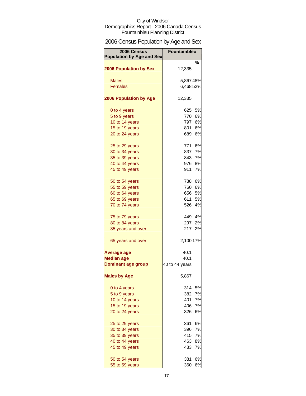# 2006 Census Population by Age and Sex

| 2006 Census<br><b>Population by Age and Sex</b> | <b>Fountainbleu</b> |           |
|-------------------------------------------------|---------------------|-----------|
| <b>2006 Population by Sex</b>                   | 12,335              | %         |
| <b>Males</b>                                    | 5,86748%            |           |
| <b>Females</b>                                  | 6,468 52%           |           |
|                                                 |                     |           |
| <b>2006 Population by Age</b>                   | 12,335              |           |
| 0 to 4 years                                    | 625                 | 5%        |
| 5 to 9 years                                    | 770                 | 6%        |
| 10 to 14 years                                  | 797                 | <b>6%</b> |
| 15 to 19 years                                  | 801                 | 6%        |
| 20 to 24 years                                  | 689                 | 6%        |
| 25 to 29 years                                  | 771                 | 6%        |
| 30 to 34 years                                  | 837                 | 7%        |
| 35 to 39 years                                  | 843                 | 7%        |
| 40 to 44 years                                  | 976                 | 8%        |
| 45 to 49 years                                  | 911                 | <b>7%</b> |
| 50 to 54 years                                  | 788                 | 6%        |
| 55 to 59 years                                  | 760                 | 6%        |
| 60 to 64 years                                  | 656                 | 5%        |
| 65 to 69 years                                  | 611                 | 5%        |
| 70 to 74 years                                  | 526                 | 4%        |
| 75 to 79 years                                  |                     | 449 4%    |
| 80 to 84 years                                  | 297                 | 2%        |
| 85 years and over                               | 217                 | 2%        |
| 65 years and over                               | 2,100 17%           |           |
| Average age                                     | 40.1                |           |
| <b>Median age</b>                               | 40.1                |           |
| <b>Dominant age group</b>                       | 40 to 44 years      |           |
| <b>Males by Age</b>                             | 5,867               |           |
| 0 to 4 years                                    | 314                 | 5%        |
| 5 to 9 years                                    | 382                 | 7%        |
| 10 to 14 years                                  | 401                 | 7%        |
| 15 to 19 years                                  | 406                 | 7%        |
| 20 to 24 years                                  | 326                 | 6%        |
| 25 to 29 years                                  | 361                 | 6%        |
| 30 to 34 years                                  | 396                 | 7%        |
| 35 to 39 years                                  | 415                 | 7%        |
| 40 to 44 years                                  | 463                 | 8%        |
| 45 to 49 years                                  | 433                 | 7%        |
| 50 to 54 years                                  | 381                 | 6%        |
| 55 to 59 years                                  | 360                 | 6%        |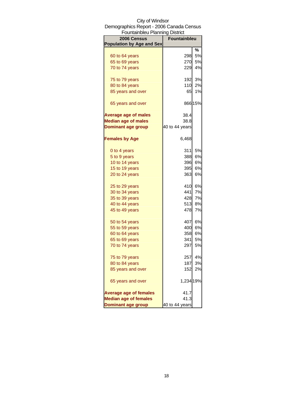| Fountainbleu Planning District   |                     |         |
|----------------------------------|---------------------|---------|
| 2006 Census                      | <b>Fountainbleu</b> |         |
| <b>Population by Age and Sex</b> |                     |         |
|                                  |                     | ℅       |
| 60 to 64 years                   | 298                 | 5%      |
| 65 to 69 years                   | 270                 | 5%      |
| 70 to 74 years                   | 229                 | 4%      |
|                                  | 192                 | 3%      |
| 75 to 79 years                   |                     |         |
| 80 to 84 years                   | 110                 | 2%      |
| 85 years and over                | 65                  | 1%      |
| 65 years and over                |                     | 866 15% |
| <b>Average age of males</b>      | 38.4                |         |
| <b>Median age of males</b>       | 38.8                |         |
| <b>Dominant age group</b>        | 40 to 44 years      |         |
| <b>Females by Age</b>            | 6,468               |         |
| 0 to 4 years                     | 311                 | 5%      |
|                                  |                     |         |
| 5 to 9 years                     | 388                 | 6%      |
| 10 to 14 years                   | 396                 | 6%      |
| 15 to 19 years                   | 395                 | 6%      |
| 20 to 24 years                   | 363                 | 6%      |
| 25 to 29 years                   | 410                 | 6%      |
| 30 to 34 years                   | 441                 | 7%      |
| 35 to 39 years                   | 428                 | 7%      |
| 40 to 44 years                   | 513                 | 8%      |
| 45 to 49 years                   | 478                 | 7%      |
|                                  | 407                 | 6%      |
| 50 to 54 years                   |                     |         |
| 55 to 59 years                   | 400<br>358          | 6%      |
| 60 to 64 years                   |                     | 6%      |
| 65 to 69 years                   | 341                 | 5%      |
| 70 to 74 years                   | 297                 | 5%      |
| 75 to 79 years                   | 257                 | 4%      |
| 80 to 84 years                   | 187                 | 3%      |
| 85 years and over                | 152                 | 2%      |
| 65 years and over                | 1,234 19%           |         |
| <b>Average age of females</b>    | 41.7                |         |
| <b>Median age of females</b>     | 41.3                |         |
| <b>Dominant age group</b>        | 40 to 44 years      |         |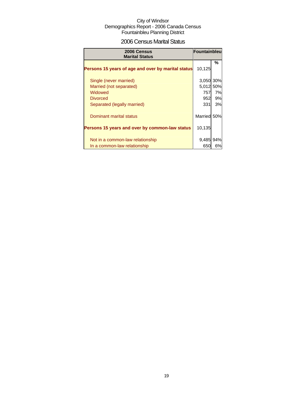## 2006 Census Marital Status

| 2006 Census<br><b>Marital Status</b>               | Fountainbleu |     |
|----------------------------------------------------|--------------|-----|
| Persons 15 years of age and over by marital status | 10,125       | %   |
| Single (never married)                             | 3,050 30%    |     |
| Married (not separated)                            | 5,012        | 50% |
| Widowed                                            | 757          | 7%  |
| <b>Divorced</b>                                    | 952          | 9%  |
| Separated (legally married)                        | 331          | 3%  |
| <b>Dominant marital status</b>                     | Married      | 50% |
| Persons 15 years and over by common-law status     | 10,135       |     |
| Not in a common-law relationship                   | 9,485        | 94% |
| In a common-law relationship                       | 650          | 6%  |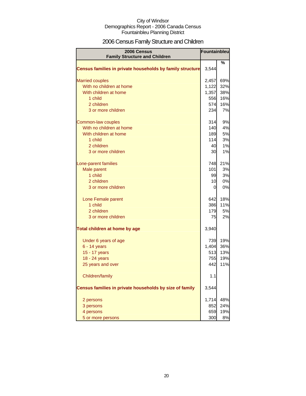# 2006 Census Family Structure and Children

| <b>2006 Census</b><br><b>Family Structure and Children</b> | Fountainbleu |     |
|------------------------------------------------------------|--------------|-----|
|                                                            |              | %   |
| Census families in private households by family structure  | 3,544        |     |
| <b>Married couples</b>                                     | 2,457        | 69% |
| With no children at home                                   | 1,122        | 32% |
| With children at home                                      | 1,357        | 38% |
| 1 child                                                    | 556          | 16% |
| 2 children                                                 | 574          | 16% |
| 3 or more children                                         | 234          | 7%  |
| Common-law couples                                         | 314I         | 9%  |
| With no children at home                                   | 140          | 4%  |
| With children at home                                      | 189          | 5%  |
| 1 child                                                    | 114          | 3%  |
| 2 children                                                 | 40           | 1%  |
| 3 or more children                                         | 30           | 1%  |
| Lone-parent families                                       | 748          | 21% |
| Male parent                                                | 101          | 3%  |
| 1 child                                                    | 99           | 3%  |
| 2 children                                                 | 10           | 0%  |
| 3 or more children                                         | 0            | 0%  |
| Lone Female parent                                         | 642          | 18% |
| 1 child                                                    | 386          | 11% |
| 2 children                                                 | 179          | 5%  |
| 3 or more children                                         | 75           | 2%  |
| Total children at home by age                              | 3,940        |     |
| Under 6 years of age                                       | 739          | 19% |
| 6 - 14 years                                               | 1,404        | 36% |
| 15 - 17 years                                              | 513          | 13% |
| 18 - 24 years                                              | 755          | 19% |
| 25 years and over                                          | 442          | 11% |
| Children/family                                            | 1.1          |     |
| Census families in private households by size of family    | 3,544        |     |
| 2 persons                                                  | 1,714        | 48% |
| 3 persons                                                  | 852          | 24% |
| 4 persons                                                  | 659          | 19% |
| 5 or more persons                                          | 300          | 8%  |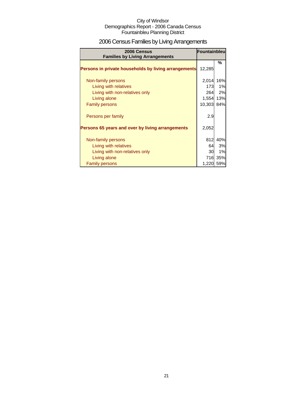# 2006 Census Families by Living Arrangements

| 2006 Census<br><b>Families by Living Arrangements</b> | Fountainbleu |         |
|-------------------------------------------------------|--------------|---------|
|                                                       |              | %       |
| Persons in private households by living arrangements  | 12,285       |         |
| Non-family persons                                    | 2,014        | 16%     |
| Living with relatives                                 | 173          | 1%      |
| Living with non-relatives only                        | 264          | 2%      |
| Living alone                                          | 1,554        | 13%     |
| <b>Family persons</b>                                 | 10,303       | 84%     |
| Persons per family                                    | 2.9          |         |
| Persons 65 years and over by living arrangements      | 2,052        |         |
| Non-family persons                                    | 812          | 40%     |
| Living with relatives                                 | 64           | 3%      |
| Living with non-relatives only                        | 30           | 1%      |
| Living alone                                          |              | 716 35% |
| <b>Family persons</b>                                 | 1,220        | 59%     |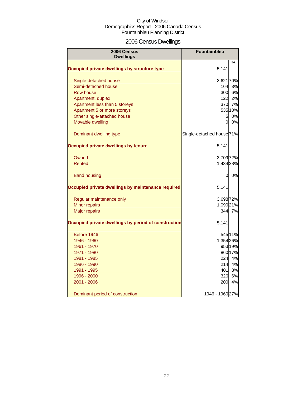# 2006 Census Dwellings

| 2006 Census<br><b>Dwellings</b>                      | <b>Fountainbleu</b>                  |         |
|------------------------------------------------------|--------------------------------------|---------|
|                                                      |                                      | %       |
| Occupied private dwellings by structure type         | 5,141                                |         |
| Single-detached house                                | 3,621 70%                            |         |
| Semi-detached house                                  | 164                                  | 3%      |
| Row house                                            | 300                                  | 6%      |
| Apartment, duplex                                    | 122                                  | 2%      |
| Apartment less than 5 storeys                        |                                      | 370 7%  |
| Apartment 5 or more storeys                          |                                      | 535 10% |
| Other single-attached house                          | $5\overline{a}$                      | 0%      |
| Movable dwelling                                     | 0                                    | 0%      |
| Dominant dwelling type                               | Single-detached house <sup>71%</sup> |         |
| Occupied private dwellings by tenure                 | 5,141                                |         |
| Owned                                                | 3,709 72%                            |         |
| Rented                                               | 1,434 28%                            |         |
| <b>Band housing</b>                                  | 0                                    | 0%      |
| Occupied private dwellings by maintenance required   | 5,141                                |         |
| Regular maintenance only                             | 3,698 72%                            |         |
| Minor repairs                                        | 1,090 21%                            |         |
| <b>Major repairs</b>                                 |                                      | 344 7%  |
| Occupied private dwellings by period of construction | 5,141                                |         |
| Before 1946                                          |                                      | 545 11% |
| 1946 - 1960                                          | 1,354 26%                            |         |
| 1961 - 1970                                          |                                      | 953 19% |
| 1971 - 1980                                          |                                      | 860 17% |
| 1981 - 1985                                          | <b>224</b>                           | 4%      |
| 1986 - 1990                                          | 214                                  | 4%      |
| 1991 - 1995                                          | 401                                  | 8%      |
| 1996 - 2000                                          | 326                                  | 6%      |
| 2001 - 2006                                          | 200                                  | 4%      |
| Dominant period of construction                      | 1946 - 1960 27%                      |         |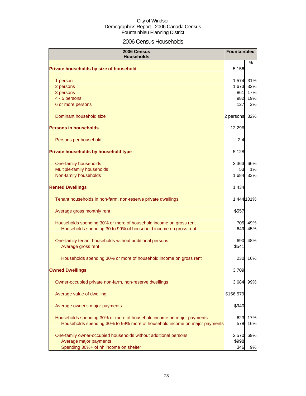## 2006 Census Households

| 2006 Census<br><b>Households</b>                                          |           | Fountainbleu |
|---------------------------------------------------------------------------|-----------|--------------|
| Private households by size of household                                   | 5,156     | ℅            |
| 1 person                                                                  | 1,574     | 31%          |
| 2 persons                                                                 | 1,673     | 32%          |
| 3 persons                                                                 | 861       | 17%          |
| 4 - 5 persons                                                             | 982       | 19%          |
| 6 or more persons                                                         | 127       | 2%           |
| Dominant household size                                                   | 2 persons | 32%          |
| <b>Persons in households</b>                                              | 12,296    |              |
| Persons per household                                                     | 2.4       |              |
| Private households by household type                                      | 5,128     |              |
| One-family households                                                     | 3,363     | 66%          |
| Multiple-family households                                                | 53        | 1%           |
| Non-family households                                                     | 1,684     | 33%          |
| <b>Rented Dwellings</b>                                                   | 1,434     |              |
| Tenant households in non-farm, non-reserve private dwellings              |           | 1,444 101%   |
| Average gross monthly rent                                                | \$557     |              |
| Households spending 30% or more of household income on gross rent         | 705       | 49%          |
| Households spending 30 to 99% of household income on gross rent           | 649       | 45%          |
| One-family tenant households without additional persons                   | 690       | 48%          |
| Average gross rent                                                        | \$541     |              |
| Households spending 30% or more of household income on gross rent         | 230       | 16%          |
| <b>Owned Dwellings</b>                                                    | 3,709     |              |
| Owner-occupied private non-farm, non-reserve dwellings                    | 3,684     | 99%          |
| Average value of dwelling                                                 | \$156,579 |              |
| Average owner's major payments                                            | \$940     |              |
| Households spending 30% or more of household income on major payments     | 623       | 17%          |
| Households spending 30% to 99% more of household income on major payments | 578       | 16%          |
| One-family owner-occupied households without additional persons           | 2,570     | 69%          |
| Average major payments                                                    | \$998     |              |
| Spending 30%+ of hh income on shelter                                     | 346       | 9%           |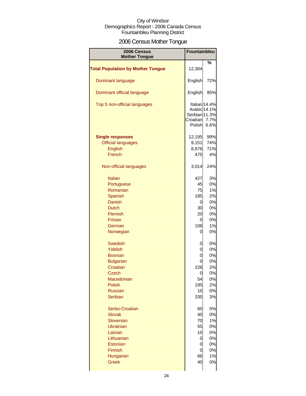# 2006 Census Mother Tongue

| 2006 Census<br><b>Mother Tongue</b>      | <b>Fountainbleu</b>                                 |                               |
|------------------------------------------|-----------------------------------------------------|-------------------------------|
|                                          |                                                     | %                             |
| <b>Total Population by Mother Tongue</b> | 12,304                                              |                               |
| Dominant language                        | English                                             | 72%                           |
| Dominant official language               | English                                             | 95%                           |
| Top 5 non-official languages             | Arabic 14.1%<br>Serbian 11.3%<br>Croatian<br>Polish | Italian 14.4%<br>7.7%<br>6.6% |
| <b>Single responses</b>                  | 12,195                                              | 99%                           |
| <b>Official languages</b>                | 9,151                                               | 74%                           |
| English                                  | 8,676                                               | 71%                           |
| French                                   | 475                                                 | 4%                            |
| Non-official languages                   | 3,014                                               | 24%                           |
| <b>Italian</b>                           | 427                                                 | 3%                            |
| Portuguese                               | 45                                                  | 0%                            |
| Romanian                                 | 75                                                  | 1%                            |
| Spanish                                  | 185                                                 | 2%                            |
| <b>Danish</b>                            | 0                                                   | 0%                            |
| <b>Dutch</b>                             | 30                                                  | 0%                            |
| Flemish                                  | 20                                                  | 0%                            |
| <b>Frisian</b>                           | 0                                                   | 0%                            |
| German                                   | 108                                                 | 1%                            |
| Norwegian                                | 0                                                   | 0%                            |
| <b>Swedish</b>                           | 0                                                   | 0%                            |
| Yiddish                                  | 0                                                   | 0%                            |
| <b>Bosnian</b>                           | 0                                                   | 0%                            |
| <b>Bulgarian</b>                         | 0                                                   | 0%                            |
| Croatian                                 | 228                                                 | 2%                            |
| Czech                                    | 0                                                   | 0%                            |
| Macedonian                               | 54                                                  | 0%                            |
| Polish                                   | 195                                                 | 2%                            |
| <b>Russian</b>                           | 10                                                  | 0%                            |
| <b>Serbian</b>                           | 335                                                 | 3%                            |
| Serbo-Croatian                           | 60                                                  | 0%                            |
| <b>Slovak</b>                            | 40                                                  | 0%                            |
| Slovenian                                | 70                                                  | 1%                            |
| <b>Ukrainian</b>                         | 55                                                  | 0%                            |
| Latvian                                  | 10                                                  | 0%                            |
| Lithuanian                               | 0                                                   | 0%                            |
| Estonian                                 | 0                                                   | 0%                            |
| Finnish                                  | 0                                                   | 0%                            |
| Hungarian                                | 66                                                  | 1%                            |
| <b>Greek</b>                             | 40                                                  | 0%                            |
|                                          |                                                     |                               |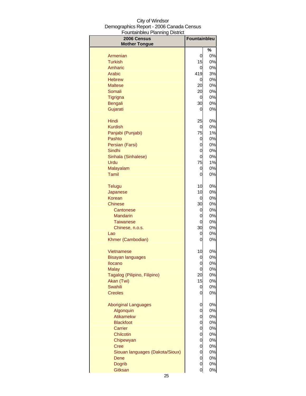| , vanuariwivu i lurining<br><b>PROUD</b><br>2006 Census<br><b>Mother Tongue</b> | <b>Fountainbleu</b> |          |
|---------------------------------------------------------------------------------|---------------------|----------|
|                                                                                 |                     | $\%$     |
| Armenian                                                                        | 0                   | 0%       |
| <b>Turkish</b>                                                                  | 15                  | 0%       |
| Amharic                                                                         | 0                   | 0%       |
| <b>Arabic</b>                                                                   | 419                 | 3%       |
| <b>Hebrew</b>                                                                   | 0                   | 0%       |
| <b>Maltese</b>                                                                  | 20                  | 0%       |
| Somali                                                                          | 20                  | 0%       |
| Tigrigna                                                                        | 0<br>30             | 0%       |
| Bengali<br>Gujarati                                                             | 0                   | 0%<br>0% |
|                                                                                 |                     |          |
| Hindi                                                                           | 25                  | 0%       |
| <b>Kurdish</b>                                                                  | 0                   | 0%       |
| Panjabi (Punjabi)                                                               | 75                  | $1\%$    |
| Pashto                                                                          | 0                   | 0%       |
| Persian (Farsi)<br>Sindhi                                                       | 0<br>0              | 0%<br>0% |
| Sinhala (Sinhalese)                                                             | 0                   | 0%       |
| Urdu                                                                            | 75                  | 1%       |
| Malayalam                                                                       | 0                   | 0%       |
| <b>Tamil</b>                                                                    | 0                   | 0%       |
|                                                                                 |                     |          |
| <b>Telugu</b><br>Japanese                                                       | 10<br>10            | 0%<br>0% |
| Korean                                                                          | 0                   | 0%       |
| <b>Chinese</b>                                                                  | 30                  | 0%       |
| Cantonese                                                                       | 0                   | 0%       |
| <b>Mandarin</b>                                                                 | 0                   | 0%       |
| <b>Taiwanese</b>                                                                | 0                   | 0%       |
| Chinese, n.o.s.                                                                 | 30                  | 0%       |
| Lao                                                                             | 0                   | 0%       |
| Khmer (Cambodian)                                                               | 0                   | 0%       |
| Vietnamese                                                                      | 10                  | 0%       |
| <b>Bisayan languages</b>                                                        | $\Omega$            | 0%       |
| <b>Ilocano</b>                                                                  | 0                   | 0%       |
| <b>Malay</b>                                                                    | 0                   | 0%       |
| Tagalog (Pilipino, Filipino)                                                    | 20                  | 0%       |
| Akan (Twi)                                                                      | 15                  | 0%       |
| <b>Swahili</b>                                                                  | 0                   | 0%       |
| <b>Creoles</b>                                                                  | 0                   | 0%       |
| <b>Aboriginal Languages</b>                                                     | 0                   | 0%       |
| Algonquin                                                                       | 0                   | 0%       |
| Atikamekw                                                                       | 0                   | 0%       |
| <b>Blackfoot</b>                                                                | 0                   | 0%       |
| Carrier                                                                         | 0                   | 0%       |
| Chilcotin                                                                       | 0                   | 0%       |
| Chipewyan                                                                       | 0                   | 0%       |
| <b>Cree</b><br>Siouan languages (Dakota/Sioux)                                  | 0<br>0              | 0%<br>0% |
| Dene                                                                            | 0                   | 0%       |
| <b>Dogrib</b>                                                                   | 0                   | 0%       |
| Gitksan                                                                         | 0                   | 0%       |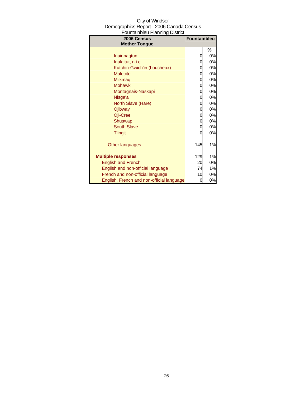| 2006 Census<br><b>Mother Tongue</b>       | <b>Fountainbleu</b> |       |
|-------------------------------------------|---------------------|-------|
|                                           |                     | %     |
| Inuinnagtun                               | 0                   | 0%    |
| Inuktitut, n.i.e.                         | 0                   | 0%    |
| Kutchin-Gwich'in (Loucheux)               | 0                   | 0%    |
| <b>Malecite</b>                           | 0                   | 0%    |
| Mi'kmaq                                   | 0                   | $0\%$ |
| <b>Mohawk</b>                             | 0                   | 0%    |
| Montagnais-Naskapi                        | 0                   | 0%    |
| Nisga'a                                   | 0                   | 0%    |
| North Slave (Hare)                        | 0                   | 0%    |
| Ojibway                                   | 0                   | 0%    |
| Oji-Cree                                  | 0                   | 0%    |
| Shuswap                                   | 0                   | $0\%$ |
| <b>South Slave</b>                        | 0                   | 0%    |
| <b>Tlingit</b>                            | 0                   | 0%    |
| Other languages                           | 145                 | 1%    |
| <b>Multiple responses</b>                 | 129                 | 1%    |
| <b>English and French</b>                 | 20                  | 0%    |
| English and non-official language         | 74                  | 1%    |
| French and non-official language          | 10                  | 0%    |
| English, French and non-official language | 0                   | 0%    |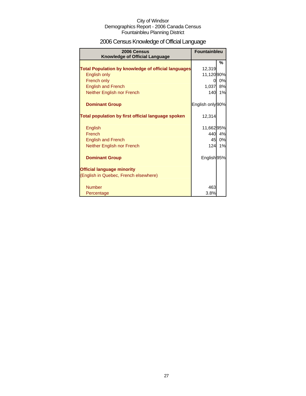# 2006 Census Knowledge of Official Language

| 2006 Census<br><b>Knowledge of Official Language</b>       | <b>Fountainbleu</b> |    |
|------------------------------------------------------------|---------------------|----|
|                                                            |                     | %  |
| <b>Total Population by knowledge of official languages</b> | 12,319              |    |
| English only                                               | 11,120 90%          |    |
| French only                                                | 0                   | 0% |
| <b>English and French</b>                                  | 1,037               | 8% |
| Neither English nor French                                 | 140                 | 1% |
| <b>Dominant Group</b>                                      | English only 90%    |    |
| Total population by first official language spoken         | 12,314              |    |
| English                                                    | 11,66295%           |    |
| French                                                     | 440                 | 4% |
| <b>English and French</b>                                  | 45                  | 0% |
| Neither English nor French                                 | 124                 | 1% |
| <b>Dominant Group</b>                                      | English 95%         |    |
| <b>Official language minority</b>                          |                     |    |
| (English in Quebec, French elsewhere)                      |                     |    |
| <b>Number</b>                                              | 463                 |    |
| Percentage                                                 | 3.8%                |    |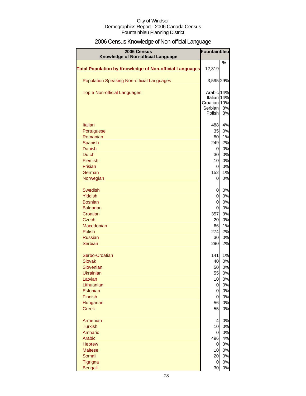# 2006 Census Knowledge of Non-official Language

| 2006 Census<br>Knowledge of Non-official Language              |                             | Fountainbleu |
|----------------------------------------------------------------|-----------------------------|--------------|
|                                                                |                             | %            |
| <b>Total Population by Knowledge of Non-official Languages</b> | 12,319                      |              |
| <b>Population Speaking Non-official Languages</b>              | 3,595 29%                   |              |
| <b>Top 5 Non-official Languages</b>                            | Arabic 14%                  |              |
|                                                                | Italian 14%<br>Croatian 10% |              |
|                                                                | Serbian                     | 8%           |
|                                                                | Polish                      | 8%           |
| Italian                                                        | 488                         | 4%           |
| Portuguese                                                     | 35                          | 0%           |
| Romanian                                                       | 80                          | 1%           |
| Spanish                                                        | 249                         | 2%           |
| <b>Danish</b><br><b>Dutch</b>                                  | $\overline{0}$<br>30        | 0%<br>0%     |
| Flemish                                                        | 10                          | 0%           |
| <b>Frisian</b>                                                 | $\overline{0}$              | 0%           |
| German                                                         | 152                         | 1%           |
| Norwegian                                                      | $\overline{0}$              | 0%           |
| <b>Swedish</b>                                                 | 0                           | 0%           |
| Yiddish                                                        | $\overline{0}$              | 0%           |
| <b>Bosnian</b>                                                 | $\overline{0}$              | 0%           |
| <b>Bulgarian</b><br>Croatian                                   | $\overline{0}$<br>357       | 0%<br>3%     |
| <b>Czech</b>                                                   | 20                          | 0%           |
| Macedonian                                                     | 66                          | 1%           |
| <b>Polish</b>                                                  | 274                         | 2%           |
| <b>Russian</b>                                                 | 30                          | 0%           |
| <b>Serbian</b>                                                 | 290                         | 2%           |
| Serbo-Croatian                                                 | 141                         | 1%           |
| <b>Slovak</b>                                                  | 40                          | 0%           |
| Slovenian<br>Ukrainian                                         | 50<br>55                    | 0%<br>0%     |
| Latvian                                                        | 10                          | 0%           |
| Lithuanian                                                     | $\mathbf 0$                 | 0%           |
| Estonian                                                       | $\overline{0}$              | 0%           |
| Finnish                                                        | $\overline{0}$              | 0%           |
| Hungarian                                                      | 56                          | 0%           |
| <b>Greek</b>                                                   | 55                          | 0%           |
| Armenian                                                       | $\overline{a}$              | 0%           |
| <b>Turkish</b><br>Amharic                                      | 10<br>$\overline{0}$        | 0%<br>0%     |
| Arabic                                                         | 496                         | 4%           |
| <b>Hebrew</b>                                                  | $\overline{0}$              | 0%           |
| <b>Maltese</b>                                                 | 10                          | 0%           |
| Somali                                                         | 20                          | 0%           |
| Tigrigna                                                       | $\overline{0}$              | 0%           |
| <b>Bengali</b>                                                 | 30                          | $0\%$        |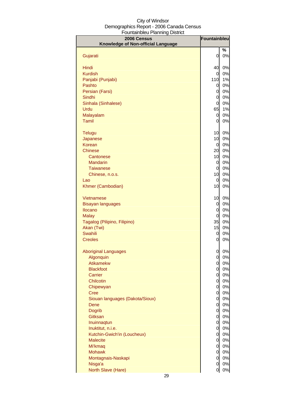| City of Windsor                          |
|------------------------------------------|
| Demographics Report - 2006 Canada Census |
| Fountainbleu Planning District           |

| 2006 Census                        | Fountainbleu                     |          |
|------------------------------------|----------------------------------|----------|
| Knowledge of Non-official Language |                                  |          |
| Gujarati                           | $\mathbf 0$                      | %<br>0%  |
|                                    |                                  |          |
| Hindi                              | 40                               | 0%       |
| <b>Kurdish</b>                     | 0                                | 0%       |
| Panjabi (Punjabi)                  | 110                              | 1%       |
| Pashto                             | 0                                | 0%       |
| Persian (Farsi)                    | 0                                | 0%       |
| Sindhi                             | $\mathbf 0$                      | 0%       |
| Sinhala (Sinhalese)                | 0                                | 0%       |
| Urdu                               | 65                               | 1%       |
| Malayalam                          | 0                                | 0%       |
| Tamil                              | 0                                | 0%       |
| <b>Telugu</b>                      | 10                               | 0%       |
| Japanese                           | 10                               | 0%       |
| Korean                             | 0                                | 0%       |
| <b>Chinese</b>                     | 20                               | 0%       |
| Cantonese                          | 10                               | 0%       |
| Mandarin                           | 0                                | 0%       |
| <b>Taiwanese</b>                   | $\overline{0}$                   | 0%       |
| Chinese, n.o.s.                    | 10                               | 0%       |
| Lao                                | $\overline{0}$                   | 0%       |
| Khmer (Cambodian)                  | 10                               | 0%       |
| Vietnamese                         | 10                               | 0%       |
| <b>Bisayan languages</b>           | 0                                | 0%       |
| <b>Ilocano</b>                     | $\overline{0}$                   | 0%       |
| <b>Malay</b>                       | 0                                | 0%       |
| Tagalog (Pilipino, Filipino)       | 35                               | 0%       |
| Akan (Twi)                         | 15                               | 0%       |
| <b>Swahili</b><br><b>Creoles</b>   | 0                                | 0%<br>0% |
|                                    | 0                                |          |
| <b>Aboriginal Languages</b>        | 0                                | 0%       |
| Algonquin                          | 0                                | 0%       |
| <b>Atikamekw</b>                   | $\mathbf 0$                      | 0%       |
| <b>Blackfoot</b>                   | $\overline{0}$                   | 0%       |
| Carrier<br>Chilcotin               | $\mathbf{0}$<br>$\overline{0}$   | 0%<br>0% |
| Chipewyan                          | $\overline{0}$                   | 0%       |
| <b>Cree</b>                        | $\overline{0}$                   | 0%       |
| Siouan languages (Dakota/Sioux)    | $\overline{0}$                   | 0%       |
| <b>Dene</b>                        | $\overline{0}$                   | 0%       |
| <b>Dogrib</b>                      | $\overline{0}$                   | 0%       |
| Gitksan                            | $\overline{0}$                   | 0%       |
| Inuinnaqtun                        | $\overline{0}$                   | 0%       |
| Inuktitut, n.i.e.                  | $\overline{0}$                   | 0%       |
| Kutchin-Gwich'in (Loucheux)        | $\overline{0}$                   | 0%       |
| <b>Malecite</b>                    | $\overline{0}$<br>$\overline{0}$ | 0%<br>0% |
| Mi'kmaq<br><b>Mohawk</b>           | $\overline{0}$                   | 0%       |
| Montagnais-Naskapi                 | $\mathbf 0$                      | 0%       |
| Nisga'a                            | $\mathbf 0$                      | 0%       |
| North Slave (Hare)                 | $\overline{0}$                   | $0\%$    |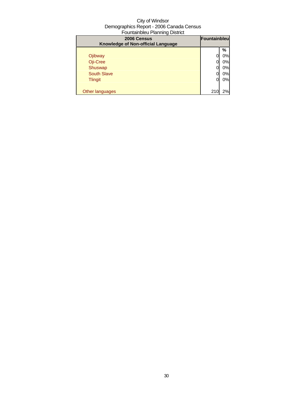| 2006 Census                        | Fountainbleu |    |
|------------------------------------|--------------|----|
| Knowledge of Non-official Language |              |    |
|                                    |              | %  |
| Ojibway                            |              | 0% |
| Oji-Cree                           |              | 0% |
| Shuswap                            |              | 0% |
| <b>South Slave</b>                 |              | 0% |
| <b>Tlingit</b>                     |              | 0% |
|                                    |              |    |
| Other languages                    | 210          | 2% |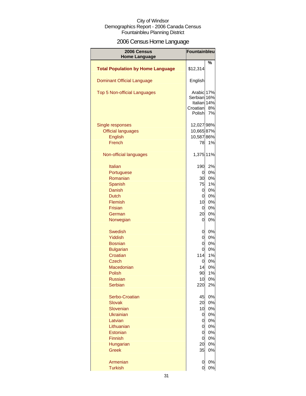# 2006 Census Home Language

| 2006 Census                              | <b>Fountainbleu</b> |       |
|------------------------------------------|---------------------|-------|
| <b>Home Language</b>                     |                     | %     |
| <b>Total Population by Home Language</b> | \$12,314            |       |
| <b>Dominant Official Language</b>        | English             |       |
| <b>Top 5 Non-official Languages</b>      | Arabic 17%          |       |
|                                          | Serbian 16%         |       |
|                                          | Italian 14%         |       |
|                                          | Croatian            | 8%    |
|                                          | Polish              | 7%    |
| Single responses                         | 12,027 98%          |       |
| <b>Official languages</b>                | 10,665 87%          |       |
| <b>English</b>                           | 10,587 86%          |       |
| French                                   | 78                  | 1%    |
|                                          |                     |       |
| Non-official languages                   | 1,375 11%           |       |
| <b>Italian</b>                           | 190                 | 2%    |
| Portuguese                               | 0l                  | 0%    |
| Romanian                                 | 30                  | 0%    |
| <b>Spanish</b>                           | 75                  | 1%    |
| Danish                                   | 0l                  | 0%    |
| <b>Dutch</b>                             | 0l                  | 0%    |
| Flemish                                  | 10                  | 0%    |
| <b>Frisian</b>                           | 0l                  | 0%    |
| German                                   | 20                  | 0%    |
| Norwegian                                | $\overline{0}$      | 0%    |
| <b>Swedish</b>                           | 0l                  | 0%    |
| Yiddish                                  | 0l                  | 0%    |
| <b>Bosnian</b>                           | οI                  | 0%    |
| <b>Bulgarian</b>                         | Οl                  | 0%    |
| Croatian                                 | 114                 | 1%    |
| Czech                                    | 0                   | 0%    |
| Macedonian                               | 14                  | 0%    |
| Polish                                   | 90                  | $1\%$ |
| <b>Russian</b>                           | 10                  | 0%    |
| Serbian                                  | 220                 | 2%    |
| Serbo-Croatian                           | 45                  | 0%    |
| <b>Slovak</b>                            | 20                  | 0%    |
| Slovenian                                | 10                  | 0%    |
| <b>Ukrainian</b>                         | 0                   | 0%    |
| Latvian                                  | 0                   | 0%    |
| Lithuanian                               | 0                   | 0%    |
| Estonian                                 | 0                   | 0%    |
| Finnish                                  | $\overline{0}$      | 0%    |
| Hungarian                                | 20                  | 0%    |
| <b>Greek</b>                             | 35                  | 0%    |
| Armenian                                 | $\mathbf 0$         | 0%    |
| <b>Turkish</b>                           | 0                   | 0%    |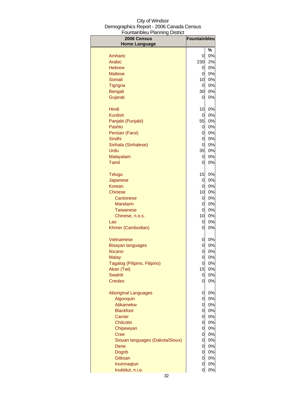| vanambioa mammy<br>יטו ויטו<br>2006 Census | <b>Fountainbleu</b> |          |
|--------------------------------------------|---------------------|----------|
| <b>Home Language</b>                       |                     | %        |
| Amharic                                    | 0                   | 0%       |
| Arabic                                     | 230                 | 2%       |
| <b>Hebrew</b>                              | 0                   | 0%       |
| <b>Maltese</b>                             | 0                   | 0%       |
| Somali                                     | 10                  | 0%       |
| <b>Tigrigna</b>                            | 0                   | 0%       |
| <b>Bengali</b>                             | 30                  | 0%       |
| Gujarati                                   | 0                   | 0%       |
| Hindi                                      | 10                  | 0%       |
| <b>Kurdish</b>                             | 0                   | 0%       |
| Panjabi (Punjabi)                          | 55                  | 0%       |
| Pashto                                     | 0                   | 0%       |
| Persian (Farsi)                            | 0                   | 0%       |
| <b>Sindhi</b>                              | 0                   | 0%       |
| Sinhala (Sinhalese)<br>Urdu                | 0<br>35             | 0%<br>0% |
| Malayalam                                  | 0                   | 0%       |
| Tamil                                      | 0                   | 0%       |
|                                            |                     |          |
| <b>Telugu</b><br>Japanese                  | 15<br>0             | 0%<br>0% |
| Korean                                     | 0                   | 0%       |
| Chinese                                    | 10                  | 0%       |
| Cantonese                                  | 0                   | $0\%$    |
| <b>Mandarin</b>                            | 0                   | 0%       |
| <b>Taiwanese</b>                           | 0                   | 0%       |
| Chinese, n.o.s.                            | 10 <sub>1</sub>     | $0\%$    |
| Lao                                        | 0                   | 0%       |
| Khmer (Cambodian)                          | 0                   | 0%       |
| Vietnamese                                 | 0                   | 0%       |
| <b>Bisayan languages</b>                   | 0                   | 0%       |
| <b>Ilocano</b>                             | 0                   | 0%       |
| <b>Malay</b>                               | 0                   | 0%       |
| Tagalog (Pilipino, Filipino)               | $\overline{0}$      | 0%       |
| Akan (Twi)                                 | 15                  | 0%       |
| <b>Swahili</b><br><b>Creoles</b>           | 0<br>0              | 0%<br>0% |
|                                            |                     |          |
| <b>Aboriginal Languages</b>                | 0                   | 0%       |
| Algonquin                                  | 0                   | 0%       |
| Atikamekw                                  | $\mathsf{o}$        | 0%       |
| <b>Blackfoot</b>                           | $\overline{0}$      | 0%       |
| Carrier<br>Chilcotin                       | 0<br>0              | 0%<br>0% |
| Chipewyan                                  | 0                   | 0%       |
| <b>Cree</b>                                | 0                   | 0%       |
| Siouan languages (Dakota/Sioux)            | 0                   | 0%       |
| Dene                                       | 0                   | 0%       |
| <b>Dogrib</b>                              | 0                   | 0%       |
| Gitksan                                    | 0                   | 0%       |
| Inuinnaqtun                                | 0                   | 0%       |
| Inuktitut, n.i.e.                          | 0                   | 0%       |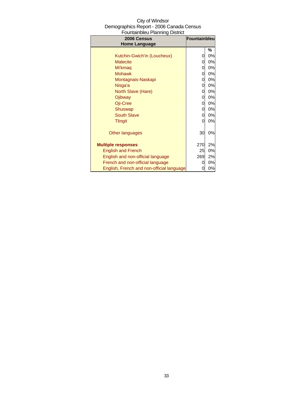| City of Windsor                          |
|------------------------------------------|
| Demographics Report - 2006 Canada Census |
| Fountainbleu Planning District           |

| 2006 Census                               | Fountainbleu |    |
|-------------------------------------------|--------------|----|
| <b>Home Language</b>                      |              |    |
|                                           |              | %  |
| Kutchin-Gwich'in (Loucheux)               | 0            | 0% |
| <b>Malecite</b>                           | 0            | 0% |
| Mi'kmag                                   | 0            | 0% |
| <b>Mohawk</b>                             | 0            | 0% |
| Montagnais-Naskapi                        | 0            | 0% |
| Nisga'a                                   | 0            | 0% |
| North Slave (Hare)                        | 0            | 0% |
| Ojibway                                   | 0            | 0% |
| Oji-Cree                                  | 0            | 0% |
| Shuswap                                   | 0            | 0% |
| <b>South Slave</b>                        | 0            | 0% |
| <b>Tlingit</b>                            | 0            | 0% |
|                                           |              |    |
| Other languages                           | 30           | 0% |
|                                           |              |    |
| <b>Multiple responses</b>                 | 270          | 2% |
| <b>English and French</b>                 | 25           | 0% |
| English and non-official language         | 269          | 2% |
| French and non-official language          | 0            | 0% |
| English, French and non-official language | 0            | 0% |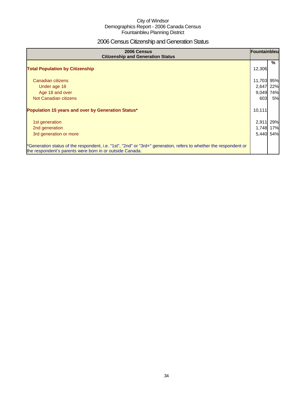# 2006 Census Citizenship and Generation Status

| 2006 Census<br><b>Citizenship and Generation Status</b>                                                                                                                       | Fountainbleu |     |
|-------------------------------------------------------------------------------------------------------------------------------------------------------------------------------|--------------|-----|
| <b>Total Population by Citizenship</b>                                                                                                                                        | 12,306       | %   |
| Canadian citizens                                                                                                                                                             | 11,703       | 95% |
| Under age 18                                                                                                                                                                  | 2,647        | 22% |
| Age 18 and over                                                                                                                                                               | 9,049        | 74% |
| Not Canadian citizens                                                                                                                                                         | 603          | 5%  |
| Population 15 years and over by Generation Status*                                                                                                                            | 10,111       |     |
| 1st generation                                                                                                                                                                | 2,911        | 29% |
| 2nd generation                                                                                                                                                                | 1,748        | 17% |
| 3rd generation or more                                                                                                                                                        | 5,440        | 54% |
| *Generation status of the respondent, i.e. "1st", "2nd" or "3rd+" generation, refers to whether the respondent or<br>the respondent's parents were born in or outside Canada. |              |     |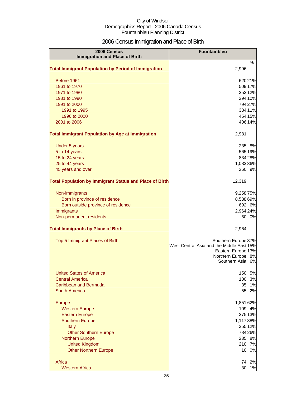# 2006 Census Immigration and Place of Birth

| 2006 Census<br><b>Immigration and Place of Birth</b>           | Fountainbleu                                                                                                                                     |                    |
|----------------------------------------------------------------|--------------------------------------------------------------------------------------------------------------------------------------------------|--------------------|
| <b>Total Immigrant Population by Period of Immigration</b>     | 2,996                                                                                                                                            | %                  |
|                                                                |                                                                                                                                                  |                    |
| Before 1961                                                    |                                                                                                                                                  | 62021%             |
| 1961 to 1970                                                   |                                                                                                                                                  | 509 17%            |
| 1971 to 1980<br>1981 to 1990                                   |                                                                                                                                                  | 353 12%<br>294 10% |
| 1991 to 2000                                                   |                                                                                                                                                  | 79427%             |
| 1991 to 1995                                                   |                                                                                                                                                  | 334 11%            |
| 1996 to 2000                                                   |                                                                                                                                                  | 454 15%            |
| 2001 to 2006                                                   |                                                                                                                                                  | 406 14%            |
| <b>Total Immigrant Population by Age at Immigration</b>        | 2,981                                                                                                                                            |                    |
| Under 5 years                                                  | 235                                                                                                                                              | 8%                 |
| 5 to 14 years                                                  |                                                                                                                                                  | 565 19%            |
| 15 to 24 years                                                 |                                                                                                                                                  | 834 28%            |
| 25 to 44 years                                                 | 1,083 36%                                                                                                                                        |                    |
| 45 years and over                                              |                                                                                                                                                  | 260 9%             |
| <b>Total Population by Immigrant Status and Place of Birth</b> | 12,319                                                                                                                                           |                    |
| Non-immigrants                                                 | 9,258 75%                                                                                                                                        |                    |
| Born in province of residence                                  | 8,538 69%                                                                                                                                        |                    |
| Born outside province of residence                             |                                                                                                                                                  | 692 6%             |
| Immigrants                                                     | 2,964 24%                                                                                                                                        |                    |
| Non-permanent residents                                        | 60                                                                                                                                               | 0%                 |
| <b>Total Immigrants by Place of Birth</b>                      | 2,964                                                                                                                                            |                    |
| Top 5 Immigrant Places of Birth                                | Southern Europe <sup>37%</sup><br>West Central Asia and the Middle East 15%<br>Eastern Europe <sup>13%</sup><br>Northern Europe<br>Southern Asia | 8%<br>6%           |
| <b>United States of America</b>                                | 150                                                                                                                                              | 5%                 |
| <b>Central America</b>                                         | 100                                                                                                                                              | 3%                 |
| Caribbean and Bermuda                                          | 35                                                                                                                                               | 1%                 |
| South America                                                  | 55                                                                                                                                               | 2%                 |
| Europe                                                         | 1,851 62%                                                                                                                                        |                    |
| <b>Western Europe</b>                                          | 109                                                                                                                                              | 4%                 |
| <b>Eastern Europe</b>                                          |                                                                                                                                                  | 375 13%            |
| <b>Southern Europe</b>                                         | 1,11738%                                                                                                                                         |                    |
| <b>Italy</b>                                                   |                                                                                                                                                  | 355 12%<br>784 26% |
| <b>Other Southern Europe</b><br><b>Northern Europe</b>         | 235                                                                                                                                              | 8%                 |
| <b>United Kingdom</b>                                          | 210                                                                                                                                              | 7%                 |
| <b>Other Northern Europe</b>                                   | 10                                                                                                                                               | 0%                 |
| Africa                                                         | 74                                                                                                                                               | 2%                 |
| <b>Western Africa</b>                                          | 30                                                                                                                                               | 1%                 |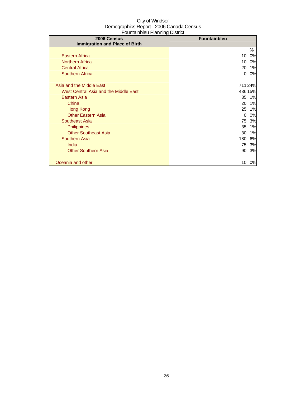| <u>oanaan noroa 1 nafining</u><br>2006 Census | <b>Fountainbleu</b> |         |
|-----------------------------------------------|---------------------|---------|
| <b>Immigration and Place of Birth</b>         |                     |         |
|                                               |                     | ℅       |
| <b>Eastern Africa</b>                         | 10                  | 0%      |
| <b>Northern Africa</b>                        | 10 <sup>1</sup>     | 0%      |
| <b>Central Africa</b>                         | 20                  | 1%      |
| Southern Africa                               | 01                  | 0%      |
|                                               |                     |         |
| Asia and the Middle East                      |                     | 71124%  |
| West Central Asia and the Middle East         |                     | 436 15% |
| <b>Eastern Asia</b>                           | 35                  | 1%      |
| China                                         | 20                  | 1%      |
| Hong Kong                                     | 25                  | 1%      |
| <b>Other Eastern Asia</b>                     | $\overline{0}$      | 0%      |
| Southeast Asia                                | 75                  | 3%      |
| <b>Philippines</b>                            | 35                  | 1%      |
| <b>Other Southeast Asia</b>                   | 30                  | 1%      |
| Southern Asia                                 | 180                 | 6%      |
| India                                         | 75                  | 3%      |
| <b>Other Southern Asia</b>                    | 90                  | 3%      |
|                                               |                     |         |
| Oceania and other                             | 10                  | 0%      |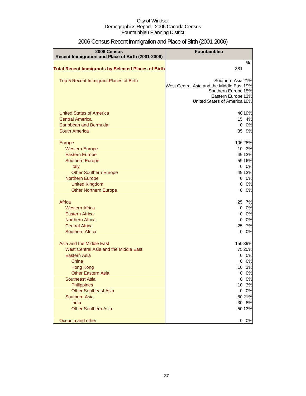| 2006 Census                                                | Fountainbleu                                                                                                                                                      |               |
|------------------------------------------------------------|-------------------------------------------------------------------------------------------------------------------------------------------------------------------|---------------|
| Recent Immigration and Place of Birth (2001-2006)          |                                                                                                                                                                   |               |
| <b>Total Recent Immigrants by Selected Places of Birth</b> | 381                                                                                                                                                               | $\%$          |
| Top 5 Recent Immigrant Places of Birth                     | Southern Asia 21%<br>West Central Asia and the Middle East 19%<br>Southern Europe <sup>15%</sup><br>Eastern Europe <sup>13%</sup><br>United States of America 10% |               |
| <b>United States of America</b>                            |                                                                                                                                                                   | 4010%         |
| <b>Central America</b>                                     | 15                                                                                                                                                                | 4%            |
| Caribbean and Bermuda                                      | $\overline{0}$                                                                                                                                                    | 0%            |
| <b>South America</b>                                       | 35                                                                                                                                                                | 9%            |
|                                                            |                                                                                                                                                                   |               |
| <b>Europe</b>                                              | 10 <sup>1</sup>                                                                                                                                                   | 106 28%<br>3% |
| <b>Western Europe</b><br><b>Eastern Europe</b>             |                                                                                                                                                                   | 4913%         |
| <b>Southern Europe</b>                                     |                                                                                                                                                                   | 5916%         |
| <b>Italy</b>                                               | $\mathbf{0}$                                                                                                                                                      | 0%            |
| <b>Other Southern Europe</b>                               |                                                                                                                                                                   | 49 13%        |
| <b>Northern Europe</b>                                     | $\overline{O}$                                                                                                                                                    | 0%            |
| <b>United Kingdom</b>                                      | $\Omega$                                                                                                                                                          | 0%            |
| <b>Other Northern Europe</b>                               | $\overline{0}$                                                                                                                                                    | 0%            |
|                                                            |                                                                                                                                                                   |               |
| Africa                                                     | 25                                                                                                                                                                | 7%            |
| <b>Western Africa</b><br><b>Eastern Africa</b>             | $\overline{0}$<br>$\overline{0}$                                                                                                                                  | 0%<br>0%      |
| <b>Northern Africa</b>                                     | $\overline{0}$                                                                                                                                                    | 0%            |
| <b>Central Africa</b>                                      | 25                                                                                                                                                                | 7%            |
| Southern Africa                                            | 0                                                                                                                                                                 | 0%            |
|                                                            |                                                                                                                                                                   |               |
| Asia and the Middle East                                   |                                                                                                                                                                   | 15039%        |
| West Central Asia and the Middle East                      |                                                                                                                                                                   | 7520%         |
| Eastern Asia                                               | 0                                                                                                                                                                 | 0%            |
| China                                                      | 0                                                                                                                                                                 | 0%            |
| <b>Hong Kong</b>                                           | 10                                                                                                                                                                | 3%            |
| <b>Other Eastern Asia</b>                                  | <sub>0</sub>                                                                                                                                                      | 0%            |
| <b>Southeast Asia</b>                                      | $\overline{0}$                                                                                                                                                    | 0%            |
| Philippines                                                | 10                                                                                                                                                                | 3%            |
| <b>Other Southeast Asia</b>                                | $\overline{0}$                                                                                                                                                    | 0%            |
| Southern Asia                                              |                                                                                                                                                                   | 8021%         |
| <b>India</b><br><b>Other Southern Asia</b>                 | 30                                                                                                                                                                | 8%            |
|                                                            |                                                                                                                                                                   | 5013%         |
| Oceania and other                                          | $\overline{0}$                                                                                                                                                    | 0%            |

## 2006 Census Recent Immigration and Place of Birth (2001-2006)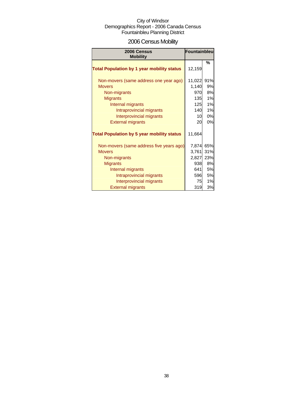## 2006 Census Mobility

| 2006 Census<br><b>Mobility</b>                                                                                                                                                                      | Fountainbleu                                            |                                                  |
|-----------------------------------------------------------------------------------------------------------------------------------------------------------------------------------------------------|---------------------------------------------------------|--------------------------------------------------|
| <b>Total Population by 1 year mobility status</b>                                                                                                                                                   | 12,159                                                  | $\frac{9}{6}$                                    |
| Non-movers (same address one year ago)<br><b>Movers</b><br>Non-migrants<br><b>Migrants</b><br>Internal migrants<br>Intraprovincial migrants<br>Interprovincial migrants<br><b>External migrants</b> | 11,022<br>1,140<br>970<br>135<br>125<br>140<br>10<br>20 | 91%<br>9%<br>8%<br>1%<br>1%<br>1%<br>0%<br>0%    |
| <b>Total Population by 5 year mobility status</b>                                                                                                                                                   | 11,664                                                  |                                                  |
| Non-movers (same address five years ago)<br><b>Movers</b><br>Non-migrants<br><b>Migrants</b><br>Internal migrants<br>Intraprovincial migrants<br>Interprovincial migrants                           | 7,874<br>3,761<br>2,827<br>938<br>641<br>596<br>75      | 65%<br>31%<br>23%<br>8%<br>5%<br><b>5%</b><br>1% |
| <b>External migrants</b>                                                                                                                                                                            | 319                                                     | 3%                                               |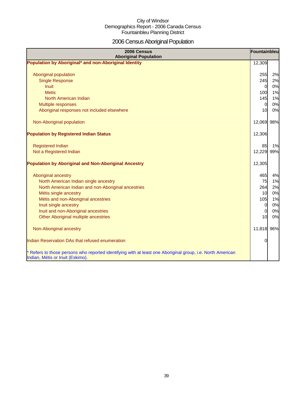## 2006 Census Aboriginal Population

| 2006 Census<br><b>Aboriginal Population</b>                                                                                                    | Fountainbleu   |    |
|------------------------------------------------------------------------------------------------------------------------------------------------|----------------|----|
| Population by Aboriginal* and non-Aboriginal Identity                                                                                          | 12,309         |    |
|                                                                                                                                                |                |    |
| Aboriginal population                                                                                                                          | 255            | 2% |
| <b>Single Response</b>                                                                                                                         | 245            | 2% |
| <b>Inuit</b>                                                                                                                                   | $\overline{0}$ | 0% |
| <b>Metis</b>                                                                                                                                   | 100            | 1% |
| North American Indian                                                                                                                          | 145            | 1% |
| Multiple responses                                                                                                                             | 0              | 0% |
| Aboriginal responses not included elsewhere                                                                                                    | 10             | 0% |
| Non-Aboriginal population                                                                                                                      | 12,069 98%     |    |
| <b>Population by Registered Indian Status</b>                                                                                                  | 12,306         |    |
| <b>Registered Indian</b>                                                                                                                       | 85             | 1% |
| Not a Registered Indian                                                                                                                        | 12,229 99%     |    |
| <b>Population by Aboriginal and Non-Aboriginal Ancestry</b>                                                                                    | 12,305         |    |
| Aboriginal ancestry                                                                                                                            | 465            | 4% |
| North American Indian single ancestry                                                                                                          | 75             | 1% |
| North American Indian and non-Aboriginal ancestries                                                                                            | 264            | 2% |
| Métis single ancestry                                                                                                                          | 10             | 0% |
| Métis and non-Aboriginal ancestries                                                                                                            | 105            | 1% |
| Inuit single ancestry                                                                                                                          | 0              | 0% |
| Inuit and non-Aboriginal ancestries                                                                                                            | $\mathbf 0$    | 0% |
| Other Aboriginal multiple ancestries                                                                                                           | 10             | 0% |
| Non-Aboriginal ancestry                                                                                                                        | 11,818 96%     |    |
| Indian Reservation DAs that refused enumeration                                                                                                | 0              |    |
| * Refers to those persons who reported identifying with at least one Aboriginal group, i.e. North American<br>Indian, Métis or Inuit (Eskimo). |                |    |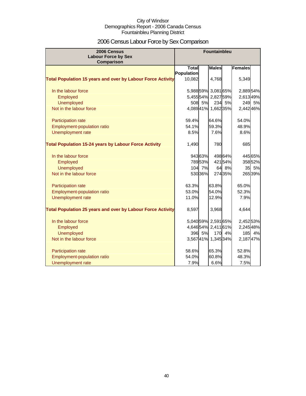## 2006 Census Labour Force by Sex Comparison

| 2006 Census<br><b>Labour Force by Sex</b><br>Comparison            |              |         | <b>Fountainbleu</b> |         |                |         |
|--------------------------------------------------------------------|--------------|---------|---------------------|---------|----------------|---------|
|                                                                    | <b>Total</b> |         | <b>Males</b>        |         | <b>Females</b> |         |
|                                                                    | Population   |         |                     |         |                |         |
| <b>Total Population 15 years and over by Labour Force Activity</b> | 10,082       |         | 4,768               |         | 5,349          |         |
| In the labour force                                                |              |         | 5,98859% 3,08165%   |         | 2,88954%       |         |
| Employed                                                           |              |         | 5,455 54% 2,827 59% |         | 2,61349%       |         |
| <b>Unemployed</b>                                                  | 508          | 5%      |                     | 234 5%  | 249            | 5%      |
| Not in the labour force                                            |              |         | 4,08941% 1,66235%   |         | 2,442 46%      |         |
| Participation rate                                                 | 59.4%        |         | 64.6%               |         | 54.0%          |         |
| Employment-population ratio                                        | 54.1%        |         | 59.3%               |         | 48.9%          |         |
| <b>Unemployment rate</b>                                           | 8.5%         |         | 7.6%                |         | 8.6%           |         |
| <b>Total Population 15-24 years by Labour Force Activity</b>       | 1,490        |         | 780                 |         | 685            |         |
| In the labour force                                                |              | 94363%  |                     | 498 64% |                | 44565%  |
| Employed                                                           |              | 789 53% |                     | 42154%  |                | 358 52% |
| <b>Unemployed</b>                                                  |              | 104 7%  |                     | 64 8%   |                | 35 5%   |
| Not in the labour force                                            |              | 53036%  |                     | 27435%  |                | 265 39% |
| Participation rate                                                 | 63.3%        |         | 63.8%               |         | 65.0%          |         |
| Employment-population ratio                                        | 53.0%        |         | 54.0%               |         | 52.3%          |         |
| Unemployment rate                                                  | 11.0%        |         | 12.9%               |         | 7.9%           |         |
| <b>Total Population 25 years and over by Labour Force Activity</b> | 8,597        |         | 3,968               |         | 4,644          |         |
| In the labour force                                                |              |         | 5,04059% 2,59165%   |         | 2,452 53%      |         |
| Employed                                                           |              |         | 4,64654% 2,41161%   |         | 2,245 48%      |         |
| <b>Unemployed</b>                                                  |              | 396 5%  | 170                 | 4%      | 185            | 4%      |
| Not in the labour force                                            |              |         | 3,56741% 1,34534%   |         | 2,18747%       |         |
| Participation rate                                                 | 58.6%        |         | 65.3%               |         | 52.8%          |         |
| <b>Employment-population ratio</b>                                 | 54.0%        |         | 60.8%               |         | 48.3%          |         |
| Unemployment rate                                                  | 7.9%         |         | 6.6%                |         | 7.5%           |         |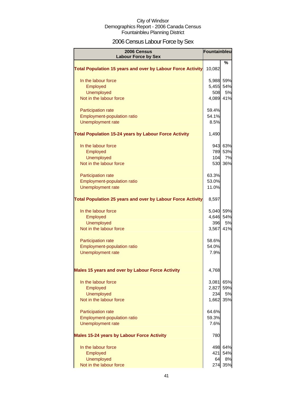## 2006 Census Labour Force by Sex

| 2006 Census<br><b>Labour Force by Sex</b>                          | Fountainbleu |           |
|--------------------------------------------------------------------|--------------|-----------|
|                                                                    |              | %         |
| <b>Total Population 15 years and over by Labour Force Activity</b> | 10,082       |           |
| In the labour force                                                | 5,988 59%    |           |
| Employed                                                           | 5,455 54%    |           |
| Unemployed                                                         | 508          | 5%        |
| Not in the labour force                                            | 4,089 41%    |           |
| <b>Participation rate</b>                                          | 59.4%        |           |
| Employment-population ratio                                        | 54.1%        |           |
| Unemployment rate                                                  | 8.5%         |           |
| <b>Total Population 15-24 years by Labour Force Activity</b>       | 1,490        |           |
| In the labour force                                                |              | 943 63%   |
| Employed                                                           |              | 789 53%   |
| <b>Unemployed</b>                                                  | 104          | 7%        |
| Not in the labour force                                            |              | 530 36%   |
| <b>Participation rate</b>                                          | 63.3%        |           |
| Employment-population ratio                                        | 53.0%        |           |
| Unemployment rate                                                  | 11.0%        |           |
| <b>Total Population 25 years and over by Labour Force Activity</b> | 8,597        |           |
| In the labour force                                                | 5,040 59%    |           |
| Employed                                                           | 4,646 54%    |           |
| <b>Unemployed</b>                                                  | 396          | <b>5%</b> |
| Not in the labour force                                            | 3,567        | 41%       |
| <b>Participation rate</b>                                          | 58.6%        |           |
| Employment-population ratio                                        | 54.0%        |           |
| Unemployment rate                                                  | 7.9%         |           |
| Males 15 years and over by Labour Force Activity                   | 4,768        |           |
| In the labour force                                                | 3,081        | 65%       |
| Employed                                                           | 2,827        | 59%       |
| <b>Unemployed</b>                                                  | 234          | 5%        |
| Not in the labour force                                            | 1,662        | 35%       |
| <b>Participation rate</b>                                          | 64.6%        |           |
| Employment-population ratio                                        | 59.3%        |           |
| Unemployment rate                                                  | 7.6%         |           |
| <b>Males 15-24 years by Labour Force Activity</b>                  | 780          |           |
| In the labour force                                                |              | 498 64%   |
| Employed                                                           | 421          | 54%       |
| <b>Unemployed</b>                                                  | 64           | 8%        |
| Not in the labour force                                            |              | 274 35%   |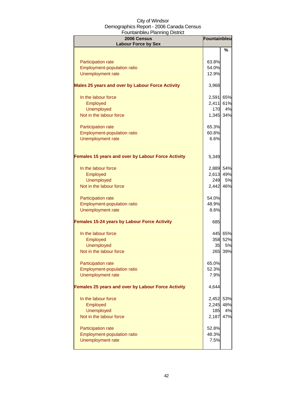| 2006 Census<br><b>Labour Force by Sex</b>           | Fountainbleu |         |
|-----------------------------------------------------|--------------|---------|
|                                                     |              | %       |
| <b>Participation rate</b>                           | 63.8%        |         |
| Employment-population ratio                         | 54.0%        |         |
| Unemployment rate                                   | 12.9%        |         |
|                                                     |              |         |
| Males 25 years and over by Labour Force Activity    | 3,968        |         |
| In the labour force                                 | 2,591        | 65%     |
| Employed                                            | 2,411        | 61%     |
| Unemployed                                          | 170          | 4%      |
| Not in the labour force                             | 1,345 34%    |         |
| Participation rate                                  | 65.3%        |         |
| Employment-population ratio                         | 60.8%        |         |
| Unemployment rate                                   | 6.6%         |         |
|                                                     |              |         |
| Females 15 years and over by Labour Force Activity  | 5,349        |         |
| In the labour force                                 | 2,889 54%    |         |
| Employed                                            | 2,613 49%    |         |
| <b>Unemployed</b>                                   | 249          | 5%      |
| Not in the labour force                             | 2,442 46%    |         |
|                                                     |              |         |
| Participation rate                                  | 54.0%        |         |
| Employment-population ratio                         | 48.9%        |         |
| Unemployment rate                                   | 8.6%         |         |
| <b>Females 15-24 years by Labour Force Activity</b> | 685          |         |
| In the labour force                                 |              | 445 65% |
| Employed                                            |              | 358 52% |
| <b>Unemployed</b>                                   | 35           | 5%      |
| Not in the labour force                             |              | 265 39% |
| <b>Participation rate</b>                           | 65.0%        |         |
| <b>Employment-population ratio</b>                  | 52.3%        |         |
| <b>Unemployment rate</b>                            | 7.9%         |         |
| Females 25 years and over by Labour Force Activity  | 4,644        |         |
| In the labour force                                 | 2,452        | 53%     |
| Employed                                            | 2,245        | 48%     |
| Unemployed                                          | 185          | 4%      |
| Not in the labour force                             | 2,187        | 47%     |
| Participation rate                                  | 52.8%        |         |
| Employment-population ratio                         | 48.3%        |         |
| <b>Unemployment rate</b>                            | 7.5%         |         |
|                                                     |              |         |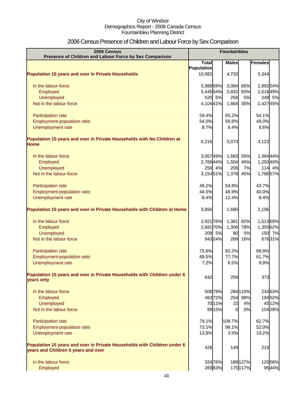## 2006 Census Presence of Children and Labour Force by Sex Comparison

| 2006 Census<br>Presence of Children and Labour Force by Sex Comparison                                          | <b>Fountainbleu</b> |         |              |          |                |
|-----------------------------------------------------------------------------------------------------------------|---------------------|---------|--------------|----------|----------------|
|                                                                                                                 | <b>Total</b>        |         | <b>Males</b> |          | <b>Females</b> |
|                                                                                                                 | Population          |         |              |          |                |
| <b>Population 15 years and over in Private Households</b>                                                       | 10,082              |         | 4,733        |          | 5,344          |
| In the labour force                                                                                             | 5,988 59%           |         | 3,084        | 65%      | 2,892 54%      |
| Employed                                                                                                        | 5,44554%            |         | 2,832        | 60%      | 2,61849%       |
| Unemployed                                                                                                      |                     | 520 5%  | 259          | 5%       | 249 5%         |
| Not in the labour force                                                                                         | 4,10441%            |         | 1,664        | 35%      | 2,42745%       |
| Participation rate                                                                                              | 59.4%               |         | 65.2%        |          | 54.1%          |
| Employment-population ratio                                                                                     | 54.0%               |         | 59.8%        |          | 49.0%          |
| Unemployment rate                                                                                               | 8.7%                |         | 8.4%         |          | 8.6%           |
| Population 15 years and over in Private Households with No Children at<br><b>Home</b>                           | 6,216               |         | 3,073        |          | 3,123          |
| In the labour force                                                                                             | 3,05749%            |         | 1,683        | 55%      | 1,364 44%      |
| Employed                                                                                                        | 2,76644%            |         | 1,504        | 49%      | 1,250 40%      |
| <b>Unemployed</b>                                                                                               |                     | 258 4%  | 209          | 7%       | 114 4%         |
| Not in the labour force                                                                                         | 3,15451%            |         | 1,378        | 45%      | 1,78657%       |
| Participation rate                                                                                              | 49.2%               |         | 54.8%        |          | 43.7%          |
| Employment-population ratio                                                                                     | 44.5%               |         | 48.9%        |          | 40.0%          |
| Unemployment rate                                                                                               | 8.4%                |         | 12.4%        |          | 8.4%           |
| Population 15 years and over in Private Households with Children at Home                                        | 3,856               |         | 1,680        |          | 2,196          |
| In the labour force                                                                                             | 2,921 76%           |         | 1,381        | 82%      | 1,51369%       |
| Employed                                                                                                        | 2,681 70%           |         | 1,306        | 78%      | 1,355 62%      |
| <b>Unemployed</b>                                                                                               |                     | 209 5%  | 90           | 5%       | 150 7%         |
| Not in the labour force                                                                                         |                     | 943 24% | 269          | 16%      | 67631%         |
| Participation rate                                                                                              | 75.8%               |         | 82.2%        |          | 68.9%          |
| <b>Employment-population ratio</b>                                                                              | 69.5%               |         | 77.7%        |          | 61.7%          |
| Unemployment rate                                                                                               | 7.2%                |         | 6.5%         |          | 9.9%           |
| Population 15 years and over in Private Households with Children under 6<br>years only                          | 642                 |         | 259          |          | 373            |
| In the labour force                                                                                             |                     | 508 79% |              | 284 110% | 234 63%        |
| Employed                                                                                                        |                     | 46372%  | 254          | 98%      | 19452%         |
| Unemployed                                                                                                      |                     | 7011%   | 10           | 4%       | 45 12%         |
| Not in the labour force                                                                                         |                     | 9915%   | $\Omega$     | 0%       | 104 28%        |
| Participation rate                                                                                              | 79.1%               |         | 109.7%       |          | 62.7%          |
| Employment-population ratio                                                                                     | 72.1%               |         | 98.1%        |          | 52.0%          |
| Unemployment rate                                                                                               | 13.8%               |         | 3.5%         |          | 19.2%          |
| Population 15 years and over in Private Households with Children under 6<br>years and Children 6 years and over | 426                 |         | 149          |          | 215            |
| In the labour force                                                                                             |                     | 324 76% |              | 189 127% | 12056%         |
| Employed                                                                                                        |                     | 26963%  |              | 175 117% | 9544%          |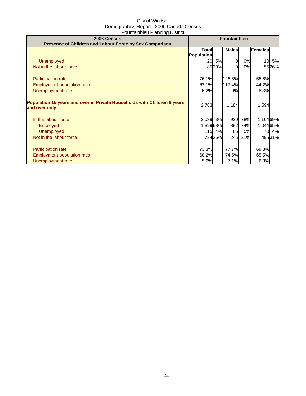| 2006 Census<br>Presence of Children and Labour Force by Sex Comparison                    | <b>Fountainbleu</b>        |         |                        |           |                |         |
|-------------------------------------------------------------------------------------------|----------------------------|---------|------------------------|-----------|----------------|---------|
|                                                                                           | <b>Total</b><br>Population |         | <b>Males</b>           |           | Females        |         |
| <b>Unemployed</b>                                                                         | 20                         | 5%      | 0                      | 0%        | 10             | 5%      |
| Not in the labour force                                                                   |                            | 8520%   | ΩI                     | 0%        |                | 5526%   |
| <b>Participation rate</b>                                                                 | 76.1%                      |         | 126.8%                 |           | 55.8%          |         |
| Employment-population ratio                                                               | 63.1%                      |         | 117.4%                 |           | 44.2%          |         |
| Unemployment rate                                                                         | 6.2%                       |         | 0.0%                   |           | 8.3%           |         |
| Population 15 years and over in Private Households with Children 6 years<br>and over only | 2,783                      |         | 1,184                  |           | 1,594          |         |
| In the labour force                                                                       | 2,039 73%                  |         | 920                    | 78%       | 1,104 69%      |         |
| <b>Employed</b>                                                                           | 1,899 68%                  |         | 882                    | 74%       | 1,044 65%      |         |
| <b>Unemployed</b>                                                                         |                            | 115 4%  | 65                     | <b>5%</b> | 70             | 4%      |
| Not in the labour force                                                                   |                            | 734 26% | 245                    | 21%       |                | 495 31% |
| <b>Participation rate</b><br>Employment-population ratio                                  | 73.3%<br>68.2%<br>5.6%     |         | 77.7%<br>74.5%<br>7.1% |           | 69.3%<br>65.5% |         |
| Unemployment rate                                                                         |                            |         |                        |           | 6.3%           |         |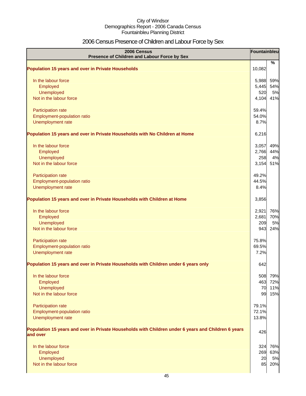## 2006 Census Presence of Children and Labour Force by Sex

| 2006 Census<br>Presence of Children and Labour Force by Sex                                                     | Fountainbleu |            |
|-----------------------------------------------------------------------------------------------------------------|--------------|------------|
| <b>Population 15 years and over in Private Households</b>                                                       | 10,082       | %          |
|                                                                                                                 |              |            |
| In the labour force                                                                                             | 5,988        | 59%        |
| Employed                                                                                                        | 5,445        | 54%        |
| Unemployed                                                                                                      | 520          | 5%         |
| Not in the labour force                                                                                         | 4,104        | 41%        |
| Participation rate                                                                                              | 59.4%        |            |
| Employment-population ratio                                                                                     | 54.0%        |            |
| Unemployment rate                                                                                               | 8.7%         |            |
| Population 15 years and over in Private Households with No Children at Home                                     | 6,216        |            |
| In the labour force                                                                                             | 3,057        | 49%        |
| Employed                                                                                                        | 2,766        | 44%        |
| <b>Unemployed</b>                                                                                               | 258          | 4%         |
| Not in the labour force                                                                                         | 3,154        | 51%        |
| Participation rate                                                                                              | 49.2%        |            |
| Employment-population ratio                                                                                     | 44.5%        |            |
| Unemployment rate                                                                                               | 8.4%         |            |
| Population 15 years and over in Private Households with Children at Home                                        | 3,856        |            |
| In the labour force                                                                                             | 2,921        | 76%        |
| Employed                                                                                                        | 2,681        | 70%        |
| Unemployed                                                                                                      | 209          | 5%         |
| Not in the labour force                                                                                         | 943          | 24%        |
| Participation rate                                                                                              | 75.8%        |            |
| Employment-population ratio                                                                                     | 69.5%        |            |
| Unemployment rate                                                                                               | 7.2%         |            |
| Population 15 years and over in Private Households with Children under 6 years only                             | 642          |            |
| In the labour force                                                                                             | 508          | 79%        |
| Employed                                                                                                        | 463          | 72%        |
| Unemployed                                                                                                      | 70           | 11%        |
| Not in the labour force                                                                                         | 99           | 15%        |
| Participation rate                                                                                              | 79.1%        |            |
| Employment-population ratio                                                                                     | 72.1%        |            |
| Unemployment rate                                                                                               | 13.8%        |            |
| Population 15 years and over in Private Households with Children under 6 years and Children 6 years<br>and over | 426          |            |
|                                                                                                                 |              |            |
| In the labour force                                                                                             | 324<br>269   | 76%<br>63% |
| Employed<br>Unemployed                                                                                          | 20           | 5%         |
| Not in the labour force                                                                                         | 85           | 20%        |
|                                                                                                                 |              |            |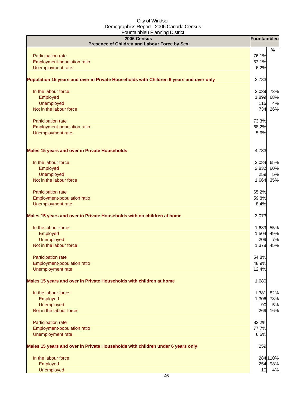| $-0.000$<br>2006 Census<br>Presence of Children and Labour Force by Sex                | Fountainbleu |               |
|----------------------------------------------------------------------------------------|--------------|---------------|
|                                                                                        |              | $\frac{9}{6}$ |
| Participation rate                                                                     | 76.1%        |               |
| Employment-population ratio                                                            | 63.1%        |               |
| Unemployment rate                                                                      | 6.2%         |               |
| Population 15 years and over in Private Households with Children 6 years and over only | 2,783        |               |
| In the labour force                                                                    | 2,039        | 73%           |
| Employed                                                                               | 1,899        | 68%           |
| Unemployed                                                                             | 115          | 4%            |
| Not in the labour force                                                                | 734          | 26%           |
| Participation rate                                                                     | 73.3%        |               |
| Employment-population ratio                                                            | 68.2%        |               |
| Unemployment rate                                                                      | 5.6%         |               |
| <b>Males 15 years and over in Private Households</b>                                   | 4,733        |               |
| In the labour force                                                                    | 3,084        | 65%           |
| Employed                                                                               | 2,832        | 60%           |
| Unemployed                                                                             | 259          | 5%            |
| Not in the labour force                                                                | 1,664        | 35%           |
| Participation rate                                                                     | 65.2%        |               |
| Employment-population ratio                                                            | 59.8%        |               |
| Unemployment rate                                                                      | 8.4%         |               |
| Males 15 years and over in Private Households with no children at home                 | 3,073        |               |
| In the labour force                                                                    | 1,683        | 55%           |
| Employed                                                                               | 1,504        | 49%           |
| Unemployed                                                                             | 209          | 7%            |
| Not in the labour force                                                                | 1,378        | 45%           |
| <b>Participation rate</b>                                                              | 54.8%        |               |
| Employment-population ratio                                                            | 48.9%        |               |
| Unemployment rate                                                                      | 12.4%        |               |
| Males 15 years and over in Private Households with children at home                    | 1,680        |               |
| In the labour force                                                                    | 1,381        | 82%           |
| Employed                                                                               | 1,306        | 78%           |
| Unemployed                                                                             | 90           | 5%            |
| Not in the labour force                                                                | 269          | 16%           |
| Participation rate                                                                     | 82.2%        |               |
| Employment-population ratio                                                            | 77.7%        |               |
| Unemployment rate                                                                      | 6.5%         |               |
| Males 15 years and over in Private Households with children under 6 years only         | 259          |               |
| In the labour force                                                                    |              | 284 110%      |
| Employed                                                                               | 254          | 98%           |
| Unemployed                                                                             | 10           | 4%            |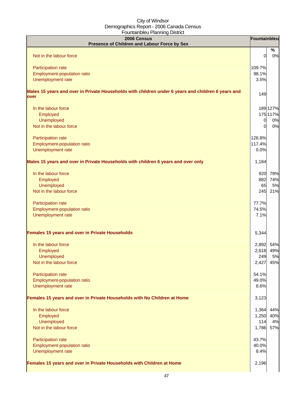| 2006 Census<br>Presence of Children and Labour Force by Sex                                                | Fountainbleu   |          |
|------------------------------------------------------------------------------------------------------------|----------------|----------|
|                                                                                                            |                | $\%$     |
| Not in the labour force                                                                                    | $\Omega$       | 0%       |
| Participation rate                                                                                         | 109.7%         |          |
| Employment-population ratio                                                                                | 98.1%          |          |
| Unemployment rate                                                                                          | 3.5%           |          |
| Males 15 years and over in Private Households with children under 6 years and children 6 years and<br>over | 149            |          |
| In the labour force                                                                                        |                | 189 127% |
| Employed                                                                                                   |                | 175 117% |
| Unemployed                                                                                                 | $\overline{0}$ | 0%       |
| Not in the labour force                                                                                    | $\overline{0}$ | 0%       |
| Participation rate                                                                                         | 126.8%         |          |
| Employment-population ratio                                                                                | 117.4%         |          |
| Unemployment rate                                                                                          | 0.0%           |          |
| Males 15 years and over in Private Households with children 6 years and over only                          | 1,184          |          |
| In the labour force                                                                                        | 920            | 78%      |
| Employed                                                                                                   | 882            | 74%      |
| Unemployed                                                                                                 | 65             | 5%       |
| Not in the labour force                                                                                    | 245            | 21%      |
| Participation rate                                                                                         | 77.7%          |          |
| Employment-population ratio                                                                                | 74.5%          |          |
| Unemployment rate                                                                                          | 7.1%           |          |
| Females 15 years and over in Private Households                                                            | 5,344          |          |
| In the labour force                                                                                        | 2,892          | 54%      |
| Employed                                                                                                   | 2,618          | 49%      |
| Unemployed                                                                                                 | 249            | 5%       |
| Not in the labour force                                                                                    | 2,427          | 45%      |
| Participation rate                                                                                         | 54.1%          |          |
| Employment-population ratio                                                                                | 49.0%          |          |
| Unemployment rate                                                                                          | 8.6%           |          |
| Females 15 years and over in Private Households with No Children at Home                                   | 3,123          |          |
| In the labour force                                                                                        | 1,364          | 44%      |
| Employed                                                                                                   | 1,250          | 40%      |
| Unemployed                                                                                                 | 114            | 4%       |
| Not in the labour force                                                                                    | 1,786          | 57%      |
| Participation rate                                                                                         | 43.7%          |          |
| Employment-population ratio                                                                                | 40.0%          |          |
| Unemployment rate                                                                                          | 8.4%           |          |
| Females 15 years and over in Private Households with Children at Home                                      | 2,196          |          |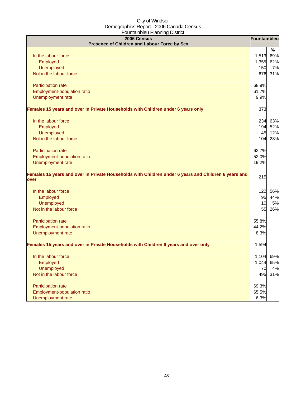| 2006 Census<br>Presence of Children and Labour Force by Sex                                                  | Fountainbleu |      |
|--------------------------------------------------------------------------------------------------------------|--------------|------|
|                                                                                                              |              | $\%$ |
| In the labour force                                                                                          | 1,513        | 69%  |
| Employed                                                                                                     | 1,355        | 62%  |
| <b>Unemployed</b>                                                                                            | 150          | 7%   |
| Not in the labour force                                                                                      | 676          | 31%  |
| Participation rate                                                                                           | 68.9%        |      |
| Employment-population ratio                                                                                  | 61.7%        |      |
| Unemployment rate                                                                                            | 9.9%         |      |
| Females 15 years and over in Private Households with Children under 6 years only                             | 373          |      |
| In the labour force                                                                                          | 234          | 63%  |
| Employed                                                                                                     | 194          | 52%  |
| <b>Unemployed</b>                                                                                            | 45           | 12%  |
| Not in the labour force                                                                                      | 104          | 28%  |
| Participation rate                                                                                           | 62.7%        |      |
| Employment-population ratio                                                                                  | 52.0%        |      |
| Unemployment rate                                                                                            | 19.2%        |      |
| Females 15 years and over in Private Households with Children under 6 years and Children 6 years and<br>over | 215          |      |
| In the labour force                                                                                          | 120          | 56%  |
| Employed                                                                                                     | 95           | 44%  |
| <b>Unemployed</b>                                                                                            | 10           | 5%   |
| Not in the labour force                                                                                      | 55           | 26%  |
| Participation rate                                                                                           | 55.8%        |      |
| Employment-population ratio                                                                                  | 44.2%        |      |
| Unemployment rate                                                                                            | 8.3%         |      |
| Females 15 years and over in Private Households with Children 6 years and over only                          | 1,594        |      |
| In the labour force                                                                                          | 1,104 69%    |      |
| Employed                                                                                                     | 1,044        | 65%  |
| <b>Unemployed</b>                                                                                            | 70           | 4%   |
| Not in the labour force                                                                                      | 495          | 31%  |
| Participation rate                                                                                           | 69.3%        |      |
| Employment-population ratio                                                                                  | 65.5%        |      |
| Unemployment rate                                                                                            | 6.3%         |      |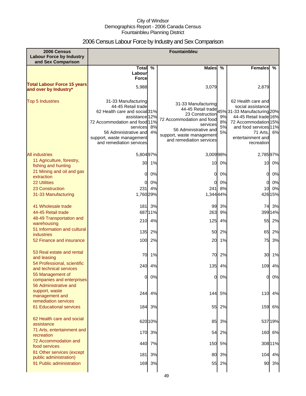## 2006 Census Labour Force by Industry and Sex Comparison

| 2006 Census<br><b>Labour Force by Industry</b><br>and Sex Comparison   | Fountainbleu                                                                                                                                                                                                                |          |                                                                                                                                                                                         |                      |                                                                                                                                                                                                 |         |
|------------------------------------------------------------------------|-----------------------------------------------------------------------------------------------------------------------------------------------------------------------------------------------------------------------------|----------|-----------------------------------------------------------------------------------------------------------------------------------------------------------------------------------------|----------------------|-------------------------------------------------------------------------------------------------------------------------------------------------------------------------------------------------|---------|
|                                                                        | <b>Total</b><br>Labour                                                                                                                                                                                                      | %        | Males %                                                                                                                                                                                 |                      | <b>Females</b>                                                                                                                                                                                  | %       |
| <b>Total Labour Force 15 years</b><br>and over by Industry*            | <b>Force</b><br>5,988                                                                                                                                                                                                       |          | 3,079                                                                                                                                                                                   |                      | 2,879                                                                                                                                                                                           |         |
| <b>Top 5 Industries</b>                                                | 31-33 Manufacturing<br>44-45 Retail trade<br>62 Health care and social 31%<br>assistance 12%<br>72 Accommodation and food 11%<br>services<br>56 Administrative and<br>support, waste management<br>and remediation services | 8%<br>4% | 31-33 Manufacturing<br>44-45 Retail trade<br>23 Construction<br>72 Accommodation and food<br>services<br>56 Administrative and<br>support, waste management<br>and remediation services | 9%<br>8%<br>5%<br>5% | 62 Health care and<br>social assistance<br>45%31-33 Manufacturing 20%<br>44-45 Retail trade 16%<br>72 Accommodation 15%<br>and food services 11%<br>71 Arts,<br>entertainment and<br>recreation | 6%      |
| <b>All industries</b>                                                  | 5,80497%                                                                                                                                                                                                                    |          | 3,00998%                                                                                                                                                                                |                      | 2,78597%                                                                                                                                                                                        |         |
| 11 Agriculture, forestry,<br>fishing and hunting                       | 30                                                                                                                                                                                                                          | 1%       |                                                                                                                                                                                         | 10 0%                | 10                                                                                                                                                                                              | 0%      |
| 21 Mining and oil and gas<br>extraction                                | 0                                                                                                                                                                                                                           | 0%       | 0                                                                                                                                                                                       | 0%                   | 0                                                                                                                                                                                               | 0%      |
| <b>22 Utilities</b>                                                    | 0                                                                                                                                                                                                                           | 0%       | 0                                                                                                                                                                                       | 0%                   | 0                                                                                                                                                                                               | 0%      |
| 23 Construction                                                        | 231                                                                                                                                                                                                                         | 4%       | 241                                                                                                                                                                                     | 8%                   | 10                                                                                                                                                                                              | 0%      |
| 31-33 Manufacturing                                                    | 1,760 29%                                                                                                                                                                                                                   |          | 1,344 44%                                                                                                                                                                               |                      |                                                                                                                                                                                                 | 426 15% |
| 41 Wholesale trade                                                     |                                                                                                                                                                                                                             | 181 3%   | 99                                                                                                                                                                                      | 3%                   |                                                                                                                                                                                                 | 74 3%   |
| 44-45 Retail trade                                                     |                                                                                                                                                                                                                             | 68711%   | 263                                                                                                                                                                                     | 9%                   |                                                                                                                                                                                                 | 399 14% |
| 48-49 Transportation and<br>warehousing                                | 210                                                                                                                                                                                                                         | 4%       | 125                                                                                                                                                                                     | 4%                   | 55                                                                                                                                                                                              | 2%      |
| 51 Information and cultural<br>industries                              | 135                                                                                                                                                                                                                         | 2%       | 50                                                                                                                                                                                      | 2%                   | 65                                                                                                                                                                                              | 2%      |
| 52 Finance and insurance                                               | 100                                                                                                                                                                                                                         | 2%       | 20                                                                                                                                                                                      | 1%                   | 75                                                                                                                                                                                              | 3%      |
| 53 Real estate and rental<br>and leasing                               | 70                                                                                                                                                                                                                          | 1%       | 70                                                                                                                                                                                      | 2%                   | 30                                                                                                                                                                                              | 1%      |
| 54 Professional, scientific<br>and technical services                  |                                                                                                                                                                                                                             | 240 4%   |                                                                                                                                                                                         | 135 4%               |                                                                                                                                                                                                 | 109 4%  |
| 55 Management of<br>companies and enterprises<br>56 Administrative and | 0                                                                                                                                                                                                                           | 0%       | 0                                                                                                                                                                                       | 0%                   | 0                                                                                                                                                                                               | 0%      |
| support, waste<br>management and<br>remediation services               |                                                                                                                                                                                                                             | 244 4%   |                                                                                                                                                                                         | 144 5%               | 110                                                                                                                                                                                             | 4%      |
| <b>61 Educational services</b>                                         | 184                                                                                                                                                                                                                         | 3%       | 55                                                                                                                                                                                      | 2%                   | 159                                                                                                                                                                                             | 6%      |
| 62 Health care and social<br>assistance                                |                                                                                                                                                                                                                             | 620 10%  | 85                                                                                                                                                                                      | 3%                   |                                                                                                                                                                                                 | 53719%  |
| 71 Arts, entertainment and<br>recreation                               | 170                                                                                                                                                                                                                         | 3%       | 54                                                                                                                                                                                      | 2%                   | 160                                                                                                                                                                                             | 6%      |
| 72 Accommodation and<br>food services                                  | 440                                                                                                                                                                                                                         | 7%       | 150                                                                                                                                                                                     | 5%                   |                                                                                                                                                                                                 | 308 11% |
| 81 Other services (except                                              | 181                                                                                                                                                                                                                         | 3%       | 80                                                                                                                                                                                      | 3%                   | 104                                                                                                                                                                                             | 4%      |
| public administration)<br>91 Public administration                     | 169                                                                                                                                                                                                                         | 3%       | 55                                                                                                                                                                                      | 2%                   | 90                                                                                                                                                                                              | 3%      |
|                                                                        |                                                                                                                                                                                                                             |          |                                                                                                                                                                                         |                      |                                                                                                                                                                                                 |         |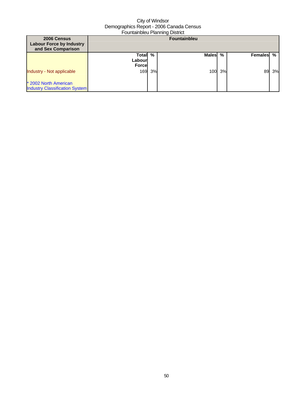| 2006 Census<br><b>Labour Force by Industry</b><br>and Sex Comparison |                                  |    | <b>Fountainbleu</b> |    |         |    |
|----------------------------------------------------------------------|----------------------------------|----|---------------------|----|---------|----|
|                                                                      | Total<br>Labourl<br><b>Force</b> | %  | Males %             |    | Females | %  |
| Industry - Not applicable                                            | 169                              | 3% | 100                 | 3% | 89      | 3% |
| * 2002 North American<br><b>Industry Classification System</b>       |                                  |    |                     |    |         |    |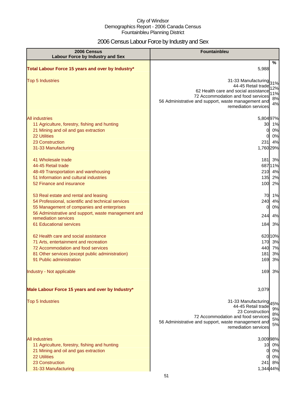## 2006 Census Labour Force by Industry and Sex

| 2006 Census<br><b>Labour Force by Industry and Sex</b>                                                                                                                                                                                                                                                                                                                                                                         | <b>Fountainbleu</b>                                                                                                                                                                                                                     |
|--------------------------------------------------------------------------------------------------------------------------------------------------------------------------------------------------------------------------------------------------------------------------------------------------------------------------------------------------------------------------------------------------------------------------------|-----------------------------------------------------------------------------------------------------------------------------------------------------------------------------------------------------------------------------------------|
| Total Labour Force 15 years and over by Industry*                                                                                                                                                                                                                                                                                                                                                                              | %<br>5,988                                                                                                                                                                                                                              |
| <b>Top 5 Industries</b>                                                                                                                                                                                                                                                                                                                                                                                                        | 31-33 Manufacturing<br>31%<br>44-45 Retail trade<br>12%<br>62 Health care and social assistance<br>11%<br>72 Accommodation and food services<br>8%<br>56 Administrative and support, waste management and<br>4%<br>remediation services |
| <b>All industries</b><br>11 Agriculture, forestry, fishing and hunting<br>21 Mining and oil and gas extraction<br>22 Utilities<br>23 Construction<br>31-33 Manufacturing<br>41 Wholesale trade<br>44-45 Retail trade<br>48-49 Transportation and warehousing<br>51 Information and cultural industries<br>52 Finance and insurance                                                                                             | 5,804 97%<br>30 1%<br>0%<br>$\mathbf{0}$<br>0%<br>0<br>231<br>4%<br>1,760 29%<br>181 3%<br>68711%<br>210 4%<br>135 2%<br>100 2%                                                                                                         |
| 53 Real estate and rental and leasing<br>54 Professional, scientific and technical services<br>55 Management of companies and enterprises<br>56 Administrative and support, waste management and<br>remediation services<br>61 Educational services<br>62 Health care and social assistance<br>71 Arts, entertainment and recreation<br>72 Accommodation and food services<br>81 Other services (except public administration) | 70 1%<br>240<br>4%<br>0%<br>0<br>4%<br>244<br>184<br>3%<br>62010%<br>3%<br>170<br>440<br>7%<br>181<br>3%                                                                                                                                |
| 91 Public administration<br>Industry - Not applicable                                                                                                                                                                                                                                                                                                                                                                          | 169<br>3%<br>169<br>3%                                                                                                                                                                                                                  |
| Male Labour Force 15 years and over by Industry*<br><b>Top 5 Industries</b>                                                                                                                                                                                                                                                                                                                                                    | 3,079<br>31-33 Manufacturing<br>45%<br>44-45 Retail trade<br>9%<br>23 Construction<br>8%<br>72 Accommodation and food services<br>5%<br>56 Administrative and support, waste management and<br>5%<br>remediation services               |
| <b>All industries</b><br>11 Agriculture, forestry, fishing and hunting<br>21 Mining and oil and gas extraction<br><b>22 Utilities</b><br>23 Construction<br>31-33 Manufacturing                                                                                                                                                                                                                                                | 3,009 98%<br>10 0%<br>0%<br>0<br>0%<br>8%<br>241I<br>1,344 44%                                                                                                                                                                          |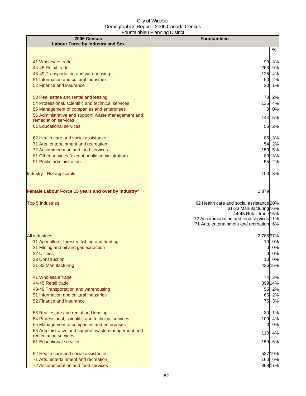| %<br>41 Wholesale trade<br>99<br>3%<br>44-45 Retail trade<br>263<br>9%<br>125<br>4%<br>48-49 Transportation and warehousing<br>51 Information and cultural industries<br>50<br>2%<br>52 Finance and insurance<br>20<br>53 Real estate and rental and leasing<br>54 Professional, scientific and technical services<br>135<br>55 Management of companies and enterprises<br>$\mathbf{0}$<br>56 Administrative and support, waste management and<br>144<br>remediation services<br>61 Educational services<br>55<br>62 Health care and social assistance<br>71 Arts, entertainment and recreation<br>54<br>72 Accommodation and food services<br>81 Other services (except public administration)<br>80<br>91 Public administration<br>55<br>100<br>Female Labour Force 15 years and over by Industry*<br>2,879<br><b>Top 5 Industries</b><br>11 Agriculture, forestry, fishing and hunting<br>21 Mining and oil and gas extraction<br>01<br><b>22 Utilities</b><br>01<br>23 Construction<br>31-33 Manufacturing<br>41 Wholesale trade<br>44-45 Retail trade<br>48-49 Transportation and warehousing<br>51 Information and cultural industries<br>52 Finance and insurance<br>53 Real estate and rental and leasing<br>54 Professional, scientific and technical services<br>55 Management of companies and enterprises<br>$\mathbf{0}$<br>56 Administrative and support, waste management and<br>110<br>remediation services<br>61 Educational services<br>159<br>62 Health care and social assistance<br>71 Arts, entertainment and recreation<br>72 Accommodation and food services | 2006 Census<br><b>Labour Force by Industry and Sex</b> | Fountainbleu |  |  |  |
|--------------------------------------------------------------------------------------------------------------------------------------------------------------------------------------------------------------------------------------------------------------------------------------------------------------------------------------------------------------------------------------------------------------------------------------------------------------------------------------------------------------------------------------------------------------------------------------------------------------------------------------------------------------------------------------------------------------------------------------------------------------------------------------------------------------------------------------------------------------------------------------------------------------------------------------------------------------------------------------------------------------------------------------------------------------------------------------------------------------------------------------------------------------------------------------------------------------------------------------------------------------------------------------------------------------------------------------------------------------------------------------------------------------------------------------------------------------------------------------------------------------------------------------------------------------------------------------|--------------------------------------------------------|--------------|--|--|--|
|                                                                                                                                                                                                                                                                                                                                                                                                                                                                                                                                                                                                                                                                                                                                                                                                                                                                                                                                                                                                                                                                                                                                                                                                                                                                                                                                                                                                                                                                                                                                                                                      |                                                        |              |  |  |  |
|                                                                                                                                                                                                                                                                                                                                                                                                                                                                                                                                                                                                                                                                                                                                                                                                                                                                                                                                                                                                                                                                                                                                                                                                                                                                                                                                                                                                                                                                                                                                                                                      |                                                        |              |  |  |  |
|                                                                                                                                                                                                                                                                                                                                                                                                                                                                                                                                                                                                                                                                                                                                                                                                                                                                                                                                                                                                                                                                                                                                                                                                                                                                                                                                                                                                                                                                                                                                                                                      |                                                        |              |  |  |  |
|                                                                                                                                                                                                                                                                                                                                                                                                                                                                                                                                                                                                                                                                                                                                                                                                                                                                                                                                                                                                                                                                                                                                                                                                                                                                                                                                                                                                                                                                                                                                                                                      |                                                        |              |  |  |  |
| 1%<br>70 2%<br>4%<br>0%<br>5%<br>2%<br>85 3%<br>2%<br>150 5%<br>3%<br>2%<br>3%<br>62 Health care and social assistance 20%<br>31-33 Manufacturing 16%<br>44-45 Retail trade 15%<br>72 Accommodation and food services 11%<br>71 Arts, entertainment and recreation 6%<br>2,78597%<br>10 0%<br>0%<br>0%<br>10 0%<br>426 15%<br>74 3%<br>399 14%<br>55 2%<br>65 2%<br>75 3%<br>30 1%<br>109 4%<br>0%<br>4%<br>6%<br>537 19%<br>160 6%<br>308 11%                                                                                                                                                                                                                                                                                                                                                                                                                                                                                                                                                                                                                                                                                                                                                                                                                                                                                                                                                                                                                                                                                                                                       |                                                        |              |  |  |  |
|                                                                                                                                                                                                                                                                                                                                                                                                                                                                                                                                                                                                                                                                                                                                                                                                                                                                                                                                                                                                                                                                                                                                                                                                                                                                                                                                                                                                                                                                                                                                                                                      |                                                        |              |  |  |  |
|                                                                                                                                                                                                                                                                                                                                                                                                                                                                                                                                                                                                                                                                                                                                                                                                                                                                                                                                                                                                                                                                                                                                                                                                                                                                                                                                                                                                                                                                                                                                                                                      |                                                        |              |  |  |  |
|                                                                                                                                                                                                                                                                                                                                                                                                                                                                                                                                                                                                                                                                                                                                                                                                                                                                                                                                                                                                                                                                                                                                                                                                                                                                                                                                                                                                                                                                                                                                                                                      |                                                        |              |  |  |  |
|                                                                                                                                                                                                                                                                                                                                                                                                                                                                                                                                                                                                                                                                                                                                                                                                                                                                                                                                                                                                                                                                                                                                                                                                                                                                                                                                                                                                                                                                                                                                                                                      |                                                        |              |  |  |  |
|                                                                                                                                                                                                                                                                                                                                                                                                                                                                                                                                                                                                                                                                                                                                                                                                                                                                                                                                                                                                                                                                                                                                                                                                                                                                                                                                                                                                                                                                                                                                                                                      |                                                        |              |  |  |  |
|                                                                                                                                                                                                                                                                                                                                                                                                                                                                                                                                                                                                                                                                                                                                                                                                                                                                                                                                                                                                                                                                                                                                                                                                                                                                                                                                                                                                                                                                                                                                                                                      |                                                        |              |  |  |  |
|                                                                                                                                                                                                                                                                                                                                                                                                                                                                                                                                                                                                                                                                                                                                                                                                                                                                                                                                                                                                                                                                                                                                                                                                                                                                                                                                                                                                                                                                                                                                                                                      |                                                        |              |  |  |  |
|                                                                                                                                                                                                                                                                                                                                                                                                                                                                                                                                                                                                                                                                                                                                                                                                                                                                                                                                                                                                                                                                                                                                                                                                                                                                                                                                                                                                                                                                                                                                                                                      |                                                        |              |  |  |  |
|                                                                                                                                                                                                                                                                                                                                                                                                                                                                                                                                                                                                                                                                                                                                                                                                                                                                                                                                                                                                                                                                                                                                                                                                                                                                                                                                                                                                                                                                                                                                                                                      |                                                        |              |  |  |  |
|                                                                                                                                                                                                                                                                                                                                                                                                                                                                                                                                                                                                                                                                                                                                                                                                                                                                                                                                                                                                                                                                                                                                                                                                                                                                                                                                                                                                                                                                                                                                                                                      |                                                        |              |  |  |  |
|                                                                                                                                                                                                                                                                                                                                                                                                                                                                                                                                                                                                                                                                                                                                                                                                                                                                                                                                                                                                                                                                                                                                                                                                                                                                                                                                                                                                                                                                                                                                                                                      |                                                        |              |  |  |  |
|                                                                                                                                                                                                                                                                                                                                                                                                                                                                                                                                                                                                                                                                                                                                                                                                                                                                                                                                                                                                                                                                                                                                                                                                                                                                                                                                                                                                                                                                                                                                                                                      |                                                        |              |  |  |  |
|                                                                                                                                                                                                                                                                                                                                                                                                                                                                                                                                                                                                                                                                                                                                                                                                                                                                                                                                                                                                                                                                                                                                                                                                                                                                                                                                                                                                                                                                                                                                                                                      |                                                        |              |  |  |  |
|                                                                                                                                                                                                                                                                                                                                                                                                                                                                                                                                                                                                                                                                                                                                                                                                                                                                                                                                                                                                                                                                                                                                                                                                                                                                                                                                                                                                                                                                                                                                                                                      |                                                        |              |  |  |  |
|                                                                                                                                                                                                                                                                                                                                                                                                                                                                                                                                                                                                                                                                                                                                                                                                                                                                                                                                                                                                                                                                                                                                                                                                                                                                                                                                                                                                                                                                                                                                                                                      | Industry - Not applicable                              |              |  |  |  |
|                                                                                                                                                                                                                                                                                                                                                                                                                                                                                                                                                                                                                                                                                                                                                                                                                                                                                                                                                                                                                                                                                                                                                                                                                                                                                                                                                                                                                                                                                                                                                                                      |                                                        |              |  |  |  |
|                                                                                                                                                                                                                                                                                                                                                                                                                                                                                                                                                                                                                                                                                                                                                                                                                                                                                                                                                                                                                                                                                                                                                                                                                                                                                                                                                                                                                                                                                                                                                                                      |                                                        |              |  |  |  |
|                                                                                                                                                                                                                                                                                                                                                                                                                                                                                                                                                                                                                                                                                                                                                                                                                                                                                                                                                                                                                                                                                                                                                                                                                                                                                                                                                                                                                                                                                                                                                                                      |                                                        |              |  |  |  |
|                                                                                                                                                                                                                                                                                                                                                                                                                                                                                                                                                                                                                                                                                                                                                                                                                                                                                                                                                                                                                                                                                                                                                                                                                                                                                                                                                                                                                                                                                                                                                                                      |                                                        |              |  |  |  |
|                                                                                                                                                                                                                                                                                                                                                                                                                                                                                                                                                                                                                                                                                                                                                                                                                                                                                                                                                                                                                                                                                                                                                                                                                                                                                                                                                                                                                                                                                                                                                                                      |                                                        |              |  |  |  |
|                                                                                                                                                                                                                                                                                                                                                                                                                                                                                                                                                                                                                                                                                                                                                                                                                                                                                                                                                                                                                                                                                                                                                                                                                                                                                                                                                                                                                                                                                                                                                                                      |                                                        |              |  |  |  |
|                                                                                                                                                                                                                                                                                                                                                                                                                                                                                                                                                                                                                                                                                                                                                                                                                                                                                                                                                                                                                                                                                                                                                                                                                                                                                                                                                                                                                                                                                                                                                                                      |                                                        |              |  |  |  |
|                                                                                                                                                                                                                                                                                                                                                                                                                                                                                                                                                                                                                                                                                                                                                                                                                                                                                                                                                                                                                                                                                                                                                                                                                                                                                                                                                                                                                                                                                                                                                                                      |                                                        |              |  |  |  |
|                                                                                                                                                                                                                                                                                                                                                                                                                                                                                                                                                                                                                                                                                                                                                                                                                                                                                                                                                                                                                                                                                                                                                                                                                                                                                                                                                                                                                                                                                                                                                                                      | <b>All industries</b>                                  |              |  |  |  |
|                                                                                                                                                                                                                                                                                                                                                                                                                                                                                                                                                                                                                                                                                                                                                                                                                                                                                                                                                                                                                                                                                                                                                                                                                                                                                                                                                                                                                                                                                                                                                                                      |                                                        |              |  |  |  |
|                                                                                                                                                                                                                                                                                                                                                                                                                                                                                                                                                                                                                                                                                                                                                                                                                                                                                                                                                                                                                                                                                                                                                                                                                                                                                                                                                                                                                                                                                                                                                                                      |                                                        |              |  |  |  |
|                                                                                                                                                                                                                                                                                                                                                                                                                                                                                                                                                                                                                                                                                                                                                                                                                                                                                                                                                                                                                                                                                                                                                                                                                                                                                                                                                                                                                                                                                                                                                                                      |                                                        |              |  |  |  |
|                                                                                                                                                                                                                                                                                                                                                                                                                                                                                                                                                                                                                                                                                                                                                                                                                                                                                                                                                                                                                                                                                                                                                                                                                                                                                                                                                                                                                                                                                                                                                                                      |                                                        |              |  |  |  |
|                                                                                                                                                                                                                                                                                                                                                                                                                                                                                                                                                                                                                                                                                                                                                                                                                                                                                                                                                                                                                                                                                                                                                                                                                                                                                                                                                                                                                                                                                                                                                                                      |                                                        |              |  |  |  |
|                                                                                                                                                                                                                                                                                                                                                                                                                                                                                                                                                                                                                                                                                                                                                                                                                                                                                                                                                                                                                                                                                                                                                                                                                                                                                                                                                                                                                                                                                                                                                                                      |                                                        |              |  |  |  |
|                                                                                                                                                                                                                                                                                                                                                                                                                                                                                                                                                                                                                                                                                                                                                                                                                                                                                                                                                                                                                                                                                                                                                                                                                                                                                                                                                                                                                                                                                                                                                                                      |                                                        |              |  |  |  |
|                                                                                                                                                                                                                                                                                                                                                                                                                                                                                                                                                                                                                                                                                                                                                                                                                                                                                                                                                                                                                                                                                                                                                                                                                                                                                                                                                                                                                                                                                                                                                                                      |                                                        |              |  |  |  |
|                                                                                                                                                                                                                                                                                                                                                                                                                                                                                                                                                                                                                                                                                                                                                                                                                                                                                                                                                                                                                                                                                                                                                                                                                                                                                                                                                                                                                                                                                                                                                                                      |                                                        |              |  |  |  |
|                                                                                                                                                                                                                                                                                                                                                                                                                                                                                                                                                                                                                                                                                                                                                                                                                                                                                                                                                                                                                                                                                                                                                                                                                                                                                                                                                                                                                                                                                                                                                                                      |                                                        |              |  |  |  |
|                                                                                                                                                                                                                                                                                                                                                                                                                                                                                                                                                                                                                                                                                                                                                                                                                                                                                                                                                                                                                                                                                                                                                                                                                                                                                                                                                                                                                                                                                                                                                                                      |                                                        |              |  |  |  |
|                                                                                                                                                                                                                                                                                                                                                                                                                                                                                                                                                                                                                                                                                                                                                                                                                                                                                                                                                                                                                                                                                                                                                                                                                                                                                                                                                                                                                                                                                                                                                                                      |                                                        |              |  |  |  |
|                                                                                                                                                                                                                                                                                                                                                                                                                                                                                                                                                                                                                                                                                                                                                                                                                                                                                                                                                                                                                                                                                                                                                                                                                                                                                                                                                                                                                                                                                                                                                                                      |                                                        |              |  |  |  |
|                                                                                                                                                                                                                                                                                                                                                                                                                                                                                                                                                                                                                                                                                                                                                                                                                                                                                                                                                                                                                                                                                                                                                                                                                                                                                                                                                                                                                                                                                                                                                                                      |                                                        |              |  |  |  |
|                                                                                                                                                                                                                                                                                                                                                                                                                                                                                                                                                                                                                                                                                                                                                                                                                                                                                                                                                                                                                                                                                                                                                                                                                                                                                                                                                                                                                                                                                                                                                                                      |                                                        |              |  |  |  |
|                                                                                                                                                                                                                                                                                                                                                                                                                                                                                                                                                                                                                                                                                                                                                                                                                                                                                                                                                                                                                                                                                                                                                                                                                                                                                                                                                                                                                                                                                                                                                                                      |                                                        |              |  |  |  |
|                                                                                                                                                                                                                                                                                                                                                                                                                                                                                                                                                                                                                                                                                                                                                                                                                                                                                                                                                                                                                                                                                                                                                                                                                                                                                                                                                                                                                                                                                                                                                                                      |                                                        |              |  |  |  |
|                                                                                                                                                                                                                                                                                                                                                                                                                                                                                                                                                                                                                                                                                                                                                                                                                                                                                                                                                                                                                                                                                                                                                                                                                                                                                                                                                                                                                                                                                                                                                                                      |                                                        |              |  |  |  |
|                                                                                                                                                                                                                                                                                                                                                                                                                                                                                                                                                                                                                                                                                                                                                                                                                                                                                                                                                                                                                                                                                                                                                                                                                                                                                                                                                                                                                                                                                                                                                                                      |                                                        |              |  |  |  |
|                                                                                                                                                                                                                                                                                                                                                                                                                                                                                                                                                                                                                                                                                                                                                                                                                                                                                                                                                                                                                                                                                                                                                                                                                                                                                                                                                                                                                                                                                                                                                                                      |                                                        |              |  |  |  |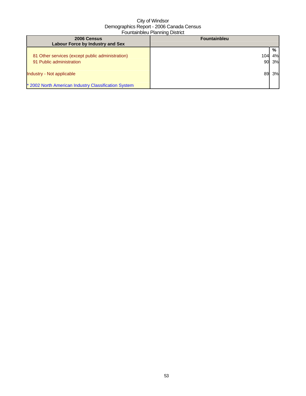| 2006 Census<br><b>Labour Force by Industry and Sex</b>                            | $\sim$ 0 $\sim$ 0.000 $\sim$ 0.000 $\sim$ 0.000 $\sim$ 0.000 $\sim$<br><b>Fountainbleu</b> |               |
|-----------------------------------------------------------------------------------|--------------------------------------------------------------------------------------------|---------------|
| 81 Other services (except public administration)<br>91 Public administration      | 104<br>90                                                                                  | %<br>4%<br>3% |
| Industry - Not applicable<br>* 2002 North American Industry Classification System |                                                                                            | 3%            |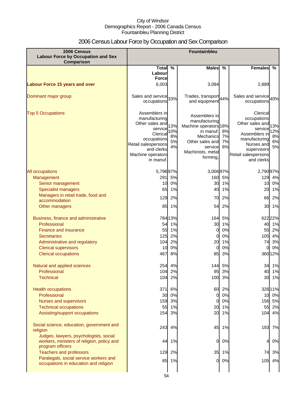## 2006 Census Labour Force by Occupation and Sex Comparison

| 2006 Census<br><b>Labour Force by Occupation and Sex</b><br>Comparison                                   | Fountainbleu                                                                                                                                                   |                              |                                                                                                                                                  |                      |                                                                                                                                                           |                              |
|----------------------------------------------------------------------------------------------------------|----------------------------------------------------------------------------------------------------------------------------------------------------------------|------------------------------|--------------------------------------------------------------------------------------------------------------------------------------------------|----------------------|-----------------------------------------------------------------------------------------------------------------------------------------------------------|------------------------------|
|                                                                                                          | <b>Total</b>                                                                                                                                                   | %                            | <b>Males</b>                                                                                                                                     | $\frac{0}{0}$        | <b>Females</b>                                                                                                                                            | %                            |
|                                                                                                          | Labour                                                                                                                                                         |                              |                                                                                                                                                  |                      |                                                                                                                                                           |                              |
| <b>Labour Force 15 years and over</b>                                                                    | <b>Force</b><br>6,003                                                                                                                                          |                              | 3,084                                                                                                                                            |                      | 2,889                                                                                                                                                     |                              |
|                                                                                                          |                                                                                                                                                                |                              |                                                                                                                                                  |                      |                                                                                                                                                           |                              |
| Dominant major group                                                                                     | Sales and service 33%<br>occupations                                                                                                                           |                              | Trades, transport 44%<br>and equipment                                                                                                           |                      | Sales and service 40%<br>occupations                                                                                                                      |                              |
| <b>Top 5 Occupations</b>                                                                                 | Assemblers in<br>manufacturing<br>Other sales and<br>service<br>Clerical<br>occupations<br>Retail salespersons<br>and clerks<br>Machine operators<br>in manuf. | 13%<br>10%<br>8%<br>5%<br>4% | Assemblers in<br>manufacturing<br>Machine operators 18%<br>in manuf.<br>Mechanics<br>Other sales and<br>service<br>Machinists, metal<br>forming, | 8%<br>7%<br>7%<br>6% | Clerical<br>occupations<br>Other sales and<br>service<br>Assemblers in<br>manufacturing<br>Nurses and<br>supervisors<br>Retail salespersons<br>and clerks | 13%<br>12%<br>8%<br>6%<br>5% |
| All occupations                                                                                          | 5,796 97%                                                                                                                                                      |                              | 3,006 97%                                                                                                                                        |                      | 2,790 97%                                                                                                                                                 |                              |
| Management                                                                                               | 291                                                                                                                                                            | 5%                           | 160                                                                                                                                              | 5%                   |                                                                                                                                                           | 129 4%                       |
| Senior management                                                                                        | 10                                                                                                                                                             | 0%                           | 30                                                                                                                                               | 1%                   |                                                                                                                                                           | 10 0%                        |
| <b>Specialist managers</b>                                                                               | 65                                                                                                                                                             | 1%                           | 40                                                                                                                                               | 1%                   | 20                                                                                                                                                        | 1%                           |
| Managers in retail trade, food and                                                                       | 129                                                                                                                                                            | 2%                           | 70                                                                                                                                               | 2%                   | 66                                                                                                                                                        | 2%                           |
| accommodation                                                                                            | 85                                                                                                                                                             | 1%                           | 54                                                                                                                                               | 2%                   | 30                                                                                                                                                        | 1%                           |
| Other managers                                                                                           |                                                                                                                                                                |                              |                                                                                                                                                  |                      |                                                                                                                                                           |                              |
| Business, finance and administrative                                                                     |                                                                                                                                                                | 784 13%                      | 164                                                                                                                                              | 5%                   |                                                                                                                                                           | 622 22%                      |
| Professional                                                                                             | 54                                                                                                                                                             | 1%                           | 30                                                                                                                                               | 1%                   | 40                                                                                                                                                        | 1%                           |
| Finance and insurance                                                                                    | 55                                                                                                                                                             | 1%                           | $\mathbf 0$                                                                                                                                      | 0%                   | 55                                                                                                                                                        | 2%                           |
| <b>Secretaries</b>                                                                                       | 125                                                                                                                                                            | 2%                           | 0                                                                                                                                                | 0%                   | 105                                                                                                                                                       | 4%                           |
| Administrative and regulatory<br><b>Clerical supervisors</b>                                             | 104<br>10                                                                                                                                                      | 2%<br>0%                     | 20<br>$\mathbf 0$                                                                                                                                | 1%<br>0%             | 74<br>0                                                                                                                                                   | 3%<br>0%                     |
| <b>Clerical occupations</b>                                                                              | 467                                                                                                                                                            | 8%                           | 85                                                                                                                                               | 3%                   |                                                                                                                                                           | 36012%                       |
|                                                                                                          |                                                                                                                                                                |                              |                                                                                                                                                  |                      |                                                                                                                                                           |                              |
| Natural and applied sciences                                                                             |                                                                                                                                                                | 254 4%                       | 144                                                                                                                                              | 5%                   |                                                                                                                                                           | 34 1%                        |
| Professional<br><b>Technical</b>                                                                         | 1041                                                                                                                                                           | 2%<br>104 2%                 | 95 <br>100                                                                                                                                       | 3%<br>3%             | 40                                                                                                                                                        | 1%<br>30 1%                  |
|                                                                                                          |                                                                                                                                                                |                              |                                                                                                                                                  |                      |                                                                                                                                                           |                              |
| <b>Health occupations</b>                                                                                | 371                                                                                                                                                            | 6%                           | 60                                                                                                                                               | 2%                   | 32611%                                                                                                                                                    |                              |
| Professional                                                                                             | 30                                                                                                                                                             | 0%                           | 0                                                                                                                                                | 0%                   |                                                                                                                                                           | 10 0%                        |
| Nurses and supervisors                                                                                   | 159                                                                                                                                                            | 3%                           | 0                                                                                                                                                | 0%                   |                                                                                                                                                           | 156 5%                       |
| <b>Technical occupations</b>                                                                             | 55                                                                                                                                                             | 1%                           | 20                                                                                                                                               | 1%                   |                                                                                                                                                           | 55 2%                        |
| Assisting/support occupations                                                                            | 154                                                                                                                                                            | 3%                           | 20                                                                                                                                               | 1%                   |                                                                                                                                                           | 104 4%                       |
| Social science, education, government and<br>religion                                                    | 243                                                                                                                                                            | 4%                           | 45                                                                                                                                               | 1%                   | 193                                                                                                                                                       | 7%                           |
| Judges, lawyers, psychologists, social<br>workers, ministers of religion, policy and<br>program officers | 44                                                                                                                                                             | 1%                           | 0                                                                                                                                                | 0%                   | 4                                                                                                                                                         | 0%                           |
| <b>Teachers and professors</b>                                                                           | 129                                                                                                                                                            | 2%                           | 35                                                                                                                                               | 1%                   | 74                                                                                                                                                        | 3%                           |
| Paralegals, social service workers and                                                                   |                                                                                                                                                                | 85 1%                        | 0                                                                                                                                                | 0%                   |                                                                                                                                                           | 105 4%                       |
| occupations in education and religion                                                                    |                                                                                                                                                                |                              |                                                                                                                                                  |                      |                                                                                                                                                           |                              |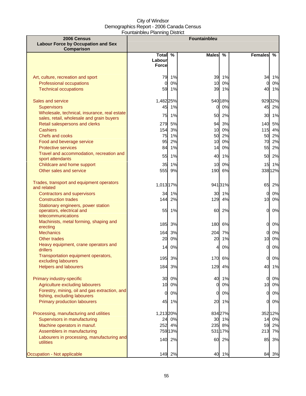| 2006 Census<br><b>Labour Force by Occupation and Sex</b><br>Comparison                                               |                                    |                  | <b>Fountainbleu</b> |                |                          |                           |
|----------------------------------------------------------------------------------------------------------------------|------------------------------------|------------------|---------------------|----------------|--------------------------|---------------------------|
|                                                                                                                      | Total %<br>Labourl<br><b>Force</b> |                  | <b>Males</b>        | $\frac{0}{0}$  | <b>Females</b>           | $\frac{9}{6}$             |
| Art, culture, recreation and sport<br>Professional occupations<br><b>Technical occupations</b>                       | 79<br>0<br>59                      | 1%<br>0%<br>1%   | 39<br>10<br>39      | 1%<br>0%<br>1% | 34<br>$\mathbf{0}$<br>40 | 1%<br>0%<br>1%            |
| Sales and service<br><b>Supervisors</b>                                                                              | 1,482 25%<br>45                    | 1%               | 0                   | 540 18%<br>0%  | 45                       | 92932%<br>2%              |
| Wholesale, technical, insurance, real estate<br>sales, retail, wholesale and grain buyers                            | 75                                 | 1%               | 50                  | 2%             |                          | 30 1%                     |
| Retail salespersons and clerks<br><b>Cashiers</b><br>Chefs and cooks                                                 | 279<br>154                         | 5%<br>3%<br>1%   | 94<br>10<br>50      | 3%<br>0%<br>2% |                          | 140 5%<br>115 4%<br>50 2% |
| Food and beverage service<br><b>Protective services</b>                                                              | 75<br>95<br>84                     | 2%<br>1%         | 10<br>14            | 0%<br>0%       | 70<br>55                 | 2%<br>2%                  |
| Travel and accommodation, recreation and<br>sport attendants                                                         | 55                                 | 1%               | 40                  | 1%             | 50                       | 2%                        |
| Childcare and home support<br>Other sales and service                                                                | 35<br>555                          | 1%<br>9%         | 10<br>190           | 0%<br>6%       | 15                       | 1%<br>338 12%             |
| Trades, transport and equipment operators<br>and related                                                             | 1,013 17%                          |                  |                     | 941 31%        | 65                       | 2%                        |
| <b>Contractors and supervisors</b><br><b>Construction trades</b>                                                     | 34<br>144                          | 1%<br>2%         | 30<br>129           | 1%<br>4%       | $\Omega$<br>10           | 0%<br>0%                  |
| Stationary engineers, power station<br>operators, electrical and<br>telecommunications                               | 55                                 | 1%               | 60                  | 2%             | <sub>O</sub>             | 0%                        |
| Machinists, metal forming, shaping and<br>erecting                                                                   | 185                                | 3%               | 180                 | 6%             | <sub>O</sub>             | 0%                        |
| <b>Mechanics</b>                                                                                                     | 164                                | 3%               | 204                 | 7%             | 0                        | 0%                        |
| Other trades<br>Heavy equipment, crane operators and<br>drillers                                                     | 20<br>14                           | 0%<br>0%         | 20<br>4             | 1%<br>0%       | 10<br>$\Omega$           | 0%<br>0%                  |
| Transportation equipment operators,<br>excluding labourers                                                           |                                    | 195 3%           |                     | 170 6%         |                          | 0 0%                      |
| <b>Helpers and labourers</b>                                                                                         | 184                                | 3%               | 129                 | 4%             | 40                       | 1%                        |
| Primary industry-specific<br>Agriculture excluding labourers                                                         | 30<br>10                           | 0%<br>0%         | 40<br>0             | 1%<br>0%       | <sub>0</sub><br>10       | 0%<br>$0\%$               |
| Forestry, mining, oil and gas extraction, and<br>fishing, excluding labourers<br><b>Primary production labourers</b> | 0<br>45                            | 0%<br>1%         | 0<br>20             | 0%<br>1%       | 0<br><sub>O</sub>        | $0\%$<br>0%               |
|                                                                                                                      |                                    |                  |                     |                |                          |                           |
| Processing, manufacturing and utilities<br>Supervisors in manufacturing                                              | 1,213 20%                          | 24 0%            | 30                  | 834 27%<br>1%  | 14                       | 352 12%<br>$0\%$          |
| Machine operators in manuf.                                                                                          |                                    | 252 4%           | 235                 | 8%             | 59                       | 2%                        |
| Assemblers in manufacturing<br>Labourers in processing, manufacturing and<br>utilities                               |                                    | 75913%<br>140 2% | 60                  | 531 17%<br>2%  | 213<br>85                | 7%<br>3%                  |
| Occupation - Not applicable                                                                                          | 149                                | 2%               | 40                  | 1%             | 84                       | 3%                        |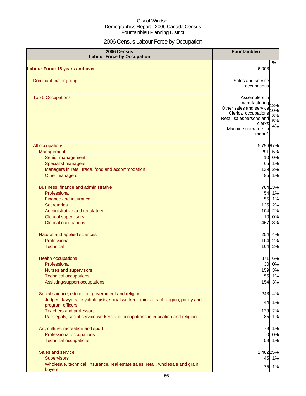## 2006 Census Labour Force by Occupation

| 2006 Census<br><b>Labour Force by Occupation</b>                                                      | Fountainbleu                                           |
|-------------------------------------------------------------------------------------------------------|--------------------------------------------------------|
| <b>Labour Force 15 years and over</b>                                                                 | %<br>6,003                                             |
|                                                                                                       |                                                        |
| Dominant major group                                                                                  | Sales and service                                      |
|                                                                                                       | occupations                                            |
| <b>Top 5 Occupations</b>                                                                              | Assemblers in                                          |
|                                                                                                       | manufacturing<br>13%                                   |
|                                                                                                       | Other sales and service<br>10%<br>Clerical occupations |
|                                                                                                       | 8%<br>Retail salespersons and                          |
|                                                                                                       | 5%<br>clerks<br>4%                                     |
|                                                                                                       | Machine operators in<br>manuf.                         |
|                                                                                                       |                                                        |
| All occupations                                                                                       | 5,79697%                                               |
| Management                                                                                            | 291<br>5%                                              |
| Senior management                                                                                     | 10 0%                                                  |
| <b>Specialist managers</b><br>Managers in retail trade, food and accommodation                        | 65 1%<br>2%<br>129                                     |
| Other managers                                                                                        | 85 1%                                                  |
|                                                                                                       |                                                        |
| Business, finance and administrative                                                                  | 78413%                                                 |
| Professional                                                                                          | 54 1%                                                  |
| Finance and insurance                                                                                 | 55 1%<br>125                                           |
| <b>Secretaries</b><br>Administrative and regulatory                                                   | 2%<br>2%<br>104                                        |
| <b>Clerical supervisors</b>                                                                           | 0%<br>10                                               |
| <b>Clerical occupations</b>                                                                           | 8%<br>467                                              |
|                                                                                                       |                                                        |
| Natural and applied sciences                                                                          | 254<br>4%                                              |
| Professional<br><b>Technical</b>                                                                      | 104<br>2%<br>104<br>2%                                 |
|                                                                                                       |                                                        |
| <b>Health occupations</b>                                                                             | 371<br>6%                                              |
| Professional                                                                                          | 0%<br>30                                               |
| Nurses and supervisors                                                                                | 159 3%                                                 |
| <b>Technical occupations</b><br>Assisting/support occupations                                         | 55<br>1%<br>3%<br>154                                  |
|                                                                                                       |                                                        |
| Social science, education, government and religion                                                    | 4%<br>243                                              |
| Judges, lawyers, psychologists, social workers, ministers of religion, policy and<br>program officers | 1%<br>44                                               |
| <b>Teachers and professors</b>                                                                        | 129<br>2%                                              |
| Paralegals, social service workers and occupations in education and religion                          | 85 1%                                                  |
| Art, culture, recreation and sport                                                                    | 79 1%                                                  |
| Professional occupations                                                                              | 0%<br>01                                               |
| <b>Technical occupations</b>                                                                          | 59 1%                                                  |
| Sales and service                                                                                     |                                                        |
| <b>Supervisors</b>                                                                                    | 1,482 25%<br>45 1%                                     |
| Wholesale, technical, insurance, real estate sales, retail, wholesale and grain                       |                                                        |
| buyers                                                                                                | 1%<br>75                                               |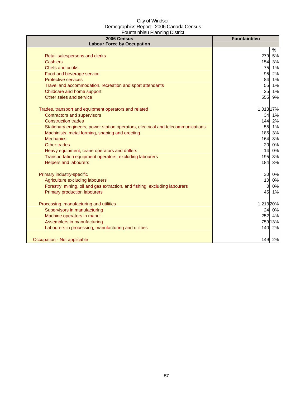| 2006 Census<br><b>Labour Force by Occupation</b>                                 | <b>Fountainbleu</b> |
|----------------------------------------------------------------------------------|---------------------|
|                                                                                  | %                   |
| Retail salespersons and clerks                                                   | 279<br>5%           |
| <b>Cashiers</b>                                                                  | 154<br>3%           |
| Chefs and cooks                                                                  | 75 1%               |
| Food and beverage service                                                        | 95<br>2%            |
| <b>Protective services</b>                                                       | 1%<br>84            |
| Travel and accommodation, recreation and sport attendants                        | 1%<br>55            |
| Childcare and home support                                                       | 35<br>1%            |
| Other sales and service                                                          | 9%<br>555           |
| Trades, transport and equipment operators and related                            | 1,013 17%           |
| <b>Contractors and supervisors</b>                                               | 34 1%               |
| <b>Construction trades</b>                                                       | 2%<br>144           |
| Stationary engineers, power station operators, electrical and telecommunications | 55 1%               |
| Machinists, metal forming, shaping and erecting                                  | 3%<br>185           |
| <b>Mechanics</b>                                                                 | 164 3%              |
| Other trades                                                                     | 20 0%               |
| Heavy equipment, crane operators and drillers                                    | 14 0%               |
| Transportation equipment operators, excluding labourers                          | 195 3%              |
| <b>Helpers and labourers</b>                                                     | 184 3%              |
| Primary industry-specific                                                        | 30 0%               |
| Agriculture excluding labourers                                                  | 0%<br>10            |
| Forestry, mining, oil and gas extraction, and fishing, excluding labourers       | 0%<br><sub>0</sub>  |
| <b>Primary production labourers</b>                                              | 45 1%               |
| Processing, manufacturing and utilities                                          | 1,213 20%           |
| Supervisors in manufacturing                                                     | 24 0%               |
| Machine operators in manuf.                                                      | 252 4%              |
| Assemblers in manufacturing                                                      | 759 13%             |
| Labourers in processing, manufacturing and utilities                             | 140 2%              |
| Occupation - Not applicable                                                      | 149 2%              |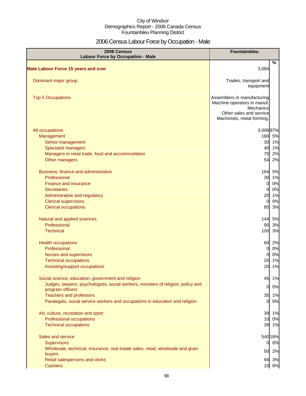## 2006 Census Labour Force by Occupation - Male

| 2006 Census<br><b>Labour Force by Occupation - Male</b>                                                                                                                                                   | Fountainbleu                                                                                                                     |                                           |
|-----------------------------------------------------------------------------------------------------------------------------------------------------------------------------------------------------------|----------------------------------------------------------------------------------------------------------------------------------|-------------------------------------------|
| <b>Male Labour Force 15 years and over</b>                                                                                                                                                                | 3,084                                                                                                                            | %                                         |
| Dominant major group                                                                                                                                                                                      | Trades, transport and<br>equipment                                                                                               |                                           |
| <b>Top 5 Occupations</b>                                                                                                                                                                                  | Assemblers in manufacturing<br>Machine operators in manuf.<br>Mechanics<br>Other sales and service<br>Machinists, metal forming, |                                           |
|                                                                                                                                                                                                           |                                                                                                                                  |                                           |
| All occupations<br>Management<br>Senior management<br><b>Specialist managers</b><br>Managers in retail trade, food and accommodation<br>Other managers                                                    | 3,00697%<br>70<br>54                                                                                                             | 160 5%<br>30 1%<br>40 1%<br>2%<br>2%      |
| Business, finance and administrative<br>Professional<br><b>Finance and insurance</b><br><b>Secretaries</b><br>Administrative and regulatory<br><b>Clerical supervisors</b><br><b>Clerical occupations</b> | 164<br>30<br>$\overline{0}$<br>$\Omega$<br>20<br>$\overline{0}$<br>85                                                            | 5%<br>1%<br>$0\%$<br>0%<br>1%<br>0%<br>3% |
| Natural and applied sciences<br>Professional<br><b>Technical</b>                                                                                                                                          | 95<br>100                                                                                                                        | 144 5%<br>3%<br>3%                        |
| <b>Health occupations</b><br>Professional<br>Nurses and supervisors<br><b>Technical occupations</b><br>Assisting/support occupations                                                                      | 60<br><sub>0</sub><br><sub>0</sub><br>20<br>20                                                                                   | 2%<br>0%<br>0%<br>1%<br>1%                |
| Social science, education, government and religion<br>Judges, lawyers, psychologists, social workers, ministers of religion, policy and                                                                   | 45                                                                                                                               | 1%                                        |
| program officers<br><b>Teachers and professors</b><br>Paralegals, social service workers and occupations in education and religion                                                                        | $\overline{0}$<br>$\overline{0}$                                                                                                 | 0%<br>35 1%<br>0%                         |
| Art, culture, recreation and sport<br>Professional occupations<br><b>Technical occupations</b>                                                                                                            | 39<br>10                                                                                                                         | 1%<br>0%<br>39 1%                         |
| Sales and service<br>Supervisors<br>Wholesale, technical, insurance, real estate sales, retail, wholesale and grain                                                                                       | 0                                                                                                                                | 540 18%<br>0%                             |
| buyers<br>Retail salespersons and clerks<br><b>Cashiers</b>                                                                                                                                               | 50                                                                                                                               | 2%<br>94 3%<br>10 0%                      |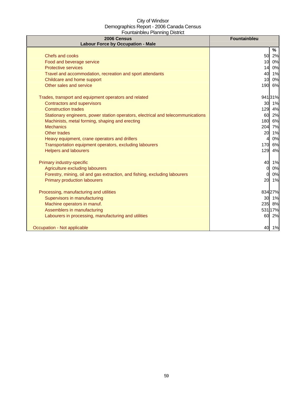| 2006 Census<br><b>Labour Force by Occupation - Male</b>                          | Fountainbleu         |
|----------------------------------------------------------------------------------|----------------------|
|                                                                                  | %                    |
| Chefs and cooks                                                                  | 50<br>2%             |
| Food and beverage service                                                        | 0%<br>10             |
| <b>Protective services</b>                                                       | 0%<br>14             |
| Travel and accommodation, recreation and sport attendants                        | 40 1%                |
| Childcare and home support                                                       | 0%<br>10             |
| Other sales and service                                                          | 190 6%               |
| Trades, transport and equipment operators and related                            | 94131%               |
| <b>Contractors and supervisors</b>                                               | 30 1%                |
| <b>Construction trades</b>                                                       | 129<br>4%            |
| Stationary engineers, power station operators, electrical and telecommunications | 2%<br>60             |
| Machinists, metal forming, shaping and erecting                                  | 6%<br>180            |
| <b>Mechanics</b>                                                                 | 204<br>7%            |
| Other trades                                                                     | 20<br>1%             |
| Heavy equipment, crane operators and drillers                                    | 0%                   |
| Transportation equipment operators, excluding labourers                          | 170<br>6%            |
| <b>Helpers and labourers</b>                                                     | 129<br>4%            |
| Primary industry-specific                                                        | 40<br>1%             |
| Agriculture excluding labourers                                                  | $\overline{0}$<br>0% |
| Forestry, mining, oil and gas extraction, and fishing, excluding labourers       | 0%<br>$\Omega$       |
| <b>Primary production labourers</b>                                              | 20 1%                |
| Processing, manufacturing and utilities                                          | 834 27%              |
| Supervisors in manufacturing                                                     | 30 1%                |
| Machine operators in manuf.                                                      | 235 8%               |
| Assemblers in manufacturing                                                      | 531 17%              |
| Labourers in processing, manufacturing and utilities                             | 2%<br>60             |
| Occupation - Not applicable                                                      | 40 1%                |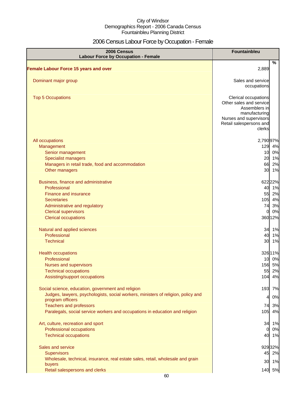## 2006 Census Labour Force by Occupation - Female

| 2006 Census<br><b>Labour Force by Occupation - Female</b>                         | Fountainbleu                                                                                                                                     |
|-----------------------------------------------------------------------------------|--------------------------------------------------------------------------------------------------------------------------------------------------|
| <b>Female Labour Force 15 years and over</b>                                      | $\%$<br>2,889                                                                                                                                    |
|                                                                                   |                                                                                                                                                  |
| Dominant major group                                                              | Sales and service<br>occupations                                                                                                                 |
| <b>Top 5 Occupations</b>                                                          | Clerical occupations<br>Other sales and service<br>Assemblers in<br>manufacturing<br>Nurses and supervisors<br>Retail salespersons and<br>clerks |
| All occupations                                                                   | 2,790 97%                                                                                                                                        |
| Management                                                                        | 129<br>4%                                                                                                                                        |
| Senior management                                                                 | 10<br>0%                                                                                                                                         |
| <b>Specialist managers</b>                                                        | 20 1%                                                                                                                                            |
| Managers in retail trade, food and accommodation                                  | 66<br>2%                                                                                                                                         |
| Other managers                                                                    | 30 1%                                                                                                                                            |
| Business, finance and administrative                                              | 622 22%                                                                                                                                          |
| Professional                                                                      | 40 1%                                                                                                                                            |
| <b>Finance and insurance</b>                                                      | 55<br>2%                                                                                                                                         |
| <b>Secretaries</b>                                                                | 105 4%                                                                                                                                           |
| Administrative and regulatory                                                     | 74<br>3%                                                                                                                                         |
| <b>Clerical supervisors</b>                                                       | 0%<br>$\overline{O}$                                                                                                                             |
| <b>Clerical occupations</b>                                                       | 360 12%                                                                                                                                          |
| Natural and applied sciences                                                      | 34 1%                                                                                                                                            |
| Professional                                                                      | 40 1%                                                                                                                                            |
| <b>Technical</b>                                                                  | 30 1%                                                                                                                                            |
| <b>Health occupations</b>                                                         | 326 11%                                                                                                                                          |
| Professional                                                                      | 10 0%                                                                                                                                            |
| Nurses and supervisors                                                            | 156 5%                                                                                                                                           |
| <b>Technical occupations</b>                                                      | 55 2%                                                                                                                                            |
| Assisting/support occupations                                                     | 104 4%                                                                                                                                           |
| Social science, education, government and religion                                | 193<br>7%                                                                                                                                        |
| Judges, lawyers, psychologists, social workers, ministers of religion, policy and | 0%<br>41                                                                                                                                         |
| program officers                                                                  |                                                                                                                                                  |
| <b>Teachers and professors</b>                                                    | 74<br>3%                                                                                                                                         |
| Paralegals, social service workers and occupations in education and religion      | 105<br>4%                                                                                                                                        |
| Art, culture, recreation and sport                                                | 34 1%                                                                                                                                            |
| Professional occupations                                                          | 0%<br>$\overline{0}$                                                                                                                             |
| <b>Technical occupations</b>                                                      | 40 1%                                                                                                                                            |
| Sales and service                                                                 | 92932%                                                                                                                                           |
| <b>Supervisors</b>                                                                | 45 2%                                                                                                                                            |
| Wholesale, technical, insurance, real estate sales, retail, wholesale and grain   |                                                                                                                                                  |
| buyers                                                                            | 30 1%                                                                                                                                            |
| Retail salespersons and clerks                                                    | 140 5%                                                                                                                                           |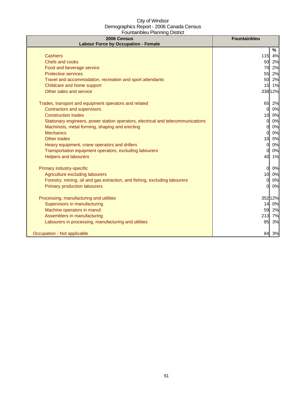| 2006 Census<br><b>Labour Force by Occupation - Female</b>                        | <b>Fountainbleu</b> |
|----------------------------------------------------------------------------------|---------------------|
|                                                                                  | %                   |
| <b>Cashiers</b>                                                                  | 115<br>4%           |
| Chefs and cooks                                                                  | 50<br>2%            |
| Food and beverage service                                                        | 2%<br>70            |
| <b>Protective services</b>                                                       | 2%<br>55            |
| Travel and accommodation, recreation and sport attendants                        | 50<br>2%            |
| Childcare and home support                                                       | 1%<br>15            |
| Other sales and service                                                          | 338 12%             |
| Trades, transport and equipment operators and related                            | 65<br>2%            |
| <b>Contractors and supervisors</b>                                               | 0%<br><sub>0</sub>  |
| <b>Construction trades</b>                                                       | 0%<br>10            |
| Stationary engineers, power station operators, electrical and telecommunications | 0%<br><sub>0</sub>  |
| Machinists, metal forming, shaping and erecting                                  | 0%<br><sub>0</sub>  |
| <b>Mechanics</b>                                                                 | 0%<br>$\Omega$      |
| Other trades                                                                     | 0%<br>10            |
| Heavy equipment, crane operators and drillers                                    | 0%<br>0l            |
| Transportation equipment operators, excluding labourers                          | 0%<br>$\Omega$      |
| <b>Helpers and labourers</b>                                                     | 1%<br>40            |
| Primary industry-specific                                                        | $\Omega$<br>0%      |
| Agriculture excluding labourers                                                  | 0%<br>10            |
| Forestry, mining, oil and gas extraction, and fishing, excluding labourers       | 0%<br>$\Omega$      |
| <b>Primary production labourers</b>                                              | 0%<br>$\Omega$      |
| Processing, manufacturing and utilities                                          | 352 12%             |
| Supervisors in manufacturing                                                     | 0%<br>14            |
| Machine operators in manuf.                                                      | 59<br>2%            |
| Assemblers in manufacturing                                                      | 213<br>7%           |
| Labourers in processing, manufacturing and utilities                             | 3%<br>85            |
| Occupation - Not applicable                                                      | 84<br>3%            |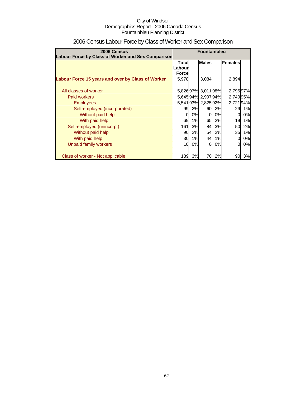| 2006 Census<br>Labour Force by Class of Worker and Sex Comparison                                 | <b>Fountainbleu</b>                                        |                |                                                 |                |                                |                |
|---------------------------------------------------------------------------------------------------|------------------------------------------------------------|----------------|-------------------------------------------------|----------------|--------------------------------|----------------|
|                                                                                                   | <b>Males</b><br>Females<br>Total<br>Labour<br><b>Force</b> |                |                                                 |                |                                |                |
| Labour Force 15 years and over by Class of Worker<br>All classes of worker<br><b>Paid workers</b> | 5,978                                                      |                | 3,084<br>5,82697% 3,01198%<br>5,64594% 2,90794% |                | 2,894<br>2,79597%<br>2,740 95% |                |
| <b>Employees</b><br>Self-employed (incorporated)                                                  | 99                                                         | 2%             | 5,541 93% 2,825 92%<br>60                       | 2%             | 2,72194%<br>29                 | 1%             |
| Without paid help<br>With paid help<br>Self-employed (unincorp.)                                  | 0<br>69<br>161                                             | 0%<br>1%<br>3% | $\Omega$<br>65<br>84                            | 0%<br>2%<br>3% | 0<br>19<br>50                  | 0%<br>1%<br>2% |
| Without paid help<br>With paid help                                                               | 90<br>30                                                   | 2%<br>1%       | 54<br>44                                        | 2%<br>1%       | 35<br>0                        | 1%<br>0%       |
| Unpaid family workers<br>Class of worker - Not applicable                                         | 10<br>189                                                  | 0%<br>3%       | $\Omega$<br>70                                  | 0%<br>2%       | 0<br>90                        | 0%<br>3%       |

## 2006 Census Labour Force by Class of Worker and Sex Comparison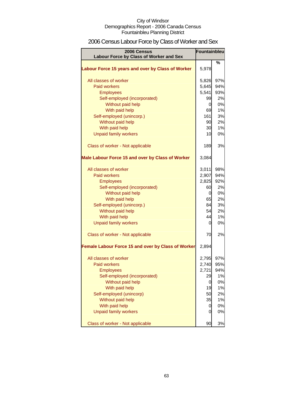## 2006 Census Labour Force by Class of Worker and Sex

| 2006 Census<br>Labour Force by Class of Worker and Sex | <b>Fountainbleu</b> |     |
|--------------------------------------------------------|---------------------|-----|
|                                                        |                     | %   |
| Labour Force 15 years and over by Class of Worker      | 5,978               |     |
| All classes of worker                                  | 5,826               | 97% |
| <b>Paid workers</b>                                    | 5,645               | 94% |
| <b>Employees</b>                                       | 5,541               | 93% |
| Self-employed (incorporated)                           | 99                  | 2%  |
| Without paid help                                      | 0                   | 0%  |
| With paid help                                         | 69                  | 1%  |
| Self-employed (unincorp.)                              | 161                 | 3%  |
| Without paid help                                      | 90                  | 2%  |
| With paid help                                         | 30                  | 1%  |
| <b>Unpaid family workers</b>                           | 10                  | 0%  |
| Class of worker - Not applicable                       | 189                 | 3%  |
| Male Labour Force 15 and over by Class of Worker       | 3,084               |     |
| All classes of worker                                  | 3,011               | 98% |
| Paid workers                                           | 2,907               | 94% |
| <b>Employees</b>                                       | 2,825               | 92% |
| Self-employed (incorporated)                           | 60                  | 2%  |
| Without paid help                                      | 0                   | 0%  |
| With paid help                                         | 65                  | 2%  |
| Self-employed (unincorp.)                              | 84                  | 3%  |
| Without paid help                                      | 54                  | 2%  |
| With paid help                                         | 44                  | 1%  |
| <b>Unpaid family workers</b>                           | 0                   | 0%  |
| Class of worker - Not applicable                       | 70                  | 2%  |
| Female Labour Force 15 and over by Class of Worker     | 2,894               |     |
| All classes of worker                                  | 2,795               | 97% |
| <b>Paid workers</b>                                    | 2,740               | 95% |
| <b>Employees</b>                                       | 2,721               | 94% |
| Self-employed (incorporated)                           | 29                  | 1%  |
| Without paid help                                      | 0                   | 0%  |
| With paid help                                         | 19                  | 1%  |
| Self-employed (unincorp)                               | 50                  | 2%  |
| Without paid help                                      | 35                  | 1%  |
| With paid help                                         | 0                   | 0%  |
| <b>Unpaid family workers</b>                           | 0                   | 0%  |
| Class of worker - Not applicable                       | 90                  | 3%  |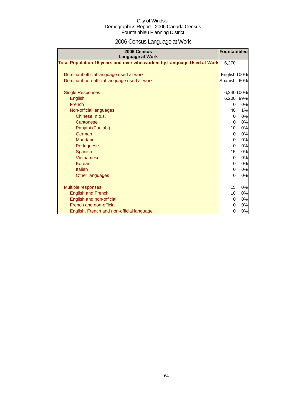# 2006 Census Language at Work

| 2006 Census<br><b>Language at Work</b>                                 | Fountainbleu   |            |
|------------------------------------------------------------------------|----------------|------------|
| Total Population 15 years and over who worked by Language Used at Work | 6,270          |            |
| Dominant official language used at work                                | English 100%   |            |
| Dominant non-official language used at work                            | Spanish        | 60%        |
| <b>Single Responses</b>                                                |                | 6,240 100% |
| <b>English</b>                                                         | 6,200          | 99%        |
| French                                                                 | 0              | 0%         |
| Non-official languages                                                 | 40             | 1%         |
| Chinese, n.o.s.                                                        | 0              | 0%         |
| Cantonese                                                              | $\overline{0}$ | 0%         |
| Panjabi (Punjabi)                                                      | 10             | 0%         |
| German                                                                 | $\overline{0}$ | 0%         |
| Mandarin                                                               | 0              | 0%         |
| Portuguese                                                             | $\overline{0}$ | 0%         |
| Spanish                                                                | 15             | 0%         |
| Vietnamese                                                             | $\overline{0}$ | 0%         |
| Korean                                                                 | 0              | 0%         |
| Italian                                                                | $\overline{0}$ | 0%         |
| Other languages                                                        | $\Omega$       | 0%         |
| <b>Multiple responses</b>                                              | 15             | 0%         |
| <b>English and French</b>                                              | 10             | 0%         |
| English and non-official                                               | 0              | 0%         |
| French and non-official                                                | $\overline{0}$ | 0%         |
| English, French and non-official language                              | 0              | 0%         |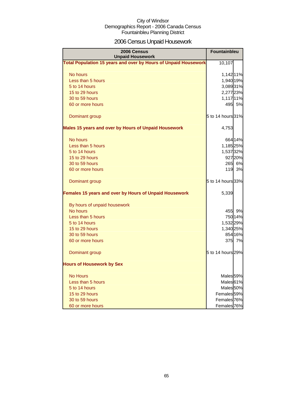## 2006 Census Unpaid Housework

| 2006 Census<br><b>Unpaid Housework</b>                                 | Fountainbleu           |
|------------------------------------------------------------------------|------------------------|
| <b>Total Population 15 years and over by Hours of Unpaid Housework</b> | 10,107                 |
| No hours                                                               | 1,142 11%              |
| Less than 5 hours                                                      | 1,940 19%              |
| 5 to 14 hours                                                          | 3,08931%               |
| 15 to 29 hours                                                         | 2,277 23%              |
| 30 to 59 hours                                                         | 1,117 11%              |
| 60 or more hours                                                       | 495 5%                 |
| Dominant group                                                         | 5 to 14 hours 31%      |
| <b>Males 15 years and over by Hours of Unpaid Housework</b>            | 4,753                  |
| No hours                                                               | 664 14%                |
| Less than 5 hours                                                      | 1,185 25%              |
| 5 to 14 hours                                                          | 1,537 32%              |
| 15 to 29 hours                                                         | 927 20%                |
| 30 to 59 hours                                                         | 265 6%                 |
| 60 or more hours                                                       | 119<br>3%              |
| Dominant group                                                         | 5 to 14 hours 33%      |
| Females 15 years and over by Hours of Unpaid Housework                 | 5,339                  |
| By hours of unpaid housework                                           |                        |
| No hours                                                               | 455 9%                 |
| Less than 5 hours                                                      | 750 14%                |
| 5 to 14 hours                                                          | 1,532 29%              |
| 15 to 29 hours                                                         | 1,340 25%              |
| 30 to 59 hours                                                         | 854 16%                |
| 60 or more hours                                                       | 375 7%                 |
| Dominant group                                                         | 5 to 14 hours 29%      |
| <b>Hours of Housework by Sex</b>                                       |                        |
| <b>No Hours</b>                                                        | Males 59%              |
| Less than 5 hours                                                      | Males 61%              |
| 5 to 14 hours                                                          | Males <sup>50%</sup>   |
| 15 to 29 hours                                                         | Females <sup>59%</sup> |
| 30 to 59 hours                                                         | Females 76%            |
| 60 or more hours                                                       | Females <sup>76%</sup> |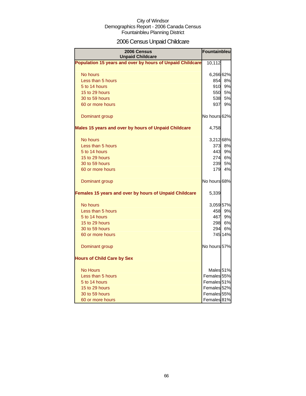## 2006 Census Unpaid Childcare

| 2006 Census<br><b>Unpaid Childcare</b>                    | Fountainbleu           |         |
|-----------------------------------------------------------|------------------------|---------|
| Population 15 years and over by hours of Unpaid Childcare | 10,112                 |         |
| No hours                                                  | 6,266 62%              |         |
| Less than 5 hours                                         |                        | 854 8%  |
| 5 to 14 hours                                             | 910                    | 9%      |
| 15 to 29 hours                                            | 550                    | 5%      |
| 30 to 59 hours                                            | 538l                   | 5%      |
| 60 or more hours                                          | 937                    | 9%      |
| Dominant group                                            | No hours 62%           |         |
| Males 15 years and over by hours of Unpaid Childcare      | 4,758                  |         |
| No hours                                                  | 3,212 68%              |         |
| Less than 5 hours                                         |                        | 373 8%  |
| 5 to 14 hours                                             | 443                    | 9%      |
| 15 to 29 hours                                            | 274                    | 6%      |
| 30 to 59 hours                                            | 239                    | 5%      |
| 60 or more hours                                          | 179                    | 4%      |
| Dominant group                                            | No hours 68%           |         |
| Females 15 years and over by hours of Unpaid Childcare    | 5,339                  |         |
| No hours                                                  | 3,059 57%              |         |
| Less than 5 hours                                         | 458                    | 9%      |
| 5 to 14 hours                                             | 467                    | 9%      |
| 15 to 29 hours                                            | 2981                   | 6%      |
| 30 to 59 hours                                            | 294                    | 6%      |
| 60 or more hours                                          |                        | 745 14% |
| Dominant group                                            | No hours 57%           |         |
| <b>Hours of Child Care by Sex</b>                         |                        |         |
| <b>No Hours</b>                                           | Males <sub>51%</sub>   |         |
| Less than 5 hours                                         | Females 55%            |         |
| 5 to 14 hours                                             | Females <sub>51%</sub> |         |
| 15 to 29 hours                                            | Females 52%            |         |
| 30 to 59 hours                                            | Females 55%            |         |
| 60 or more hours                                          | Females 81%            |         |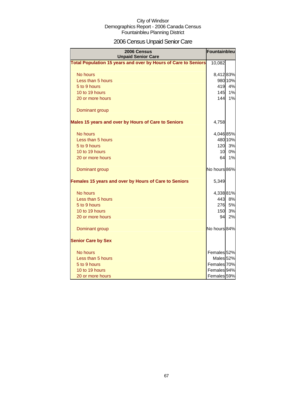## 2006 Census Unpaid Senior Care

| 2006 Census<br><b>Unpaid Senior Care</b>                              | Fountainbleu |         |  |  |
|-----------------------------------------------------------------------|--------------|---------|--|--|
| <b>Total Population 15 years and over by Hours of Care to Seniors</b> | 10,082       |         |  |  |
| No hours                                                              | 8,412 83%    |         |  |  |
| Less than 5 hours                                                     |              | 980 10% |  |  |
| 5 to 9 hours                                                          | 419          | 4%      |  |  |
| 10 to 19 hours                                                        | 145          | 1%      |  |  |
| 20 or more hours                                                      | 144          | 1%      |  |  |
| Dominant group                                                        |              |         |  |  |
| Males 15 years and over by Hours of Care to Seniors                   | 4,758        |         |  |  |
| No hours                                                              | 4,046 85%    |         |  |  |
| Less than 5 hours                                                     |              | 480 10% |  |  |
| 5 to 9 hours                                                          | 120          | 3%      |  |  |
| 10 to 19 hours                                                        | 10           | 0%      |  |  |
| 20 or more hours                                                      | 64           | 1%      |  |  |
| Dominant group                                                        | No hours 86% |         |  |  |
| Females 15 years and over by Hours of Care to Seniors                 | 5,349        |         |  |  |
| No hours                                                              | 4,338 81%    |         |  |  |
| Less than 5 hours                                                     | 443          | 8%      |  |  |
| 5 to 9 hours                                                          | 276          | 5%      |  |  |
| 10 to 19 hours                                                        | <b>150</b>   | 3%      |  |  |
| 20 or more hours                                                      | 94           | 2%      |  |  |
| Dominant group                                                        | No hours 84% |         |  |  |
| <b>Senior Care by Sex</b>                                             |              |         |  |  |
| No hours                                                              | Females 52%  |         |  |  |
| Less than 5 hours                                                     | Males 52%    |         |  |  |
| 5 to 9 hours                                                          | Females 70%  |         |  |  |
| 10 to 19 hours                                                        | Females 94%  |         |  |  |
| 20 or more hours                                                      | Females 59%  |         |  |  |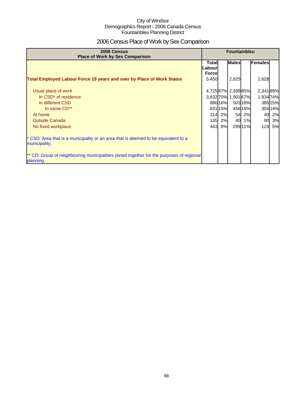## 2006 Census Place of Work by Sex Comparison

| 2006 Census<br><b>Place of Work by Sex Comparison</b>                                                 | <b>Fountainbleu</b>                      |        |                     |         |           |           |
|-------------------------------------------------------------------------------------------------------|------------------------------------------|--------|---------------------|---------|-----------|-----------|
|                                                                                                       | <b>Total</b><br>Labourl<br><b>Forcel</b> |        | <b>Males</b>        |         | Females   |           |
| Total Employed Labour Force 15 years and over by Place of Work Status                                 | 5,450                                    |        | 2,825               |         | 2,628     |           |
| Usual place of work                                                                                   |                                          |        | 4,72587% 2,39985%   |         | 2,341 89% |           |
| In CSD <sup>*</sup> of residence                                                                      |                                          |        | 3,832 70% 1,901 67% |         | 1,93474%  |           |
| In different CSD                                                                                      |                                          | 88616% |                     | 503 18% |           | 385 15%   |
| In same CD**                                                                                          |                                          | 83115% |                     | 456 16% |           | 35514%    |
| At home                                                                                               | 114                                      | 2%     | 54                  | 2%      | 40        | 2%        |
| <b>Outside Canada</b>                                                                                 | 135                                      | 2%     | 40                  | 1%      | 90        | 3%        |
| No fixed workplace                                                                                    | 443                                      | 8%     |                     | 29911%  | 124       | <b>5%</b> |
| * CSD: Area that is a municipality or an area that is deemed to be equivalent to a<br>municipality.   |                                          |        |                     |         |           |           |
| ** CD: Group of neighbouring municipalities joined together for the purposes of regional<br>planning. |                                          |        |                     |         |           |           |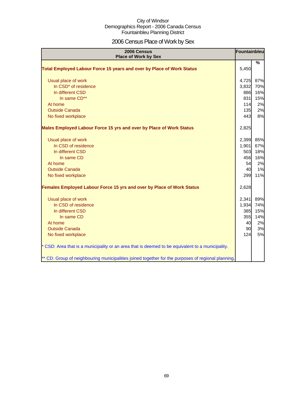## 2006 Census Place of Work by Sex

| 2006 Census<br><b>Place of Work by Sex</b>                                                         | Fountainbleu |               |
|----------------------------------------------------------------------------------------------------|--------------|---------------|
| Total Employed Labour Force 15 years and over by Place of Work Status                              | 5,450        | $\frac{9}{6}$ |
| Usual place of work                                                                                | 4,725        | 87%           |
| In CSD <sup>*</sup> of residence                                                                   | 3,832        | 70%           |
| In different CSD                                                                                   | 886          | 16%           |
| In same CD**                                                                                       | 831          | 15%           |
| At home                                                                                            | 114          | 2%            |
| <b>Outside Canada</b>                                                                              | 135          | 2%            |
| No fixed workplace                                                                                 | 443          | 8%            |
| Males Employed Labour Force 15 yrs and over by Place of Work Status                                | 2,825        |               |
| Usual place of work                                                                                | 2,399        | 85%           |
| In CSD of residence                                                                                | 1,901        | 67%           |
| In different CSD                                                                                   | 503          | 18%           |
| In same CD                                                                                         | 456          | 16%           |
| At home                                                                                            | 54           | 2%            |
| <b>Outside Canada</b>                                                                              | 40           | 1%            |
| No fixed workplace                                                                                 | 299          | 11%           |
| Females Employed Labour Force 15 yrs and over by Place of Work Status                              | 2,628        |               |
| Usual place of work                                                                                | 2,341        | 89%           |
| In CSD of residence                                                                                | 1,934        | 74%           |
| In different CSD                                                                                   | 385          | 15%           |
| In same CD                                                                                         | 355          | 14%           |
| At home                                                                                            | 40           | 2%            |
| <b>Outside Canada</b>                                                                              | 90           | 3%            |
| No fixed workplace                                                                                 | 124          | 5%            |
| * CSD: Area that is a municipality or an area that is deemed to be equivalent to a municipality.   |              |               |
| ** CD: Group of neighbouring municipalities joined together for the purposes of regional planning. |              |               |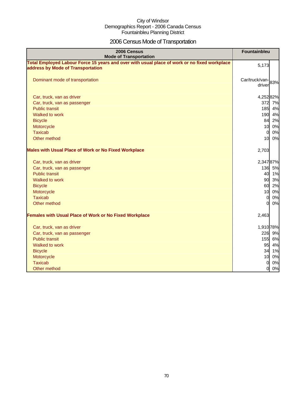## 2006 Census Mode of Transportation

| 2006 Census<br><b>Mode of Transportation</b>                                                                                      | <b>Fountainbleu</b>         |
|-----------------------------------------------------------------------------------------------------------------------------------|-----------------------------|
| Total Employed Labour Force 15 years and over with usual place of work or no fixed workplace<br>address by Mode of Transportation | 5,173                       |
| Dominant mode of transportation                                                                                                   | Car/truck/van-83%<br>driver |
| Car, truck, van as driver                                                                                                         | 4,25282%                    |
| Car, truck, van as passenger                                                                                                      | 372 7%                      |
| <b>Public transit</b>                                                                                                             | 185<br>4%                   |
| Walked to work                                                                                                                    | 190<br>4%                   |
| <b>Bicycle</b>                                                                                                                    | 2%<br>84                    |
| Motorcycle                                                                                                                        | 0%<br>10                    |
| <b>Taxicab</b>                                                                                                                    | 0%<br>$\overline{0}$        |
| Other method                                                                                                                      | 10<br>0%                    |
| <b>Males with Usual Place of Work or No Fixed Workplace</b>                                                                       | 2,703                       |
| Car, truck, van as driver                                                                                                         | 2,34787%                    |
| Car, truck, van as passenger                                                                                                      | 136 5%                      |
| <b>Public transit</b>                                                                                                             | 40 1%                       |
| Walked to work                                                                                                                    | 90 3%                       |
| <b>Bicycle</b>                                                                                                                    | 60<br>2%                    |
| Motorcycle                                                                                                                        | 10<br>0%                    |
| <b>Taxicab</b>                                                                                                                    | 0%<br>$\overline{0}$        |
| Other method                                                                                                                      | ΩI<br>0%                    |
| <b>Females with Usual Place of Work or No Fixed Workplace</b>                                                                     | 2,463                       |
| Car, truck, van as driver                                                                                                         | 1,910 78%                   |
| Car, truck, van as passenger                                                                                                      | 226<br>9%                   |
| <b>Public transit</b>                                                                                                             | 155 6%                      |
| Walked to work                                                                                                                    | 95<br>4%                    |
| <b>Bicycle</b>                                                                                                                    | 34 1%                       |
| Motorcycle                                                                                                                        | 10<br>0%                    |
| <b>Taxicab</b>                                                                                                                    | 0<br>0%                     |
| Other method                                                                                                                      | 0%<br>$\overline{0}$        |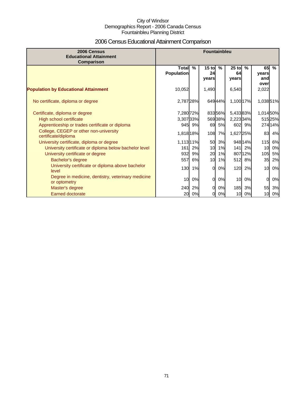## 2006 Census Educational Attainment Comparison

| 2006 Census<br><b>Educational Attainment</b><br>Comparison         | <b>Fountainbleu</b>               |        |                        |               |                        |         |                            |         |
|--------------------------------------------------------------------|-----------------------------------|--------|------------------------|---------------|------------------------|---------|----------------------------|---------|
|                                                                    | <b>Total</b><br><b>Population</b> | $\%$   | $15$ to<br>24<br>years | $\frac{9}{6}$ | $25$ to<br>64<br>years | $\%$    | 65<br>years<br>and<br>over | $\%$    |
| <b>Population by Educational Attainment</b>                        | 10,052                            |        | 1,490                  |               | 6,540                  |         | 2,022                      |         |
| No certificate, diploma or degree                                  | 2,787 28%                         |        |                        | 64944%        | 1,100 17%              |         | 1,03851%                   |         |
| Certificate, diploma or degree                                     | 7,280 72%                         |        |                        | 83356%        | 5,43383%               |         | 1,014 50%                  |         |
| High school certificate                                            | 3,307 33%                         |        |                        | 56938%        | 2,223 34%              |         |                            | 51525%  |
| Apprenticeship or trades certificate or diploma                    |                                   | 945 9% | 69                     | 5%            |                        | 602 9%  |                            | 274 14% |
| College, CEGEP or other non-university<br>certificate/diploma      | 1,818 18%                         |        | 108                    | 7%            | 1,627 25%              |         | 83                         | 4%      |
| University certificate, diploma or degree                          | 1,113 11%                         |        | 50                     | 3%            |                        | 948 14% | 115                        | 6%      |
| University certificate or diploma below bachelor level             | 161                               | 2%     | 10                     | 1%            | $141$                  | 2%      | 10                         | 0%      |
| University certificate or degree                                   | 932                               | 9%     | 20                     | 1%            |                        | 80712%  | 105                        | 5%      |
| Bachelor's degree                                                  | 557                               | 6%     | 10                     | 1%            |                        | 512 8%  | 35                         | 2%      |
| University certificate or diploma above bachelor<br>level          | 130                               | 1%     | $\Omega$               | 0%            | 120                    | 2%      | 10                         | 0%      |
| Degree in medicine, dentistry, veterinary medicine<br>or optometry | 10                                | 0%     | $\Omega$               | 0%            | 10                     | 0%      | 0                          | 0%      |
| Master's degree                                                    | 240                               | 2%     | $\Omega$               | 0%            | 185                    | 3%      | 55                         | 3%      |
| <b>Earned doctorate</b>                                            | 20                                | 0%     | 0                      | 0%            |                        | 10 0%   | 10                         | 0%      |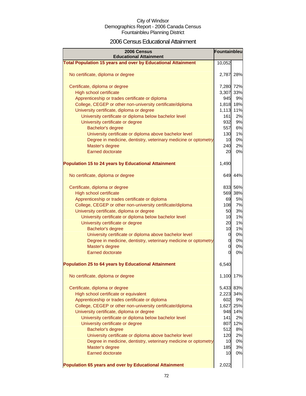### 2006 Census Educational Attainment

| 2006 Census<br><b>Educational Attainment</b>                        | Fountainbleu   |           |
|---------------------------------------------------------------------|----------------|-----------|
| <b>Total Population 15 years and over by Educational Attainment</b> | 10,052         |           |
|                                                                     |                |           |
| No certificate, diploma or degree                                   | 2,787 28%      |           |
| Certificate, diploma or degree                                      | 7,280 72%      |           |
| High school certificate                                             | 3,307 33%      |           |
| Apprenticeship or trades certificate or diploma                     | 945            | 9%        |
| College, CEGEP or other non-university certificate/diploma          | 1,818 18%      |           |
| University certificate, diploma or degree                           | 1,113 11%      |           |
| University certificate or diploma below bachelor level              | 161            | 2%        |
| University certificate or degree                                    | 932            | 9%        |
| Bachelor's degree                                                   | 557            | 6%        |
| University certificate or diploma above bachelor level              | 130            | 1%        |
| Degree in medicine, dentistry, veterinary medicine or optometry     | 10             | 0%        |
| Master's degree                                                     | 240            | 2%        |
| <b>Earned doctorate</b>                                             | 20             | 0%        |
|                                                                     |                |           |
| <b>Population 15 to 24 years by Educational Attainment</b>          | 1,490          |           |
| No certificate, diploma or degree                                   |                | 649 44%   |
| Certificate, diploma or degree                                      |                | 833 56%   |
| High school certificate                                             |                | 569 38%   |
| Apprenticeship or trades certificate or diploma                     | 69             | 5%        |
| College, CEGEP or other non-university certificate/diploma          | 108            | 7%        |
| University certificate, diploma or degree                           | 50             | 3%        |
| University certificate or diploma below bachelor level              | 10             | 1%        |
| University certificate or degree                                    | 20             | 1%        |
| Bachelor's degree                                                   | 10             | 1%        |
| University certificate or diploma above bachelor level              | $\overline{0}$ | 0%        |
| Degree in medicine, dentistry, veterinary medicine or optometry     | 0              | 0%        |
| Master's degree                                                     | 0              | 0%        |
| <b>Earned doctorate</b>                                             | $\Omega$       | 0%        |
| <b>Population 25 to 64 years by Educational Attainment</b>          | 6,540          |           |
| No certificate, diploma or degree                                   | 1,100          | 17%       |
|                                                                     |                |           |
| Certificate, diploma or degree                                      | 5,433 83%      |           |
| High school certificate or equivalent                               | 2,223 34%      |           |
| Apprenticeship or trades certificate or diploma                     | 602            | 9%        |
| College, CEGEP or other non-university certificate/diploma          |                | 1,627 25% |
| University certificate, diploma or degree                           | 948            | 14%       |
| University certificate or diploma below bachelor level              | 141            | 2%        |
| University certificate or degree                                    | 807            | 12%       |
| <b>Bachelor's degree</b>                                            | 512            | 8%        |
| University certificate or diploma above bachelor level              | 120            | 2%        |
| Degree in medicine, dentistry, veterinary medicine or optometry     | 10             | 0%        |
| Master's degree                                                     | 185            | 3%        |
| <b>Earned doctorate</b>                                             | 10             | 0%        |
| Population 65 years and over by Educational Attainment              | 2,022          |           |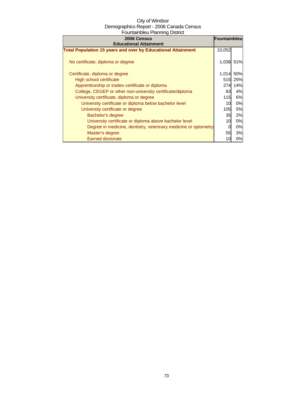| 2006 Census<br><b>Educational Attainment</b>                        | Fountainbleu |         |
|---------------------------------------------------------------------|--------------|---------|
| <b>Total Population 15 years and over by Educational Attainment</b> | 10,052       |         |
| No certificate, diploma or degree                                   | 1,038 51%    |         |
| Certificate, diploma or degree                                      | 1,014        | 50%     |
| High school certificate                                             |              | 515 25% |
| Apprenticeship or trades certificate or diploma                     | 274          | 14%     |
| College, CEGEP or other non-university certificate/diploma          | 83           | 4%      |
| University certificate, diploma or degree                           | 115          | 6%      |
| University certificate or diploma below bachelor level              | 10           | 0%      |
| University certificate or degree                                    | 105          | 5%      |
| Bachelor's degree                                                   | 35           | 2%      |
| University certificate or diploma above bachelor level              | 10           | 0%      |
| Degree in medicine, dentistry, veterinary medicine or optometry     | 0            | 0%      |
| Master's degree                                                     | 55           | 3%      |
| <b>Earned doctorate</b>                                             | 10           | 0%      |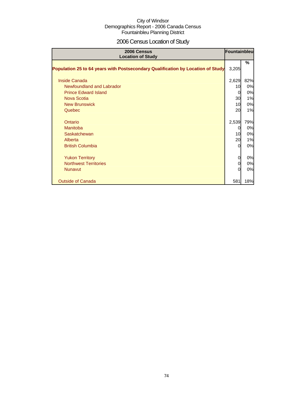# 2006 Census Location of Study

| 2006 Census<br><b>Location of Study</b>                                         | Fountainbleu |     |
|---------------------------------------------------------------------------------|--------------|-----|
| Population 25 to 64 years with Postsecondary Qualification by Location of Study | 3,205        | %   |
| Inside Canada                                                                   | 2,629        | 82% |
| Newfoundland and Labrador                                                       | 10           | 0%  |
| <b>Prince Edward Island</b>                                                     | 0            | 0%  |
| Nova Scotia                                                                     | 30           | 1%  |
| <b>New Brunswick</b>                                                            | 10           | 0%  |
| Quebec                                                                          | 20           | 1%  |
| Ontario                                                                         | 2,539        | 79% |
| <b>Manitoba</b>                                                                 | 0            | 0%  |
| Saskatchewan                                                                    | 10           | 0%  |
| Alberta                                                                         | 20           | 1%  |
| <b>British Columbia</b>                                                         | $\Omega$     | 0%  |
| <b>Yukon Territory</b>                                                          | 0            | 0%  |
| <b>Northwest Territories</b>                                                    | 0            | 0%  |
| <b>Nunavut</b>                                                                  | $\Omega$     | 0%  |
| <b>Outside of Canada</b>                                                        | 581          | 18% |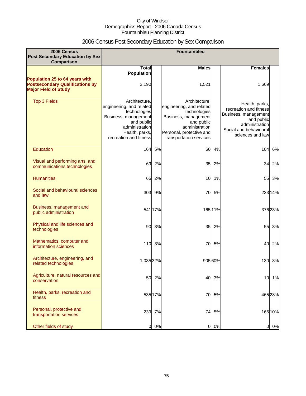# 2006 Census Post Secondary Education by Sex Comparison

| 2006 Census<br><b>Post Secondary Education by Sex</b><br>Comparison                                     |                                                                                                                                                               |         | Fountainbleu                                                                                                                                                             |         |                                                                                                                                                |         |
|---------------------------------------------------------------------------------------------------------|---------------------------------------------------------------------------------------------------------------------------------------------------------------|---------|--------------------------------------------------------------------------------------------------------------------------------------------------------------------------|---------|------------------------------------------------------------------------------------------------------------------------------------------------|---------|
|                                                                                                         | <b>Total</b>                                                                                                                                                  |         | <b>Males</b>                                                                                                                                                             |         | <b>Females</b>                                                                                                                                 |         |
| Population 25 to 64 years with<br><b>Postsecondary Qualifications by</b><br><b>Major Field of Study</b> | <b>Population</b><br>3,190                                                                                                                                    |         | 1,521                                                                                                                                                                    |         | 1,669                                                                                                                                          |         |
| <b>Top 3 Fields</b>                                                                                     | Architecture.<br>engineering, and related<br>technologies<br>Business, management<br>and public<br>administration<br>Health, parks,<br>recreation and fitness |         | Architecture.<br>engineering, and related<br>technologies<br>Business, management<br>and public<br>administration<br>Personal, protective and<br>transportation services |         | Health, parks,<br>recreation and fitness<br>Business, management<br>and public<br>administration<br>Social and behavioural<br>sciences and law |         |
| Education                                                                                               | 164                                                                                                                                                           | 5%      | 60                                                                                                                                                                       | 4%      | 104                                                                                                                                            | 6%      |
| Visual and performing arts, and<br>communications technologies                                          | 69                                                                                                                                                            | 2%      | 35                                                                                                                                                                       | 2%      | 34                                                                                                                                             | 2%      |
| <b>Humanities</b>                                                                                       | 65                                                                                                                                                            | 2%      | 10                                                                                                                                                                       | 1%      | 55                                                                                                                                             | 3%      |
| Social and behavioural sciences<br>and law                                                              | 303                                                                                                                                                           | 9%      | 70                                                                                                                                                                       | 5%      |                                                                                                                                                | 233 14% |
| Business, management and<br>public administration                                                       |                                                                                                                                                               | 541 17% |                                                                                                                                                                          | 165 11% |                                                                                                                                                | 376 23% |
| Physical and life sciences and<br>technologies                                                          | 90                                                                                                                                                            | 3%      | 35                                                                                                                                                                       | 2%      | 55                                                                                                                                             | 3%      |
| Mathematics, computer and<br>information sciences                                                       | 110                                                                                                                                                           | 3%      | 70                                                                                                                                                                       | 5%      | 40                                                                                                                                             | 2%      |
| Architecture, engineering, and<br>related technologies                                                  | 1,035 32%                                                                                                                                                     |         |                                                                                                                                                                          | 905 60% | 130                                                                                                                                            | 8%      |
| Agriculture, natural resources and<br>conservation                                                      | 50                                                                                                                                                            | 2%      | 40                                                                                                                                                                       | 3%      | 10                                                                                                                                             | 1%      |
| Health, parks, recreation and<br>fitness                                                                |                                                                                                                                                               | 535 17% | 70                                                                                                                                                                       | 5%      |                                                                                                                                                | 465 28% |
| Personal, protective and<br>transportation services                                                     |                                                                                                                                                               | 239 7%  | 74                                                                                                                                                                       | 5%      |                                                                                                                                                | 165 10% |
| Other fields of study                                                                                   | $\overline{0}$                                                                                                                                                | 0%      | $\overline{0}$                                                                                                                                                           | 0%      | 0                                                                                                                                              | 0%      |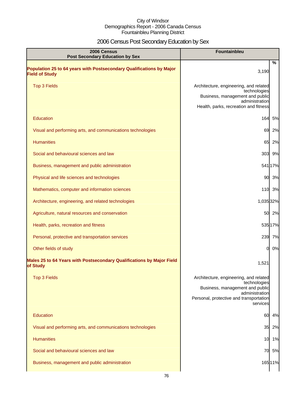# 2006 Census Post Secondary Education by Sex

| 2006 Census<br><b>Post Secondary Education by Sex</b>                                         | <b>Fountainbleu</b>                                                                                                                                                |
|-----------------------------------------------------------------------------------------------|--------------------------------------------------------------------------------------------------------------------------------------------------------------------|
| Population 25 to 64 years with Postsecondary Qualifications by Major<br><b>Field of Study</b> | %<br>3,190                                                                                                                                                         |
| <b>Top 3 Fields</b>                                                                           | Architecture, engineering, and related<br>technologies<br>Business, management and public<br>administration<br>Health, parks, recreation and fitness               |
| Education                                                                                     | 164<br>5%                                                                                                                                                          |
| Visual and performing arts, and communications technologies                                   | 69<br>2%                                                                                                                                                           |
| <b>Humanities</b>                                                                             | 65 2%                                                                                                                                                              |
| Social and behavioural sciences and law                                                       | 303 9%                                                                                                                                                             |
| Business, management and public administration                                                | 541 17%                                                                                                                                                            |
| Physical and life sciences and technologies                                                   | 90 3%                                                                                                                                                              |
| Mathematics, computer and information sciences                                                | 110 3%                                                                                                                                                             |
| Architecture, engineering, and related technologies                                           | 1,035 32%                                                                                                                                                          |
| Agriculture, natural resources and conservation                                               | 50 2%                                                                                                                                                              |
| Health, parks, recreation and fitness                                                         | 535 17%                                                                                                                                                            |
| Personal, protective and transportation services                                              | 239 7%                                                                                                                                                             |
| Other fields of study                                                                         | 0%<br><sub>0</sub>                                                                                                                                                 |
| Males 25 to 64 Years with Postsecondary Qualifications by Major Field<br>of Study             | 1,521                                                                                                                                                              |
| <b>Top 3 Fields</b>                                                                           | Architecture, engineering, and related<br>technologies<br>Business, management and public<br>administration<br>Personal, protective and transportation<br>services |
| <b>Education</b>                                                                              | 60<br>4%                                                                                                                                                           |
| Visual and performing arts, and communications technologies                                   | 35 2%                                                                                                                                                              |
| <b>Humanities</b>                                                                             | 10 1%                                                                                                                                                              |
| Social and behavioural sciences and law                                                       | 70 5%                                                                                                                                                              |
| Business, management and public administration                                                | 165 11%                                                                                                                                                            |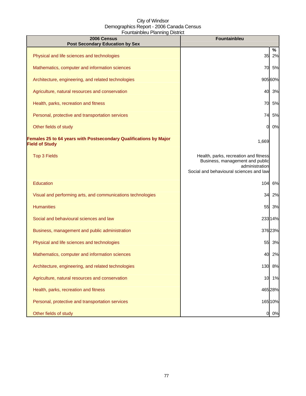| 2006 Census<br><b>Post Secondary Education by Sex</b>                                      | Fountainbleu                                                                                                                          |
|--------------------------------------------------------------------------------------------|---------------------------------------------------------------------------------------------------------------------------------------|
| Physical and life sciences and technologies                                                | %<br>2%<br>35                                                                                                                         |
| Mathematics, computer and information sciences                                             | 70<br>5%                                                                                                                              |
| Architecture, engineering, and related technologies                                        | 90560%                                                                                                                                |
| Agriculture, natural resources and conservation                                            | 3%<br>40                                                                                                                              |
| Health, parks, recreation and fitness                                                      | 5%<br>70                                                                                                                              |
| Personal, protective and transportation services                                           | 5%<br>74                                                                                                                              |
| Other fields of study                                                                      | 0%<br>0                                                                                                                               |
| Females 25 to 64 years with Postsecondary Qualifications by Major<br><b>Field of Study</b> | 1,669                                                                                                                                 |
| <b>Top 3 Fields</b>                                                                        | Health, parks, recreation and fitness<br>Business, management and public<br>administration<br>Social and behavioural sciences and law |
| Education                                                                                  | 104<br>6%                                                                                                                             |
| Visual and performing arts, and communications technologies                                | 34<br>2%                                                                                                                              |
| <b>Humanities</b>                                                                          | 55<br>3%                                                                                                                              |
| Social and behavioural sciences and law                                                    | 23314%                                                                                                                                |
| Business, management and public administration                                             | 37623%                                                                                                                                |
| Physical and life sciences and technologies                                                | 55 3%                                                                                                                                 |
| Mathematics, computer and information sciences                                             | 2%<br>40                                                                                                                              |
| Architecture, engineering, and related technologies                                        | 130<br>8%                                                                                                                             |
| Agriculture, natural resources and conservation                                            | 1%<br>10                                                                                                                              |
| Health, parks, recreation and fitness                                                      | 465 28%                                                                                                                               |
| Personal, protective and transportation services                                           | 165 10%                                                                                                                               |
| Other fields of study                                                                      | 0 0%                                                                                                                                  |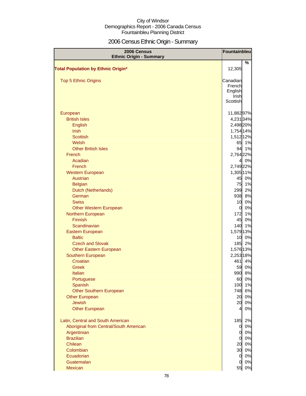# 2006 Census Ethnic Origin - Summary

| 2006 Census<br><b>Ethnic Origin - Summary</b> | Fountainbleu       |       |
|-----------------------------------------------|--------------------|-------|
|                                               |                    | %     |
| <b>Total Population by Ethnic Origin*</b>     | 12,305             |       |
|                                               |                    |       |
| <b>Top 5 Ethnic Origins</b>                   | Canadian<br>French |       |
|                                               | English            |       |
|                                               | Irish              |       |
|                                               | Scottish           |       |
| European                                      | 11,88297%          |       |
| <b>British Isles</b>                          | 4,231 34%          |       |
| English                                       | 2,498 20%          |       |
| <b>Irish</b>                                  | 1,754 14%          |       |
| <b>Scottish</b>                               | 1,512 12%          |       |
| Welsh                                         |                    | 65 1% |
| <b>Other British Isles</b>                    | 94                 | 1%    |
| French                                        | 2,764 22%          |       |
| Acadian                                       | 41                 | 0%    |
| French                                        | 2,749 22%          |       |
| <b>Western European</b>                       | 1,305 11%          |       |
| <b>Austrian</b>                               | 45                 | 0%    |
| <b>Belgian</b>                                | 75                 | 1%    |
| Dutch (Netherlands)                           | 299                | 2%    |
| German                                        | 938                | 8%    |
| <b>Swiss</b>                                  | 10                 | 0%    |
| <b>Other Western European</b>                 | 0                  | 0%    |
| Northern European                             | 172                | 1%    |
| <b>Finnish</b>                                | 45                 | 0%    |
| Scandinavian                                  | 140                | 1%    |
| Eastern European                              | 1,579 13%          |       |
| <b>Baltic</b>                                 | 10                 | 0%    |
| <b>Czech and Slovak</b>                       | 185                | 2%    |
| <b>Other Eastern European</b>                 | 1,576 13%          |       |
| Southern European                             | 2,253 18%          |       |
| Croatian                                      | 461                | 4%    |
| Greek                                         | 59                 | 0%    |
| Italian                                       | 990                | 8%    |
| Portuguese                                    | 60                 | 0%    |
| Spanish                                       | 100                | 1%    |
| Other Southern European                       | 748                | 6%    |
| <b>Other European</b>                         | 20                 | 0%    |
| <b>Jewish</b>                                 | 20                 | 0%    |
| <b>Other European</b>                         | $\overline{4}$     | 0%    |
| Latin, Central and South American             | 185                | 2%    |
| Aboriginal from Central/South American        | $\mathbf 0$        | 0%    |
| Argentinian                                   | $\overline{0}$     | 0%    |
| <b>Brazilian</b>                              |                    | 0%    |
| Chilean                                       | 20                 | 0%    |
| Colombian                                     | 30                 | 0%    |
| Ecuadorian                                    | $\mathbf 0$        | 0%    |
| Guatemalan                                    | 0                  | 0%    |
| Mexican                                       | 55                 | 0%    |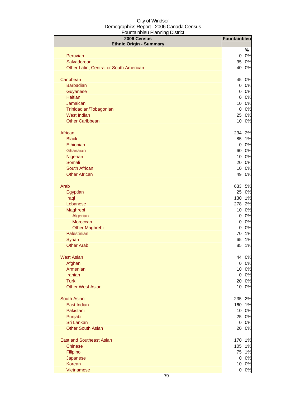| 2006 Census<br><b>Ethnic Origin - Summary</b> | Fountainbleu         |          |
|-----------------------------------------------|----------------------|----------|
|                                               |                      | %        |
| Peruvian                                      | $\overline{0}$       | 0%       |
| Salvadorean                                   | 35                   | 0%       |
| Other Latin, Central or South American        | 40                   | 0%       |
| Caribbean                                     | 45                   | 0%       |
| <b>Barbadian</b>                              | $\overline{O}$       | 0%       |
| Guyanese                                      | $\overline{0}$       | 0%       |
| <b>Haitian</b>                                | $\overline{0}$       | 0%       |
| Jamaican                                      | 10                   | 0%       |
| Trinidadian/Tobagonian                        | $\overline{0}$       | 0%       |
| <b>West Indian</b>                            | 25                   | 0%       |
| <b>Other Caribbean</b>                        | 10                   | 0%       |
| African                                       | 234                  | 2%       |
| <b>Black</b>                                  | 85                   | 1%       |
| Ethiopian                                     | $\overline{0}$       | 0%       |
| Ghanaian                                      | 60                   | 0%       |
| Nigerian                                      | 10                   | 0%       |
| Somali                                        | 20                   | 0%       |
| South African                                 | 10                   | 0%       |
| <b>Other African</b>                          | 49                   | 0%       |
| Arab                                          | 633                  | 5%       |
| Egyptian                                      | 25                   | 0%       |
| Iraqi                                         | 130                  | 1%       |
| Lebanese                                      | 278                  | 2%       |
| Maghrebi                                      | 10                   | 0%       |
| Algerian                                      | $\overline{0}$       | 0%       |
| Moroccan                                      | $\overline{0}$       | 0%       |
| <b>Other Maghrebi</b><br>Palestinian          | $\overline{0}$<br>70 | 0%<br>1% |
| Syrian                                        | 65                   | 1%       |
| <b>Other Arab</b>                             | 85                   | 1%       |
|                                               |                      |          |
| <b>West Asian</b>                             | 44                   | 0%       |
| Afghan                                        | $\overline{0}$       | 0%       |
| Armenian                                      | 10 <sup>1</sup>      | 0%       |
| <b>Iranian</b>                                | $\overline{0}$       | 0%       |
| <b>Turk</b>                                   | 20                   | 0%       |
| <b>Other West Asian</b>                       | 10                   | 0%       |
| <b>South Asian</b>                            | 235                  | 2%       |
| East Indian                                   | 160                  | 1%       |
| Pakistani                                     | 10                   | 0%       |
| Punjabi                                       | 25                   | 0%       |
| Sri Lankan                                    | $\overline{0}$       | 0%       |
| <b>Other South Asian</b>                      | 20                   | 0%       |
| <b>East and Southeast Asian</b>               | 170                  | 1%       |
| <b>Chinese</b>                                | 105                  | 1%       |
| Filipino                                      | 75                   | 1%       |
| Japanese                                      | $\overline{O}$       | 0%       |
| Korean                                        | 10                   | 0%       |
| Vietnamese                                    | $\overline{0}$       | 0%       |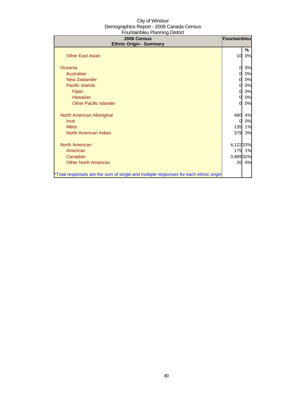| 2006 Census<br><b>Ethnic Origin - Summary</b>                                        | Fountainbleu |         |
|--------------------------------------------------------------------------------------|--------------|---------|
| <b>Other East Asian</b>                                                              | 10           | %<br>0% |
| Oceania                                                                              | 0            | 0%      |
| Australian                                                                           | 0            | 0%      |
| <b>New Zealander</b>                                                                 | 0            | 0%      |
| Pacific Islands                                                                      | 0            | 0%      |
| Fijian                                                                               | 0            | 0%      |
| <b>Hawaiian</b>                                                                      | 0            | 0%      |
| <b>Other Pacific Islander</b>                                                        | 0            | 0%      |
|                                                                                      |              |         |
| North American Aboriginal                                                            | 480          | 4%      |
| <b>Inuit</b>                                                                         | 0            | 0%      |
| <b>Métis</b>                                                                         | 135          | 1%      |
| North American Indian                                                                | 379          | 3%      |
|                                                                                      |              |         |
| <b>North American</b>                                                                | 4,122 33%    |         |
| American                                                                             |              | 175 1%  |
| Canadian                                                                             | 3,98932%     |         |
| <b>Other North American</b>                                                          | 20           | 0%      |
| *Total responses are the sum of single and multiple responses for each ethnic origin |              |         |
|                                                                                      |              |         |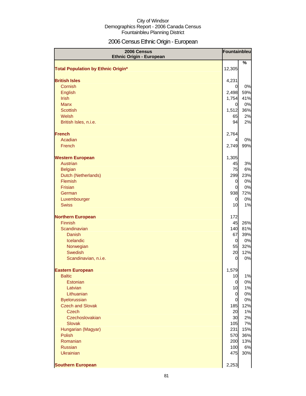# 2006 Census Ethnic Origin - European

| 2006 Census<br><b>Ethnic Origin - European</b> | Fountainbleu          |           |
|------------------------------------------------|-----------------------|-----------|
|                                                |                       | %         |
| <b>Total Population by Ethnic Origin*</b>      | 12,305                |           |
| <b>British Isles</b>                           | 4,231                 |           |
| Cornish                                        | 0                     | 0%        |
| English                                        | 2,498                 | 59%       |
| Irish                                          | 1,754                 | 41%       |
| <b>Manx</b>                                    | 0                     | 0%        |
| <b>Scottish</b>                                | 1,512                 | 36%       |
| Welsh                                          | 65                    | 2%        |
| British Isles, n.i.e.                          | 94                    | 2%        |
| <b>French</b>                                  | 2,764                 |           |
| Acadian                                        | 4                     | 0%        |
| French                                         | 2,749                 | 99%       |
| <b>Western European</b>                        | 1,305                 |           |
| <b>Austrian</b>                                | 45                    | 3%        |
| <b>Belgian</b>                                 | 75                    | 6%        |
| Dutch (Netherlands)                            | 299                   | 23%       |
| Flemish                                        | $\mathbf 0$           | 0%        |
| Frisian                                        | $\overline{0}$        | 0%        |
| German                                         | 938                   | 72%       |
| Luxembourger                                   | 0                     | 0%        |
| <b>Swiss</b>                                   | 10                    | 1%        |
| <b>Northern European</b>                       | 172                   |           |
| Finnish                                        | 45                    | 26%       |
| Scandinavian                                   | 140                   | 81%       |
| <b>Danish</b>                                  | 67                    | 39%       |
| Icelandic                                      | $\overline{0}$        | 0%        |
| Norwegian<br><b>Swedish</b>                    | 55                    | 32%       |
| Scandinavian, n.i.e.                           | 20<br>$\mathbf 0$     | 12%<br>0% |
|                                                |                       |           |
| <b>Eastern European</b>                        | 1,579                 |           |
| <b>Baltic</b>                                  | 10                    | 1%        |
| Estonian                                       | $\overline{0}$        | 0%        |
| Latvian                                        | 10                    | 1%        |
| Lithuanian                                     | $\mathbf 0$           | 0%        |
| <b>Byelorussian</b><br><b>Czech and Slovak</b> | $\overline{0}$<br>185 | 0%<br>12% |
| <b>Czech</b>                                   | 20                    | 1%        |
| Czechoslovakian                                | 30                    | 2%        |
| <b>Slovak</b>                                  | 105                   | 7%        |
| Hungarian (Magyar)                             | 231                   | 15%       |
| Polish                                         | 570                   | 36%       |
| Romanian                                       | 200                   | 13%       |
| <b>Russian</b>                                 | 100                   | 6%        |
| <b>Ukrainian</b>                               | 475                   | 30%       |
| <b>Southern European</b>                       | 2,253                 |           |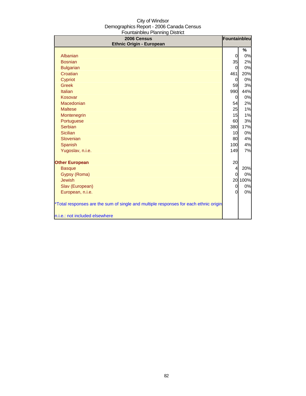| <b>Ethnic Origin - European</b>                                                                                        |                | Fountainbleu |
|------------------------------------------------------------------------------------------------------------------------|----------------|--------------|
|                                                                                                                        |                | %            |
| Albanian                                                                                                               | 0              | 0%           |
| <b>Bosnian</b>                                                                                                         | 35             | 2%           |
| <b>Bulgarian</b>                                                                                                       | 0              | 0%           |
| Croatian                                                                                                               | 461            | 20%          |
| Cypriot                                                                                                                | 0              | 0%           |
| <b>Greek</b>                                                                                                           | 59             | 3%           |
| Italian                                                                                                                | 990            | 44%          |
| Kosovar                                                                                                                | 0              | 0%           |
| Macedonian                                                                                                             | 54             | 2%           |
| <b>Maltese</b>                                                                                                         | 25             | 1%           |
| Montenegrin                                                                                                            | 15             | 1%           |
| Portuguese                                                                                                             | 60             | 3%           |
| Serbian                                                                                                                | 380            | 17%          |
| <b>Sicilian</b>                                                                                                        | 10             | 0%           |
| Slovenian                                                                                                              | 80             | 4%           |
| Spanish                                                                                                                | 100            | 4%           |
| Yugoslav, n.i.e.                                                                                                       | 149            | 7%           |
| <b>Other European</b>                                                                                                  | 20             |              |
| <b>Basque</b>                                                                                                          | $\overline{4}$ | 20%          |
| Gypsy (Roma)                                                                                                           | $\Omega$       | 0%           |
| <b>Jewish</b>                                                                                                          |                | 20 100%      |
| Slav (European)                                                                                                        | $\overline{0}$ | 0%           |
| European, n.i.e.                                                                                                       | $\Omega$       | 0%           |
| *Total responses are the sum of single and multiple responses for each ethnic origin<br>n.i.e.: not included elsewhere |                |              |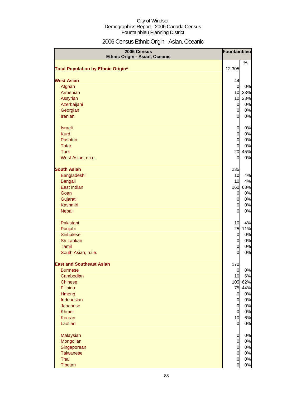# 2006 Census Ethnic Origin - Asian, Oceanic

| 2006 Census<br>Ethnic Origin - Asian, Oceanic | Fountainbleu   |         |
|-----------------------------------------------|----------------|---------|
| <b>Total Population by Ethnic Origin*</b>     | 12,305         | %       |
|                                               |                |         |
| <b>West Asian</b>                             | 44             |         |
| Afghan                                        | $\overline{0}$ | 0%      |
| Armenian                                      |                | 10 23%  |
| Assyrian                                      |                | 10 23%  |
| Azerbaijani                                   | $\overline{0}$ | 0%      |
| Georgian                                      | $\overline{0}$ | 0%      |
| <b>Iranian</b>                                | <sub>0</sub>   | 0%      |
| <b>Israeli</b>                                | $\overline{0}$ | 0%      |
| <b>Kurd</b>                                   | $\overline{0}$ | 0%      |
| Pashtun                                       | $\overline{0}$ | 0%      |
| <b>Tatar</b>                                  | $\overline{0}$ | 0%      |
| <b>Turk</b>                                   |                | 20 45%  |
| West Asian, n.i.e.                            | $\overline{0}$ | 0%      |
| <b>South Asian</b>                            | 235            |         |
| Bangladeshi                                   | 10             | 4%      |
| <b>Bengali</b>                                | 10             | 4%      |
| East Indian                                   |                | 160 68% |
| Goan                                          | $\overline{0}$ | 0%      |
| Gujarati                                      | $\overline{0}$ | 0%      |
| <b>Kashmiri</b>                               | $\overline{0}$ | 0%      |
| <b>Nepali</b>                                 | $\overline{0}$ | 0%      |
| Pakistani                                     | 10             | 4%      |
| Punjabi                                       | 25             | 11%     |
| <b>Sinhalese</b>                              | $\overline{0}$ | 0%      |
| Sri Lankan                                    | $\overline{0}$ | 0%      |
| Tamil                                         | $\overline{0}$ | 0%      |
| South Asian, n.i.e.                           | $\overline{0}$ | 0%      |
| <b>East and Southeast Asian</b>               | 170            |         |
| <b>Burmese</b>                                | $\overline{0}$ | 0%      |
| Cambodian                                     | 10             | 6%      |
| <b>Chinese</b>                                |                | 105 62% |
| Filipino                                      |                | 75 44%  |
| Hmong                                         | $\overline{0}$ | 0%      |
| Indonesian                                    | $\overline{0}$ | 0%      |
| Japanese                                      | $\overline{0}$ | 0%      |
| <b>Khmer</b>                                  | $\overline{0}$ | 0%      |
| Korean                                        | 10             | 6%      |
| Laotian                                       | $\overline{0}$ | 0%      |
| Malaysian                                     | $\overline{0}$ | 0%      |
| Mongolian                                     | $\overline{0}$ | 0%      |
| Singaporean                                   | $\overline{0}$ | 0%      |
| <b>Taiwanese</b>                              | $\overline{O}$ | 0%      |
| Thai                                          | $\overline{0}$ | 0%      |
| Tibetan                                       | $\overline{0}$ | $0\%$   |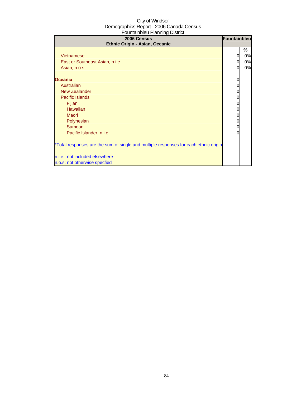| 2006 Census<br>Ethnic Origin - Asian, Oceanic                                                                                                                                                                                                                                                                                                                                                         | Fountainbleu          |                     |
|-------------------------------------------------------------------------------------------------------------------------------------------------------------------------------------------------------------------------------------------------------------------------------------------------------------------------------------------------------------------------------------------------------|-----------------------|---------------------|
| Vietnamese<br>East or Southeast Asian, n.i.e.<br>Asian, n.o.s.<br><b>Oceania</b><br>Australian<br><b>New Zealander</b><br>Pacific Islands<br>Fijian<br><b>Hawaiian</b><br><b>Maori</b><br>Polynesian<br>Samoan<br>Pacific Islander, n.i.e.<br>*Total responses are the sum of single and multiple responses for each ethnic origin<br>n.i.e.: not included elsewhere<br>n.o.s: not otherwise specfied | 0<br>0<br>0<br>0<br>0 | %<br>0%<br>0%<br>0% |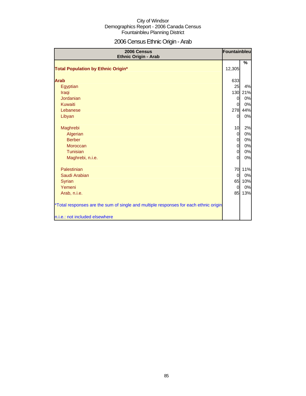# 2006 Census Ethnic Origin - Arab

| 2006 Census<br><b>Ethnic Origin - Arab</b>                                           | Fountainbleu   |     |
|--------------------------------------------------------------------------------------|----------------|-----|
| <b>Total Population by Ethnic Origin*</b>                                            | 12,305         | %   |
|                                                                                      |                |     |
| <b>Arab</b>                                                                          | 633            |     |
| Egyptian                                                                             | 25             | 4%  |
| Iraqi                                                                                | 130            | 21% |
| Jordanian                                                                            | $\overline{0}$ | 0%  |
| Kuwaiti                                                                              | $\overline{O}$ | 0%  |
| Lebanese                                                                             | 278            | 44% |
| Libyan                                                                               | <sub>0</sub>   | 0%  |
| Maghrebi                                                                             | 10             | 2%  |
| Algerian                                                                             | $\overline{O}$ | 0%  |
| <b>Berber</b>                                                                        | $\overline{0}$ | 0%  |
| <b>Moroccan</b>                                                                      | $\overline{0}$ | 0%  |
| Tunisian                                                                             | $\overline{0}$ | 0%  |
| Maghrebi, n.i.e.                                                                     | <sub>0</sub>   | 0%  |
| Palestinian                                                                          | 70             | 11% |
| Saudi Arabian                                                                        | $\overline{O}$ | 0%  |
| <b>Syrian</b>                                                                        | 65             | 10% |
| Yemeni                                                                               | $\overline{0}$ | 0%  |
| Arab, n.i.e.                                                                         | 85             | 13% |
| *Total responses are the sum of single and multiple responses for each ethnic origin |                |     |
| n.i.e.: not included elsewhere                                                       |                |     |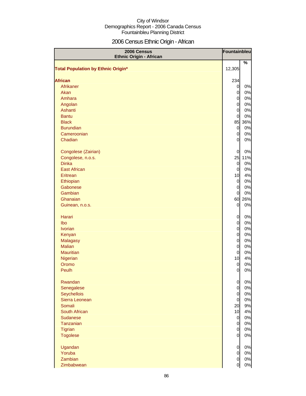# 2006 Census Ethnic Origin - African

| 2006 Census<br><b>Ethnic Origin - African</b> | <b>Fountainbleu</b> |       |
|-----------------------------------------------|---------------------|-------|
| <b>Total Population by Ethnic Origin*</b>     | 12,305              | %     |
|                                               |                     |       |
| <b>African</b>                                | 234                 |       |
| Afrikaner                                     | $\overline{0}$      | 0%    |
| Akan                                          | $\overline{0}$      | 0%    |
| Amhara                                        | $\overline{0}$      | 0%    |
| Angolan                                       | $\overline{0}$      | 0%    |
| Ashanti                                       | $\mathbf 0$         | 0%    |
| <b>Bantu</b>                                  | $\overline{0}$      | 0%    |
| <b>Black</b>                                  | 85                  | 36%   |
| <b>Burundian</b>                              | $\mathbf 0$         | 0%    |
| Cameroonian                                   | $\overline{O}$      | 0%    |
| Chadian                                       | $\overline{0}$      | 0%    |
| Congolese (Zairian)                           | $\overline{0}$      | 0%    |
| Congolese, n.o.s.                             | 25                  | 11%   |
| <b>Dinka</b>                                  | $\overline{0}$      | 0%    |
| <b>East African</b>                           | $\overline{0}$      | 0%    |
| Eritrean                                      | 10                  | 4%    |
| Ethiopian                                     | $\overline{0}$      | 0%    |
| Gabonese                                      | $\overline{0}$      | 0%    |
| Gambian                                       | $\overline{0}$      | 0%    |
| Ghanaian                                      | 60                  | 26%   |
| Guinean, n.o.s.                               | $\overline{0}$      | 0%    |
| Harari                                        | $\overline{0}$      | 0%    |
| Ibo                                           | $\mathbf 0$         | 0%    |
| <b>Ivorian</b>                                | $\overline{0}$      | 0%    |
| Kenyan                                        | $\overline{0}$      | 0%    |
| Malagasy                                      | $\overline{0}$      | 0%    |
| <b>Malian</b>                                 | $\overline{0}$      | 0%    |
| <b>Mauritian</b>                              | $\overline{0}$      | 0%    |
| Nigerian                                      | 10                  | 4%    |
| Oromo                                         | $\overline{0}$      | 0%    |
| Peulh                                         | $\overline{0}$      | $0\%$ |
| Rwandan                                       | $\overline{0}$      | 0%    |
| Senegalese                                    | $\overline{0}$      | 0%    |
| Seychellois                                   | $\overline{0}$      | 0%    |
| Sierra Leonean                                | $\overline{0}$      | 0%    |
| Somali                                        | 20                  | 9%    |
| South African                                 | 10                  | 4%    |
| <b>Sudanese</b>                               | $\mathbf{0}$        | 0%    |
| Tanzanian                                     | $\overline{0}$      | 0%    |
| Tigrian                                       | $\overline{0}$      | 0%    |
| <b>Togolese</b>                               | $\overline{0}$      | 0%    |
| Ugandan                                       | $\overline{0}$      | 0%    |
| Yoruba                                        | $\overline{O}$      | 0%    |
| Zambian                                       | $\overline{0}$      | 0%    |
| Zimbabwean                                    | 0                   | 0%    |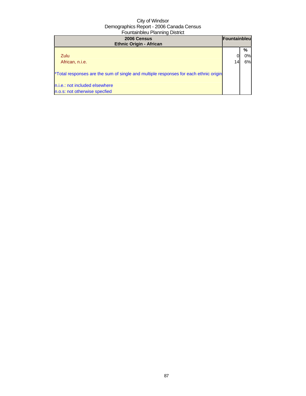| 2006 Census<br><b>Ethnic Origin - African</b>                                        | <b>Fountainbleu</b> |    |
|--------------------------------------------------------------------------------------|---------------------|----|
|                                                                                      |                     | %  |
| Zulu                                                                                 |                     | 0% |
| African, n.i.e.                                                                      |                     | 6% |
| *Total responses are the sum of single and multiple responses for each ethnic origin |                     |    |
| n.i.e.: not included elsewhere                                                       |                     |    |
| n.o.s: not otherwise specfied                                                        |                     |    |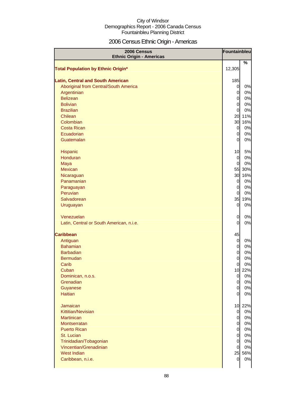# 2006 Census Ethnic Origin - Americas

| 2006 Census<br><b>Ethnic Origin - Americas</b> | Fountainbleu                     |               |
|------------------------------------------------|----------------------------------|---------------|
| <b>Total Population by Ethnic Origin*</b>      | 12,305                           | $\frac{9}{6}$ |
| <b>Latin, Central and South American</b>       | 185                              |               |
| Aboriginal from Central/South America          | $\overline{0}$                   | 0%            |
| Argentinian                                    | $\overline{0}$                   | 0%            |
| <b>Belizean</b>                                | $\overline{0}$                   | 0%            |
| <b>Bolivian</b>                                | $\overline{0}$                   | 0%            |
| <b>Brazilian</b>                               | $\overline{0}$                   | 0%            |
| Chilean                                        | 20                               | 11%           |
| Colombian                                      | 30                               | 16%           |
| <b>Costa Rican</b>                             | $\overline{0}$                   | 0%            |
| Ecuadorian                                     | $\overline{0}$                   | 0%            |
| Guatemalan                                     | $\overline{0}$                   | 0%            |
| Hispanic                                       | 10                               | 5%            |
| Honduran                                       | $\overline{0}$                   | 0%            |
| Maya                                           | $\overline{0}$                   | 0%            |
| <b>Mexican</b>                                 |                                  | 55 30%        |
| Nicaraguan                                     | 30                               | 16%           |
| Panamanian                                     | $\overline{0}$                   | 0%            |
| Paraguayan                                     | $\overline{0}$                   | 0%            |
| Peruvian                                       | $\overline{0}$                   | 0%            |
| Salvadorean                                    | 35                               | 19%<br>0%     |
| Uruguayan                                      | $\overline{0}$                   |               |
| Venezuelan                                     | $\overline{0}$                   | 0%            |
| Latin, Central or South American, n.i.e.       | $\overline{0}$                   | 0%            |
| <b>Caribbean</b>                               | 45                               |               |
| Antiguan                                       | $\overline{0}$                   | 0%            |
| <b>Bahamian</b>                                | $\overline{0}$                   | 0%            |
| <b>Barbadian</b>                               | $\overline{0}$                   | 0%            |
| <b>Bermudan</b>                                | $\overline{0}$                   | 0%            |
| Carib                                          | $\overline{0}$                   | 0%            |
| Cuban                                          |                                  | 10 22%        |
| Dominican, n.o.s.                              | $\overline{0}$<br>$\overline{0}$ | 0%            |
| Grenadian                                      | $\overline{0}$                   | 0%<br>0%      |
| Guyanese<br><b>Haitian</b>                     | <sub>0</sub>                     | 0%            |
|                                                |                                  |               |
| Jamaican                                       |                                  | 10 22%        |
| Kittitian/Nevisian<br><b>Martinican</b>        | $\mathbf{0}$<br>$\overline{0}$   | 0%<br>0%      |
| Montserratan                                   | $\overline{0}$                   | 0%            |
| <b>Puerto Rican</b>                            | $\overline{0}$                   | 0%            |
| St. Lucian                                     | $\overline{0}$                   | 0%            |
| Trinidadian/Tobagonian                         | $\overline{0}$                   | 0%            |
| Vincentian/Grenadinian                         | $\overline{0}$                   | 0%            |
| <b>West Indian</b>                             |                                  | 25 56%        |
| Caribbean, n.i.e.                              | $\overline{0}$                   | 0%            |
|                                                |                                  |               |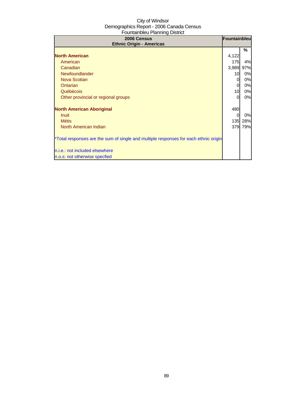| 2006 Census<br><b>Ethnic Origin - Americas</b>                                       | Fountainbleu     |     |
|--------------------------------------------------------------------------------------|------------------|-----|
|                                                                                      |                  | %   |
| <b>North American</b>                                                                | 4,122            |     |
| American                                                                             | 175              | 4%  |
| Canadian                                                                             | 3,989            | 97% |
| Newfoundlander                                                                       | 10               | 0%  |
| Nova Scotian                                                                         | 0                | 0%  |
| Ontarian                                                                             | 0                | 0%  |
| Québécois                                                                            | 10               | 0%  |
| Other provincial or regional groups                                                  | 0                | 0%  |
| <b>North American Aboriginal</b>                                                     | 480              |     |
| <b>Inuit</b>                                                                         |                  | 0%  |
| <b>Métis</b>                                                                         | 135 <sub>l</sub> | 28% |
| North American Indian                                                                | 379              | 79% |
| *Total responses are the sum of single and multiple responses for each ethnic origin |                  |     |
| n.i.e.: not included elsewhere                                                       |                  |     |
| n.o.s: not otherwise specfied                                                        |                  |     |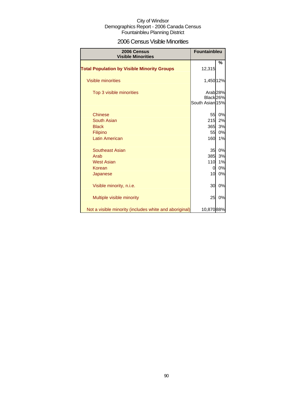### 2006 Census Visible Minorities

| 2006 Census<br><b>Visible Minorities</b>               | <b>Fountainbleu</b>                     |                     |
|--------------------------------------------------------|-----------------------------------------|---------------------|
| <b>Total Population by Visible Minority Groups</b>     | 12,315                                  | %                   |
| <b>Visible minorities</b>                              | 1,450 12%                               |                     |
| Top 3 visible minorities                               | Black <sub>26%</sub><br>South Asian 15% | Arab <sub>28%</sub> |
| <b>Chinese</b>                                         | 55                                      | 0%                  |
| <b>South Asian</b>                                     | 215                                     | 2%                  |
| <b>Black</b>                                           | 365                                     | 3%                  |
| Filipino                                               | 55                                      | 0%                  |
| <b>Latin American</b>                                  | 160                                     | 1%                  |
| <b>Southeast Asian</b>                                 | 35                                      | 0%                  |
| Arab                                                   | 385                                     | 3%                  |
| <b>West Asian</b>                                      | 110                                     | 1%                  |
| Korean                                                 | 0                                       | 0%                  |
| Japanese                                               | 10                                      | 0%                  |
| Visible minority, n.i.e.                               | 30                                      | 0%                  |
| Multiple visible minority                              | 25                                      | 0%                  |
| Not a visible minority (includes white and aboriginal) | 10,870 88%                              |                     |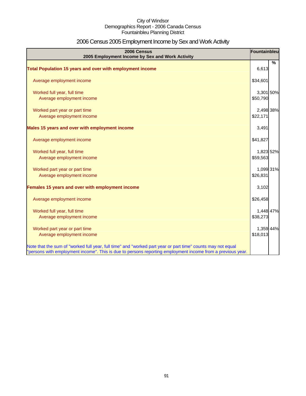# 2006 Census 2005 Employment Income by Sex and Work Activity

| 2006 Census<br>2005 Employment Income by Sex and Work Activity                                                                                                                                                            | Fountainbleu |      |
|---------------------------------------------------------------------------------------------------------------------------------------------------------------------------------------------------------------------------|--------------|------|
|                                                                                                                                                                                                                           |              | $\%$ |
| Total Population 15 years and over with employment income                                                                                                                                                                 | 6,613        |      |
| Average employment income                                                                                                                                                                                                 | \$34,601     |      |
| Worked full year, full time                                                                                                                                                                                               | 3,301 50%    |      |
| Average employment income                                                                                                                                                                                                 | \$50,790     |      |
| Worked part year or part time                                                                                                                                                                                             | 2,498 38%    |      |
| Average employment income                                                                                                                                                                                                 | \$22,171     |      |
| Males 15 years and over with employment income                                                                                                                                                                            | 3,491        |      |
| Average employment income                                                                                                                                                                                                 | \$41,827     |      |
| Worked full year, full time                                                                                                                                                                                               | 1,823 52%    |      |
| Average employment income                                                                                                                                                                                                 | \$59,563     |      |
| Worked part year or part time                                                                                                                                                                                             | 1,099 31%    |      |
| Average employment income                                                                                                                                                                                                 | \$26,831     |      |
| Females 15 years and over with employment income                                                                                                                                                                          | 3,102        |      |
| Average employment income                                                                                                                                                                                                 | \$26,458     |      |
| Worked full year, full time                                                                                                                                                                                               | 1,448 47%    |      |
| Average employment income                                                                                                                                                                                                 | \$38,273     |      |
| Worked part year or part time                                                                                                                                                                                             | 1,359 44%    |      |
| Average employment income                                                                                                                                                                                                 | \$18,013     |      |
| Note that the sum of "worked full year, full time" and "worked part year or part time" counts may not equal<br>"persons with employment income". This is due to persons reporting employment income from a previous year. |              |      |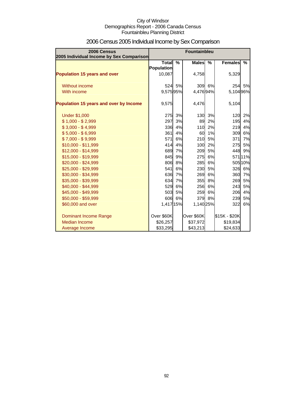| 2006 Census<br>2005 Individual Income by Sex Comparison |                                   |               | <b>Fountainbleu</b> |        |                |         |
|---------------------------------------------------------|-----------------------------------|---------------|---------------------|--------|----------------|---------|
|                                                         | <b>Total</b><br><b>Population</b> | $\frac{9}{6}$ | <b>Males</b>        | $\%$   | <b>Females</b> | %       |
| <b>Population 15 years and over</b>                     | 10,087                            |               | 4,758               |        | 5,329          |         |
| Without income                                          |                                   | 524 5%        |                     | 309 6% | 254            | 5%      |
| With income                                             | 9,575 95%                         |               | 4,47694%            |        | 5,104 96%      |         |
| Population 15 years and over by Income                  | 9,575                             |               | 4,476               |        | 5,104          |         |
| <b>Under \$1,000</b>                                    | 275                               | 3%            | 130                 | 3%     | 120            | 2%      |
| $$1,000 - $2,999$                                       | 297                               | 3%            | 89                  | 2%     | 195            | 4%      |
| $$3,000 - $4,999$                                       | 336                               | 4%            | 110                 | 2%     | 219            | 4%      |
| $$5,000 - $6,999$                                       | 361                               | 4%            | 60                  | 1%     | 309            | 6%      |
| $$7,000 - $9,999$                                       | 571                               | 6%            | 210                 | 5%     | 371            | 7%      |
| \$10,000 - \$11,999                                     | 414                               | 4%            | 100                 | 2%     | 275            | 5%      |
| \$12,000 - \$14,999                                     | 689                               | 7%            | 209                 | 5%     | 448            | 9%      |
| \$15,000 - \$19,999                                     | 845                               | 9%            | 275                 | 6%     |                | 57111%  |
| \$20,000 - \$24,999                                     | 806                               | 8%            | <b>285</b>          | 6%     |                | 505 10% |
| \$25,000 - \$29,999                                     | 541                               | 6%            | 230                 | 5%     | 326            | 6%      |
| \$30,000 - \$34,999                                     | 636                               | 7%            | 269                 | 6%     | 360            | 7%      |
| \$35,000 - \$39,999                                     | 634                               | 7%            | 355                 | 8%     | 269            | 5%      |
| \$40,000 - \$44,999                                     | 529                               | 6%            | 256                 | 6%     | 243            | 5%      |
| \$45,000 - \$49,999                                     | 503                               | 5%            | 259                 | 6%     | 206            | 4%      |
| \$50,000 - \$59,999                                     | 606                               | 6%            |                     | 379 8% | 239            | 5%      |
| \$60,000 and over                                       | 1,417 15%                         |               | 1,140 25%           |        | 322            | 6%      |
| <b>Dominant Income Range</b>                            | Over \$60K                        |               | Over \$60K          |        | \$15K - \$20K  |         |
| Median Income                                           | \$26,257                          |               | \$37,972            |        | \$19,834       |         |
| Average Income                                          | \$33,295                          |               | \$43,213            |        | \$24,633       |         |

# 2006 Census 2005 Individual Income by Sex Comparison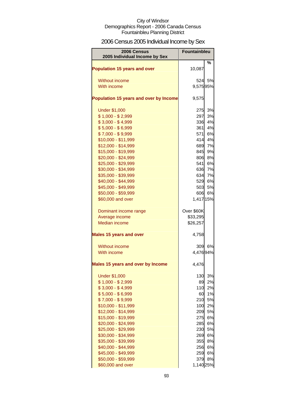# 2006 Census 2005 Individual Income by Sex

| 2006 Census<br>2005 Individual Income by Sex | Fountainbleu |    |
|----------------------------------------------|--------------|----|
| <b>Population 15 years and over</b>          | 10,087       | %  |
| Without income                               | 524I         | 5% |
| With income                                  | 9,57595%     |    |
|                                              |              |    |
| Population 15 years and over by Income       | 9,575        |    |
| <b>Under \$1,000</b>                         | 275          | 3% |
| $$1,000 - $2,999$                            | 297          | 3% |
| $$3,000 - $4,999$                            | 336          | 4% |
| $$5,000 - $6,999$                            | 361          | 4% |
| $$7,000 - $9,999$                            | 571          | 6% |
| \$10,000 - \$11,999                          | 414          | 4% |
| \$12,000 - \$14,999                          | 689          | 7% |
| \$15,000 - \$19,999                          | 845          | 9% |
| \$20,000 - \$24,999                          | 806          | 8% |
| \$25,000 - \$29,999                          | 541          | 6% |
| \$30,000 - \$34,999                          | 636          | 7% |
| \$35,000 - \$39,999                          | 634          | 7% |
| \$40,000 - \$44,999                          | 529          | 6% |
| \$45,000 - \$49,999                          | 503          | 5% |
| \$50,000 - \$59,999                          | 606          | 6% |
| \$60,000 and over                            | 1,417 15%    |    |
| Dominant income range                        | Over \$60K   |    |
| Average income                               | \$33,295     |    |
| <b>Median income</b>                         | \$26,257     |    |
| <b>Males 15 years and over</b>               | 4,758        |    |
| Without income                               | 309          | 6% |
| With income                                  | 4,47694%     |    |
| Males 15 years and over by Income            | 4,476        |    |
| <b>Under \$1,000</b>                         | 130          | 3% |
| $$1,000 - $2,999$                            | 89           | 2% |
| $$3,000 - $4,999$                            | 110          | 2% |
| $$5,000 - $6,999$                            | 60           | 1% |
| $$7,000 - $9,999$                            | 210          | 5% |
| \$10,000 - \$11,999                          | 100          | 2% |
| \$12,000 - \$14,999                          | 209          | 5% |
| \$15,000 - \$19,999                          | 275          | 6% |
| \$20,000 - \$24,999                          | 285          | 6% |
| \$25,000 - \$29,999                          | 230          | 5% |
| \$30,000 - \$34,999                          | 269          | 6% |
| \$35,000 - \$39,999                          | 355          | 8% |
| \$40,000 - \$44,999                          | 256          | 6% |
| \$45,000 - \$49,999                          | 259          | 6% |
| \$50,000 - \$59,999                          | 379          | 8% |
| \$60,000 and over                            | 1,140 25%    |    |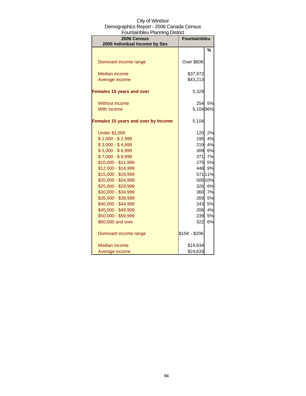| <b>UUITIOII INICU T IOI II III IY DIJUT</b>  |                     |         |  |
|----------------------------------------------|---------------------|---------|--|
| 2006 Census<br>2005 Individual Income by Sex | <b>Fountainbleu</b> |         |  |
|                                              |                     | %       |  |
| Dominant income range                        | Over \$60K          |         |  |
| <b>Median income</b>                         | \$37,972            |         |  |
| Average income                               | \$43,213            |         |  |
| <b>Females 15 years and over</b>             | 5,329               |         |  |
| Without income                               | 254                 | 5%      |  |
| With income                                  | 5,104 96%           |         |  |
| Females 15 years and over by Income          | 5,104               |         |  |
| <b>Under \$1,000</b>                         | 120                 | 2%      |  |
| $$1,000 - $2,999$                            | <b>195</b>          | 4%      |  |
| $$3,000 - $4,999$                            | 219                 | 4%      |  |
| $$5,000 - $6,999$                            | 309                 | 6%      |  |
| $$7,000 - $9,999$                            | 371                 | 7%      |  |
| \$10,000 - \$11,999                          | 275                 | 5%      |  |
| \$12,000 - \$14,999                          | 448                 | 9%      |  |
| \$15,000 - \$19,999                          |                     | 571 11% |  |
| \$20,000 - \$24,999                          |                     | 505 10% |  |
| \$25,000 - \$29,999                          | 326                 | 6%      |  |
| \$30,000 - \$34,999                          | 360                 | 7%      |  |
| \$35,000 - \$39,999                          | 269                 | 5%      |  |
| \$40,000 - \$44,999                          | 243                 | 5%      |  |
| \$45,000 - \$49,999                          | 206                 | 4%      |  |
| \$50,000 - \$59,999                          | 239                 | 5%      |  |
| \$60,000 and over                            | 322                 | 6%      |  |
| Dominant income range                        | \$15K - \$20K       |         |  |
| Median income                                | \$19,834            |         |  |
| Average income                               | \$24,633            |         |  |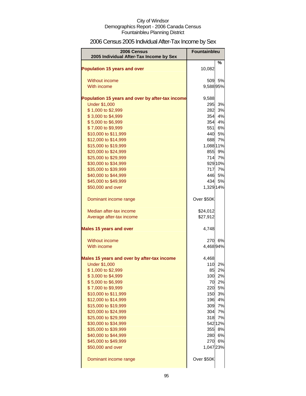# 2006 Census 2005 Individual After-Tax Income by Sex

| 2006 Census                                      | <b>Fountainbleu</b> |                 |
|--------------------------------------------------|---------------------|-----------------|
| 2005 Individual After-Tax Income by Sex          |                     |                 |
| <b>Population 15 years and over</b>              | 10,082              | %               |
| Without income                                   | 509                 | 5%              |
| With income                                      | 9,58895%            |                 |
| Population 15 years and over by after-tax income | 9,588               |                 |
| <b>Under \$1,000</b>                             | 295                 | 3%              |
| \$1,000 to \$2,999                               | 282                 | 3%              |
| \$3,000 to \$4,999                               | 354                 | 4%              |
| \$5,000 to \$6,999                               | 354                 | 4%              |
| \$7,000 to \$9,999                               | 551                 | 6%              |
| \$10,000 to \$11,999<br>\$12,000 to \$14,999     | 688                 | 440 5%<br>7%    |
| \$15,000 to \$19,999                             | 1,088 11%           |                 |
| \$20,000 to \$24,999                             | 855                 | 9%              |
| \$25,000 to \$29,999                             | 714                 | 7%              |
| \$30,000 to \$34,999                             |                     | 929 10%         |
| \$35,000 to \$39,999                             | 717                 | 7%              |
| \$40,000 to \$44,999                             |                     | 446 5%          |
| \$45,000 to \$49,999                             |                     | 434 5%          |
| \$50,000 and over                                | 1,329 14%           |                 |
| Dominant income range                            | Over \$50K          |                 |
| Median after-tax income                          | \$24,012            |                 |
| Average after-tax income                         | \$27,912            |                 |
| <b>Males 15 years and over</b>                   | 4,748               |                 |
| Without income                                   | 270                 | 6%              |
| With income                                      | 4,46894%            |                 |
| Males 15 years and over by after-tax income      | 4,468               |                 |
| <b>Under \$1,000</b>                             | 110                 | 2%              |
| \$1,000 to \$2,999                               | 85                  | 2%              |
| \$3,000 to \$4,999                               |                     | 100 2%          |
| \$5,000 to \$6,999<br>\$7,000 to \$9,999         |                     | 70 2%<br>220 5% |
| \$10,000 to \$11,999                             |                     | 150 3%          |
| \$12,000 to \$14,999                             | 196                 | 4%              |
| \$15,000 to \$19,999                             | 309                 | 7%              |
| \$20,000 to \$24,999                             |                     | 304 7%          |
| \$25,000 to \$29,999                             | 318                 | 7%              |
| \$30,000 to \$34,999                             |                     | 542 12%         |
| \$35,000 to \$39,999                             | 355                 | 8%              |
| \$40,000 to \$44,999                             |                     | 280 6%          |
| \$45,000 to \$49,999                             |                     | 270 6%          |
| \$50,000 and over                                | 1,047 23%           |                 |
| Dominant income range                            | Over \$50K          |                 |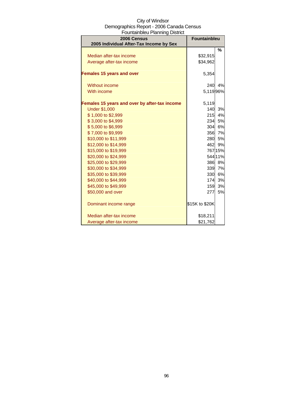| City of Windsor                          |
|------------------------------------------|
| Demographics Report - 2006 Canada Census |
| Fountainbleu Planning District           |

| 2006 Census<br>2005 Individual After-Tax Income by Sex | <b>Fountainbleu</b> |         |
|--------------------------------------------------------|---------------------|---------|
|                                                        |                     | %       |
| Median after-tax income                                | \$32,915            |         |
| Average after-tax income                               | \$34,962            |         |
| <b>Females 15 years and over</b>                       | 5,354               |         |
| Without income                                         | 240                 | 4%      |
| With income                                            | 5,11996%            |         |
| Females 15 years and over by after-tax income          | 5,119               |         |
| <b>Under \$1,000</b>                                   | 140                 | 3%      |
| \$1,000 to \$2,999                                     | 215                 | 4%      |
| \$3,000 to \$4,999                                     |                     | 234 5%  |
| \$5,000 to \$6,999                                     | 304                 | 6%      |
| \$7,000 to \$9,999                                     |                     | 356 7%  |
| \$10,000 to \$11,999                                   | 280                 | 5%      |
| \$12,000 to \$14,999                                   |                     | 462 9%  |
| \$15,000 to \$19,999                                   |                     | 767 15% |
| \$20,000 to \$24,999                                   |                     | 544 11% |
| \$25,000 to \$29,999                                   |                     | 386 8%  |
| \$30,000 to \$34,999                                   |                     | 339 7%  |
| \$35,000 to \$39,999                                   | 330                 | 6%      |
| \$40,000 to \$44,999                                   | 174                 | 3%      |
| \$45,000 to \$49,999                                   | 159                 | 3%      |
| \$50,000 and over                                      | 277                 | 5%      |
| Dominant income range                                  | \$15K to \$20K      |         |
| Median after-tax income                                | \$18,211            |         |
| Average after-tax income                               | \$21,762            |         |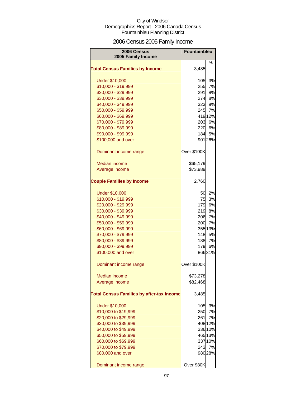# 2006 Census 2005 Family Income

| <b>2006 Census</b><br>2005 Family Income         | <b>Fountainbleu</b> |         |
|--------------------------------------------------|---------------------|---------|
|                                                  |                     | ℅       |
| <b>Total Census Families by Income</b>           | 3,485               |         |
| <b>Under \$10,000</b>                            | 105                 | 3%      |
| \$10,000 - \$19,999                              | 255                 | 7%      |
| \$20,000 - \$29,999                              | <b>291</b>          | 8%      |
| \$30,000 - \$39,999                              | 274I                | 8%      |
| \$40,000 - \$49,999                              | 323                 | 9%      |
| \$50,000 - \$59,999                              | 245                 | 7%      |
| \$60,000 - \$69,999                              |                     | 419 12% |
| \$70,000 - \$79,999                              |                     | 203 6%  |
| \$80,000 - \$89,999                              |                     | 220 6%  |
| \$90,000 - \$99,999                              |                     | 184 5%  |
| \$100,000 and over                               |                     | 901 26% |
| Dominant income range                            | Over \$100K         |         |
| <b>Median income</b>                             | \$65,179            |         |
| Average income                                   | \$73,989            |         |
| <b>Couple Families by Income</b>                 | 2,760               |         |
| <b>Under \$10,000</b>                            |                     | 50 2%   |
| \$10,000 - \$19,999                              | 75                  | 3%      |
| \$20,000 - \$29,999                              | 179                 | 6%      |
| \$30,000 - \$39,999                              | 219                 | 8%      |
| \$40,000 - \$49,999                              | 206                 | 7%      |
| \$50,000 - \$59,999                              | 200                 | 7%      |
| \$60,000 - \$69,999                              |                     | 355 13% |
| \$70,000 - \$79,999                              |                     | 148 5%  |
| \$80,000 - \$89,999                              | 188                 | 7%      |
| \$90,000 - \$99,999                              | 179                 | 6%      |
| \$100,000 and over                               |                     | 86631%  |
| Dominant income range                            | Over \$100K         |         |
| <b>Median income</b>                             | \$73,278            |         |
| Average income                                   | \$82,468            |         |
| <b>Total Census Families by after-tax Income</b> | 3,485               |         |
| <b>Under \$10,000</b>                            | 105                 | 3%      |
| \$10,000 to \$19,999                             | <b>250</b>          | 7%      |
| \$20,000 to \$29,999                             | 261                 | 7%      |
| \$30,000 to \$39,999                             |                     | 408 12% |
| \$40,000 to \$49,999                             |                     | 336 10% |
| \$50,000 to \$59,999                             |                     | 465 13% |
| \$60,000 to \$69,999                             |                     | 337 10% |
| \$70,000 to \$79,999                             | 243                 | 7%      |
| \$80,000 and over                                |                     | 980 28% |
| Dominant income range                            | Over \$80K          |         |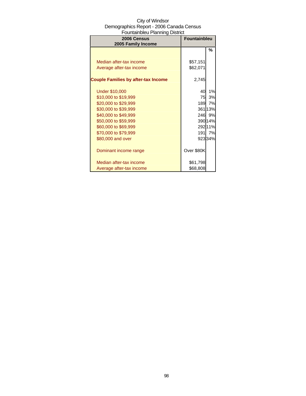| 2006 Census<br>2005 Family Income          | <b>Fountainbleu</b> |         |
|--------------------------------------------|---------------------|---------|
|                                            |                     | %       |
|                                            |                     |         |
| Median after-tax income                    | \$57,151            |         |
| Average after-tax income                   | \$62,071            |         |
| <b>Couple Families by after-tax Income</b> | 2,745               |         |
| <b>Under \$10,000</b>                      | 40                  | 1%      |
| \$10,000 to \$19,999                       | 75                  | 3%      |
| \$20,000 to \$29,999                       | 189                 | 7%      |
| \$30,000 to \$39,999                       |                     | 36113%  |
| \$40,000 to \$49,999                       |                     | 246 9%  |
| \$50,000 to \$59,999                       |                     | 390 14% |
| \$60,000 to \$69,999                       |                     | 29211%  |
| \$70,000 to \$79,999                       | 191                 | 7%      |
| \$80,000 and over                          |                     | 92334%  |
| Dominant income range                      | Over \$80K          |         |
| Median after-tax income                    | \$61,798            |         |
| Average after-tax income                   | \$68,808            |         |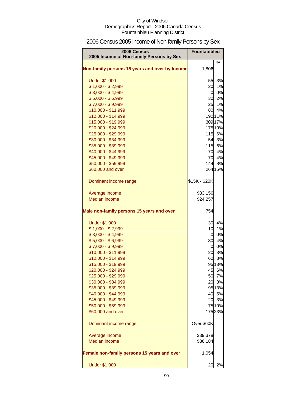# 2006 Census 2005 Income of Non-family Persons by Sex

| 2006 Census<br>2005 Income of Non-family Persons by Sex | Fountainbleu   |                  |
|---------------------------------------------------------|----------------|------------------|
| Non-family persons 15 years and over by Income          | 1,806          | %                |
| <b>Under \$1,000</b>                                    | 55             | 3%               |
| $$1,000 - $2,999$                                       | 20             | 1%               |
| $$3,000 - $4,999$                                       | $\overline{a}$ | 0%               |
| $$5,000 - $6,999$                                       |                | 30 2%            |
| $$7,000 - $9,999$                                       | 25             | 1%               |
| \$10,000 - \$11,999                                     |                | 80 4%            |
| \$12,000 - \$14,999                                     |                | 190 11%          |
| \$15,000 - \$19,999                                     |                | 309 17%          |
| \$20,000 - \$24,999                                     |                | 175 10%          |
| \$25,000 - \$29,999                                     |                | 115 6%           |
| \$30,000 - \$34,999                                     | 54             | 3%               |
| \$35,000 - \$39,999                                     |                | 115 6%           |
| \$40,000 - \$44,999                                     | 70             | 4%               |
| \$45,000 - \$49,999                                     | 70             | 4%               |
| \$50,000 - \$59,999                                     |                | 144 8%           |
| \$60,000 and over                                       |                | 264 15%          |
| Dominant income range                                   | \$15K - \$20K  |                  |
| Average income                                          | \$33,156       |                  |
| <b>Median income</b>                                    | \$24,257       |                  |
| Male non-family persons 15 years and over               | 754            |                  |
| <b>Under \$1,000</b>                                    | 30             | 4%               |
| $$1,000 - $2,999$                                       | 10             | 1%               |
| $$3,000 - $4,999$                                       | $\overline{0}$ | 0%               |
| $$5,000 - $6,999$                                       | 30             | 4%               |
| $$7,000 - $9,999$                                       | $\overline{0}$ | 0%               |
| $$10,000 - $11,999$                                     | 20             | 3%               |
| \$12,000 - \$14,999                                     |                | 60 8%            |
| \$15,000 - \$19,999                                     |                | 95 13%           |
| \$20,000 - \$24,999                                     |                | 45 6%            |
| \$25,000 - \$29,999                                     |                | 50 7%            |
| \$30,000 - \$34,999                                     | 20             | 3%               |
| \$35,000 - \$39,999                                     |                | 9513%            |
| \$40,000 - \$44,999                                     |                | 40 5%            |
| \$45,000 - \$49,999                                     | 20             | 3%               |
| \$50,000 - \$59,999<br>\$60,000 and over                |                | 75 10%<br>17523% |
|                                                         |                |                  |
| Dominant income range                                   | Over \$60K     |                  |
| Average income                                          | \$39,378       |                  |
| <b>Median income</b>                                    | \$36,184       |                  |
| Female non-family persons 15 years and over             | 1,054          |                  |
| <b>Under \$1,000</b>                                    | 20             | 2%               |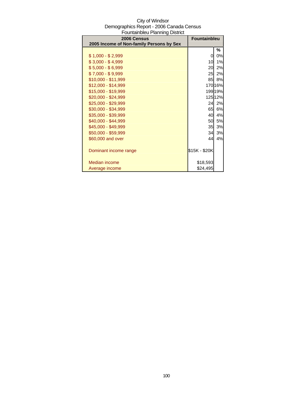| 2006 Census                              | <b>Fountainbleu</b> |         |
|------------------------------------------|---------------------|---------|
| 2005 Income of Non-family Persons by Sex |                     |         |
|                                          |                     | %       |
| $$1,000 - $2,999$                        | 0                   | 0%      |
| $$3,000 - $4,999$                        | 10                  | 1%      |
| $$5,000 - $6,999$                        | 20                  | 2%      |
| $$7,000 - $9,999$                        | 25                  | 2%      |
| $$10,000 - $11,999$                      | 85                  | 8%      |
| $$12,000 - $14,999$                      |                     | 170 16% |
| \$15,000 - \$19,999                      |                     | 199 19% |
| \$20,000 - \$24,999                      |                     | 125 12% |
| \$25,000 - \$29,999                      | 24                  | 2%      |
| \$30,000 - \$34,999                      | 65                  | 6%      |
| \$35,000 - \$39,999                      | 40                  | 4%      |
| \$40,000 - \$44,999                      | 50                  | 5%      |
| \$45,000 - \$49,999                      | 35                  | 3%      |
| \$50,000 - \$59,999                      | 34                  | 3%      |
| \$60,000 and over                        | 44                  | 4%      |
|                                          |                     |         |
| Dominant income range                    | \$15K - \$20K       |         |
|                                          |                     |         |
| Median income                            | \$18,593            |         |
| Average income                           | \$24,495            |         |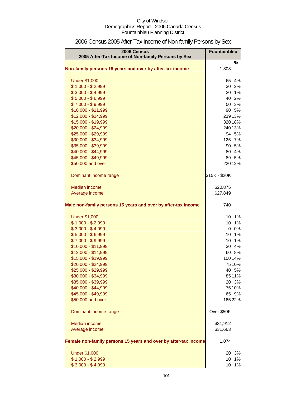| 2006 Census<br>2005 After-Tax Income of Non-family Persons by Sex | Fountainbleu   |         |
|-------------------------------------------------------------------|----------------|---------|
|                                                                   |                | %       |
| Non-family persons 15 years and over by after-tax income          | 1,808          |         |
| <b>Under \$1,000</b>                                              | 65             | 4%      |
| $$1,000 - $2,999$                                                 | 30             | 2%      |
| $$3,000 - $4,999$                                                 | 20             | 1%      |
| $$5,000 - $6,999$                                                 | 40             | 2%      |
| $$7,000 - $9,999$                                                 | 50             | 3%      |
| \$10,000 - \$11,999                                               | 90             | 5%      |
| \$12,000 - \$14,999                                               |                | 239 13% |
| \$15,000 - \$19,999                                               |                | 320 18% |
| \$20,000 - \$24,999                                               |                | 240 13% |
| \$25,000 - \$29,999                                               |                | 94 5%   |
| \$30,000 - \$34,999                                               | 125            | 7%      |
| \$35,000 - \$39,999                                               | 90             | 5%      |
| \$40,000 - \$44,999                                               | 80             | 4%      |
| \$45,000 - \$49,999                                               | 89             | 5%      |
| \$50,000 and over                                                 |                | 220 12% |
| Dominant income range                                             | \$15K - \$20K  |         |
| Median income                                                     | \$20,875       |         |
| Average income                                                    | \$27,849       |         |
| Male non-family persons 15 years and over by after-tax income     | 740            |         |
| <b>Under \$1,000</b>                                              | 10             | 1%      |
| $$1,000 - $2,999$                                                 | 10             | 1%      |
| $$3,000 - $4,999$                                                 | $\overline{0}$ | 0%      |
| $$5,000 - $6,999$                                                 | 10             | 1%      |
| $$7,000 - $9,999$                                                 | 10             | 1%      |
| \$10,000 - \$11,999                                               | 30             | 4%      |
| \$12,000 - \$14,999                                               | 60             | 8%      |
| \$15,000 - \$19,999                                               |                | 100 14% |
| \$20,000 - \$24,999                                               |                | 75 10%  |
| \$25,000 - \$29,999                                               | 40             | 5%      |
| \$30,000 - \$34,999                                               |                | 8511%   |
| \$35,000 - \$39,999                                               |                | 20 3%   |
| \$40,000 - \$44,999                                               |                | 75 10%  |
| \$45,000 - \$49,999                                               | 65             | 9%      |
| \$50,000 and over                                                 |                | 16522%  |
| Dominant income range                                             | Over \$50K     |         |
| Median income                                                     | \$31,912       |         |
| Average income                                                    | \$31,663       |         |
| Female non-family persons 15 years and over by after-tax income   | 1,074          |         |
| <b>Under \$1,000</b>                                              | 20             | 3%      |
| $$1,000 - $2,999$                                                 | 10             | 1%      |
| $$3,000 - $4,999$                                                 | 10             | 1%      |

# 2006 Census 2005 After-Tax Income of Non-family Persons by Sex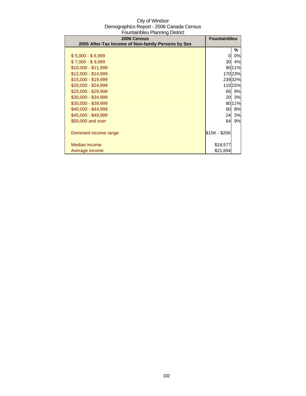| 2006 Census                                        | <b>Fountainbleu</b> |         |
|----------------------------------------------------|---------------------|---------|
| 2005 After-Tax Income of Non-family Persons by Sex |                     |         |
|                                                    |                     | ℅       |
| $$5,000 - $6,999$                                  | 0                   | 0%      |
| $$7,000 - $9,999$                                  | 30                  | 4%      |
| \$10,000 - \$11,999                                |                     | 80 11%  |
| $$12,000 - $14,999$                                |                     | 17023%  |
| \$15,000 - \$19,999                                |                     | 23932%  |
| $$20,000 - $24,999$                                |                     | 110 15% |
| \$25,000 - \$29,999                                | 65                  | 9%      |
| \$30,000 - \$34,999                                | 20                  | 3%      |
| \$35,000 - \$39,999                                |                     | 80 11%  |
| \$40,000 - \$44,999                                | 60                  | 8%      |
| \$45,000 - \$49,999                                | 24                  | 3%      |
| \$50,000 and over                                  | 64                  | 9%      |
|                                                    |                     |         |
| Dominant income range                              | \$15K - \$20K       |         |
|                                                    |                     |         |
| Median income                                      | \$18,577            |         |
| Average income                                     | \$21,694            |         |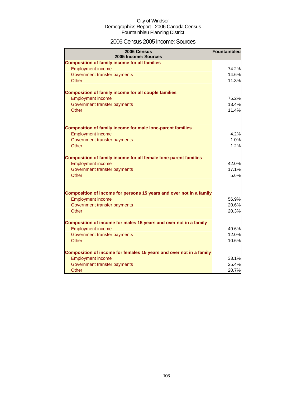### 2006 Census 2005 Income: Sources

| 2006 Census<br>2005 Income: Sources                                 | Fountainbleu |
|---------------------------------------------------------------------|--------------|
| <b>Composition of family income for all families</b>                |              |
| <b>Employment income</b>                                            | 74.2%        |
| Government transfer payments                                        | 14.6%        |
| Other                                                               | 11.3%        |
| <b>Composition of family income for all couple families</b>         |              |
| <b>Employment income</b>                                            | 75.2%        |
| Government transfer payments                                        | 13.4%        |
| Other                                                               | 11.4%        |
| <b>Composition of family income for male lone-parent families</b>   |              |
| <b>Employment income</b>                                            | 4.2%         |
| Government transfer payments                                        | 1.0%         |
| Other                                                               | 1.2%         |
| Composition of family income for all female lone-parent families    |              |
| <b>Employment income</b>                                            | 42.0%        |
| Government transfer payments                                        | 17.1%        |
| <b>Other</b>                                                        | 5.6%         |
| Composition of income for persons 15 years and over not in a family |              |
| <b>Employment income</b>                                            | 56.9%        |
| Government transfer payments                                        | 20.6%        |
| <b>Other</b>                                                        | 20.3%        |
| Composition of income for males 15 years and over not in a family   |              |
| <b>Employment income</b>                                            | 49.6%        |
| Government transfer payments                                        | 12.0%        |
| Other                                                               | 10.6%        |
| Composition of income for females 15 years and over not in a family |              |
| <b>Employment income</b>                                            | 33.1%        |
| Government transfer payments                                        | 25.4%        |
| Other                                                               | 20.7%        |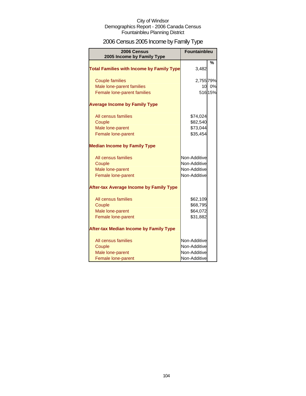# 2006 Census 2005 Income by Family Type

| 2006 Census<br>2005 Income by Family Type        | <b>Fountainbleu</b> |         |
|--------------------------------------------------|---------------------|---------|
| <b>Total Families with Income by Family Type</b> | 3,482               | $\%$    |
| <b>Couple families</b>                           | 2,755 79%           |         |
| Male lone-parent families                        | 10                  | 0%      |
| Female lone-parent families                      |                     | 516 15% |
| <b>Average Income by Family Type</b>             |                     |         |
| All census families                              | \$74,024            |         |
| Couple                                           | \$82,540            |         |
| Male lone-parent                                 | \$73,044            |         |
| Female lone-parent                               | \$35,454            |         |
| <b>Median Income by Family Type</b>              |                     |         |
| All census families                              | Non-Additive        |         |
| Couple                                           | Non-Additive        |         |
| Male lone-parent                                 | Non-Additive        |         |
| Female lone-parent                               | Non-Additive        |         |
| <b>After-tax Average Income by Family Type</b>   |                     |         |
| All census families                              | \$62,109            |         |
| Couple                                           | \$68,795            |         |
| Male lone-parent                                 | \$64,072            |         |
| Female lone-parent                               | \$31,882            |         |
| <b>After-tax Median Income by Family Type</b>    |                     |         |
| All census families                              | Non-Additive        |         |
| Couple                                           | Non-Additive        |         |
| Male lone-parent                                 | Non-Additive        |         |
| Female lone-parent                               | Non-Additive        |         |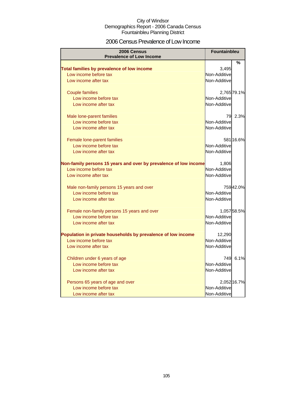### 2006 Census Prevalence of Low Income

| 2006 Census<br><b>Prevalence of Low Income</b>                   | <b>Fountainbleu</b> |             |
|------------------------------------------------------------------|---------------------|-------------|
|                                                                  |                     | %           |
| Total families by prevalence of low income                       | 3,495               |             |
| Low income before tax                                            | Non-Additive        |             |
| Low income after tax                                             | Non-Additive        |             |
|                                                                  |                     |             |
| <b>Couple families</b>                                           |                     | 2,765 79.1% |
| Low income before tax                                            | Non-Additive        |             |
| Low income after tax                                             | Non-Additive        |             |
| Male lone-parent families                                        | 79                  | 2.3%        |
| Low income before tax                                            | Non-Additive        |             |
| Low income after tax                                             | Non-Additive        |             |
| Female lone-parent families                                      |                     | 581 16.6%   |
| Low income before tax                                            | Non-Additive        |             |
| Low income after tax                                             | Non-Additive        |             |
| Non-family persons 15 years and over by prevalence of low income | 1,806               |             |
| Low income before tax                                            | Non-Additive        |             |
| Low income after tax                                             | Non-Additive        |             |
| Male non-family persons 15 years and over                        |                     | 75942.0%    |
| Low income before tax                                            | Non-Additive        |             |
| Low income after tax                                             | Non-Additive        |             |
| Female non-family persons 15 years and over                      |                     | 1,05758.5%  |
| Low income before tax                                            | Non-Additive        |             |
| Low income after tax                                             | Non-Additive        |             |
| Population in private households by prevalence of low income     | 12,290              |             |
| Low income before tax                                            | Non-Additive        |             |
| Low income after tax                                             | Non-Additive        |             |
| Children under 6 years of age                                    | 749                 | 6.1%        |
| Low income before tax                                            | Non-Additive        |             |
| Low income after tax                                             | Non-Additive        |             |
| Persons 65 years of age and over                                 |                     | 2,052 16.7% |
| Low income before tax                                            | Non-Additive        |             |
| Low income after tax                                             | Non-Additive        |             |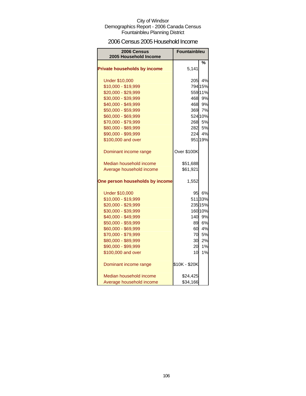### 2006 Census 2005 Household Income

| 2006 Census<br>2005 Household Income | <b>Fountainbleu</b> |           |
|--------------------------------------|---------------------|-----------|
|                                      |                     | %         |
| <b>Private households by income</b>  | 5,141               |           |
| <b>Under \$10,000</b>                | 205                 | 4%        |
| \$10,000 - \$19,999                  |                     | 794 15%   |
| \$20,000 - \$29,999                  |                     | 559 11%   |
| \$30,000 - \$39,999                  | 468                 | 9%        |
| \$40,000 - \$49,999                  |                     | 468 9%    |
| \$50,000 - \$59,999                  | 369                 | 7%        |
| \$60,000 - \$69,999                  |                     | 524 10%   |
| \$70,000 - \$79,999                  |                     | 268 5%    |
| \$80,000 - \$89,999                  |                     | 282 5%    |
| \$90,000 - \$99,999                  |                     | 224 4%    |
| \$100,000 and over                   |                     | 95119%    |
| Dominant income range                | Over \$100K         |           |
| Median household income              | \$51,688            |           |
| Average household income             | \$61,921            |           |
| One person households by income      | 1,552               |           |
| <b>Under \$10,000</b>                |                     | 95 6%     |
| \$10,000 - \$19,999                  |                     | 51133%    |
| \$20,000 - \$29,999                  |                     | 235 15%   |
| \$30,000 - \$39,999                  |                     | 160 10%   |
| \$40,000 - \$49,999                  | 140                 | 9%        |
| \$50,000 - \$59,999                  | 89.                 | 6%        |
| \$60,000 - \$69,999                  | 60                  | 4%        |
| \$70,000 - \$79,999                  | 70                  | <b>5%</b> |
| \$80,000 - \$89,999                  | 30                  | 2%        |
| \$90,000 - \$99,999                  | 20                  | 1%        |
| \$100,000 and over                   | 10                  | 1%        |
| Dominant income range                | \$10K - \$20K       |           |
| Median household income              | \$24,425            |           |
| Average household income             | \$34,166            |           |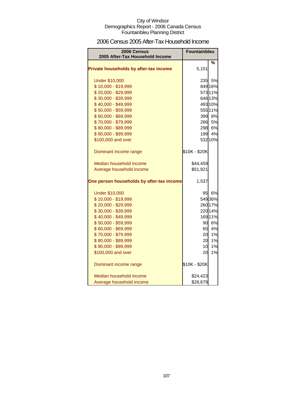### 2006 Census 2005 After-Tax Household Income

| 2006 Census<br>2005 After-Tax Household Income | <b>Fountainbleu</b> |         |
|------------------------------------------------|---------------------|---------|
|                                                |                     |         |
| Private households by after-tax income         | 5,151               | %       |
| <b>Under \$10,000</b>                          |                     | 235 5%  |
| \$10,000 - \$19,999                            |                     | 849 16% |
| \$20,000 - \$29,999                            |                     | 573 11% |
| \$30,000 - \$39,999                            |                     | 646 13% |
| \$40,000 - \$49,999                            |                     | 493 10% |
| \$50,000 - \$59,999                            |                     | 555 11% |
| \$60,000 - \$69,999                            |                     | 399 8%  |
| \$70,000 - \$79,999                            |                     | 266 5%  |
| \$80,000 - \$89,999                            |                     | 298 6%  |
| \$90,000 - \$99,999                            | 199                 | 4%      |
| \$100,000 and over                             |                     | 532 10% |
| Dominant income range                          | \$10K - \$20K       |         |
| Median household income                        | \$44,459            |         |
| Average household income                       | \$51,921            |         |
| One person households by after-tax income      | 1,537               |         |
| <b>Under \$10,000</b>                          | 95                  | 6%      |
| \$10,000 - \$19,999                            |                     | 54936%  |
| \$20,000 - \$29,999                            |                     | 260 17% |
| \$30,000 - \$39,999                            |                     | 220 14% |
| \$40,000 - \$49,999                            |                     | 169 11% |
| \$50,000 - \$59,999                            | 90                  | 6%      |
| \$60,000 - \$69,999                            | 65                  | 4%      |
| \$70,000 - \$79,999                            | 20                  | 1%      |
| \$80,000 - \$89,999                            | 20                  | 1%      |
| \$90,000 - \$99,999                            | 10                  | 1%      |
| \$100,000 and over                             | 20                  | 1%      |
| Dominant income range                          | \$10K - \$20K       |         |
| Median household income                        | \$24,423            |         |
| Average household income                       | \$28,679            |         |